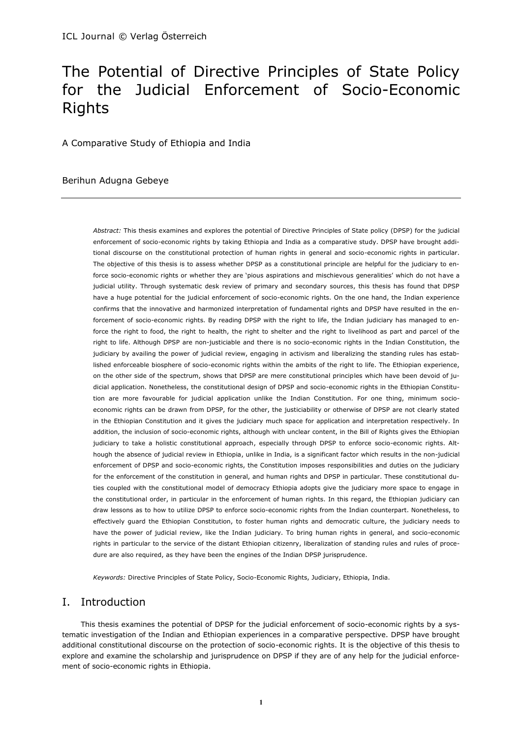# The Potential of Directive Principles of State Policy for the Judicial Enforcement of Socio-Economic Rights

A Comparative Study of Ethiopia and India

### Berihun Adugna Gebeye

*Abstract:* This thesis examines and explores the potential of Directive Principles of State policy (DPSP) for the judicial enforcement of socio-economic rights by taking Ethiopia and India as a comparative study. DPSP have brought additional discourse on the constitutional protection of human rights in general and socio-economic rights in particular. The objective of this thesis is to assess whether DPSP as a constitutional principle are helpful for the judiciary to enforce socio-economic rights or whether they are 'pious aspirations and mischievous generalities' which do not have a judicial utility. Through systematic desk review of primary and secondary sources, this thesis has found that DPSP have a huge potential for the judicial enforcement of socio-economic rights. On the one hand, the Indian experience confirms that the innovative and harmonized interpretation of fundamental rights and DPSP have resulted in the enforcement of socio-economic rights. By reading DPSP with the right to life, the Indian judiciary has managed to enforce the right to food, the right to health, the right to shelter and the right to livelihood as part and parcel of the right to life. Although DPSP are non-justiciable and there is no socio-economic rights in the Indian Constitution, the judiciary by availing the power of judicial review, engaging in activism and liberalizing the standing rules has established enforceable biosphere of socio-economic rights within the ambits of the right to life. The Ethiopian experience, on the other side of the spectrum, shows that DPSP are mere constitutional principles which have been devoid of judicial application. Nonetheless, the constitutional design of DPSP and socio-economic rights in the Ethiopian Constitution are more favourable for judicial application unlike the Indian Constitution. For one thing, minimum socioeconomic rights can be drawn from DPSP, for the other, the justiciability or otherwise of DPSP are not clearly stated in the Ethiopian Constitution and it gives the judiciary much space for application and interpretation respectively. In addition, the inclusion of socio-economic rights, although with unclear content, in the Bill of Rights gives the Ethiopian judiciary to take a holistic constitutional approach, especially through DPSP to enforce socio-economic rights. Although the absence of judicial review in Ethiopia, unlike in India, is a significant factor which results in the non-judicial enforcement of DPSP and socio-economic rights, the Constitution imposes responsibilities and duties on the judiciary for the enforcement of the constitution in general, and human rights and DPSP in particular. These constitutional duties coupled with the constitutional model of democracy Ethiopia adopts give the judiciary more space to engage in the constitutional order, in particular in the enforcement of human rights. In this regard, the Ethiopian judiciary can draw lessons as to how to utilize DPSP to enforce socio-economic rights from the Indian counterpart. Nonetheless, to effectively guard the Ethiopian Constitution, to foster human rights and democratic culture, the judiciary needs to have the power of judicial review, like the Indian judiciary. To bring human rights in general, and socio-economic rights in particular to the service of the distant Ethiopian citizenry, liberalization of standing rules and rules of procedure are also required, as they have been the engines of the Indian DPSP jurisprudence.

*Keywords:* Directive Principles of State Policy, Socio-Economic Rights, Judiciary, Ethiopia, India.

# I. Introduction

This thesis examines the potential of DPSP for the judicial enforcement of socio-economic rights by a systematic investigation of the Indian and Ethiopian experiences in a comparative perspective. DPSP have brought additional constitutional discourse on the protection of socio-economic rights. It is the objective of this thesis to explore and examine the scholarship and jurisprudence on DPSP if they are of any help for the judicial enforcement of socio-economic rights in Ethiopia.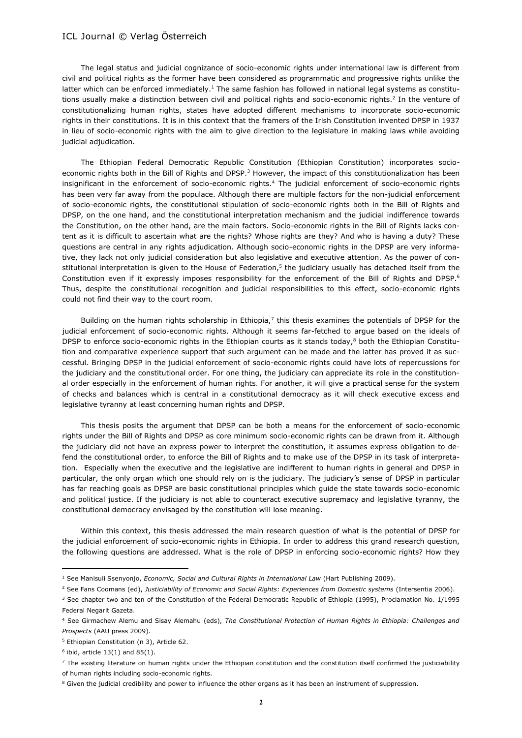The legal status and judicial cognizance of socio-economic rights under international law is different from civil and political rights as the former have been considered as programmatic and progressive rights unlike the latter which can be enforced immediately.<sup>1</sup> The same fashion has followed in national legal systems as constitutions usually make a distinction between civil and political rights and socio-economic rights.<sup>2</sup> In the venture of constitutionalizing human rights, states have adopted different mechanisms to incorporate socio-economic rights in their constitutions. It is in this context that the framers of the Irish Constitution invented DPSP in 1937 in lieu of socio-economic rights with the aim to give direction to the legislature in making laws while avoiding judicial adjudication.

The Ethiopian Federal Democratic Republic Constitution (Ethiopian Constitution) incorporates socioeconomic rights both in the Bill of Rights and DPSP.<sup>3</sup> However, the impact of this constitutionalization has been insignificant in the enforcement of socio-economic rights.<sup>4</sup> The judicial enforcement of socio-economic rights has been very far away from the populace. Although there are multiple factors for the non-judicial enforcement of socio-economic rights, the constitutional stipulation of socio-economic rights both in the Bill of Rights and DPSP, on the one hand, and the constitutional interpretation mechanism and the judicial indifference towards the Constitution, on the other hand, are the main factors. Socio-economic rights in the Bill of Rights lacks content as it is difficult to ascertain what are the rights? Whose rights are they? And who is having a duty? These questions are central in any rights adjudication. Although socio-economic rights in the DPSP are very informative, they lack not only judicial consideration but also legislative and executive attention. As the power of constitutional interpretation is given to the House of Federation,<sup>5</sup> the judiciary usually has detached itself from the Constitution even if it expressly imposes responsibility for the enforcement of the Bill of Rights and DPSP.<sup>6</sup> Thus, despite the constitutional recognition and judicial responsibilities to this effect, socio-economic rights could not find their way to the court room.

Building on the human rights scholarship in Ethiopia, $7$  this thesis examines the potentials of DPSP for the judicial enforcement of socio-economic rights. Although it seems far-fetched to argue based on the ideals of DPSP to enforce socio-economic rights in the Ethiopian courts as it stands today, $8$  both the Ethiopian Constitution and comparative experience support that such argument can be made and the latter has proved it as successful. Bringing DPSP in the judicial enforcement of socio-economic rights could have lots of repercussions for the judiciary and the constitutional order. For one thing, the judiciary can appreciate its role in the constitutional order especially in the enforcement of human rights. For another, it will give a practical sense for the system of checks and balances which is central in a constitutional democracy as it will check executive excess and legislative tyranny at least concerning human rights and DPSP.

This thesis posits the argument that DPSP can be both a means for the enforcement of socio-economic rights under the Bill of Rights and DPSP as core minimum socio-economic rights can be drawn from it. Although the judiciary did not have an express power to interpret the constitution, it assumes express obligation to defend the constitutional order, to enforce the Bill of Rights and to make use of the DPSP in its task of interpretation. Especially when the executive and the legislative are indifferent to human rights in general and DPSP in particular, the only organ which one should rely on is the judiciary. The judiciary's sense of DPSP in particular has far reaching goals as DPSP are basic constitutional principles which guide the state towards socio-economic and political justice. If the judiciary is not able to counteract executive supremacy and legislative tyranny, the constitutional democracy envisaged by the constitution will lose meaning.

Within this context, this thesis addressed the main research question of what is the potential of DPSP for the judicial enforcement of socio-economic rights in Ethiopia. In order to address this grand research question, the following questions are addressed. What is the role of DPSP in enforcing socio-economic rights? How they

<sup>1</sup> See Manisuli Ssenyonjo, *Economic, Social and Cultural Rights in International Law* (Hart Publishing 2009).

<sup>2</sup> See Fans Coomans (ed), *Justiciability of Economic and Social Rights: Experiences from Domestic systems* (Intersentia 2006).

<sup>&</sup>lt;sup>3</sup> See chapter two and ten of the Constitution of the Federal Democratic Republic of Ethiopia (1995), Proclamation No. 1/1995 Federal Negarit Gazeta.

<sup>4</sup> See Girmachew Alemu and Sisay Alemahu (eds), *The Constitutional Protection of Human Rights in Ethiopia: Challenges and Prospects* (AAU press 2009).

<sup>&</sup>lt;sup>5</sup> Ethiopian Constitution (n 3), Article 62.

 $6$  ibid, article 13(1) and 85(1).

<sup>7</sup> The existing literature on human rights under the Ethiopian constitution and the constitution itself confirmed the justiciability of human rights including socio-economic rights.

<sup>&</sup>lt;sup>8</sup> Given the judicial credibility and power to influence the other organs as it has been an instrument of suppression.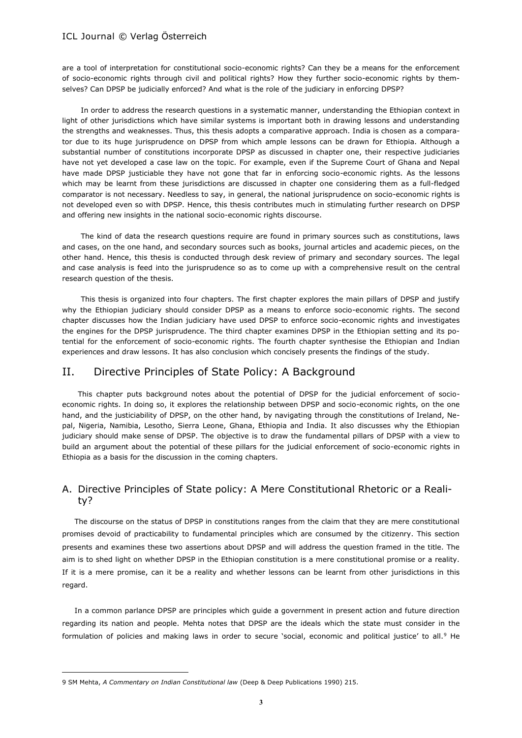are a tool of interpretation for constitutional socio-economic rights? Can they be a means for the enforcement of socio-economic rights through civil and political rights? How they further socio-economic rights by themselves? Can DPSP be judicially enforced? And what is the role of the judiciary in enforcing DPSP?

In order to address the research questions in a systematic manner, understanding the Ethiopian context in light of other jurisdictions which have similar systems is important both in drawing lessons and understanding the strengths and weaknesses. Thus, this thesis adopts a comparative approach. India is chosen as a comparator due to its huge jurisprudence on DPSP from which ample lessons can be drawn for Ethiopia. Although a substantial number of constitutions incorporate DPSP as discussed in chapter one, their respective judiciaries have not yet developed a case law on the topic. For example, even if the Supreme Court of Ghana and Nepal have made DPSP justiciable they have not gone that far in enforcing socio-economic rights. As the lessons which may be learnt from these jurisdictions are discussed in chapter one considering them as a full-fledged comparator is not necessary. Needless to say, in general, the national jurisprudence on socio-economic rights is not developed even so with DPSP. Hence, this thesis contributes much in stimulating further research on DPSP and offering new insights in the national socio-economic rights discourse.

The kind of data the research questions require are found in primary sources such as constitutions, laws and cases, on the one hand, and secondary sources such as books, journal articles and academic pieces, on the other hand. Hence, this thesis is conducted through desk review of primary and secondary sources. The legal and case analysis is feed into the jurisprudence so as to come up with a comprehensive result on the central research question of the thesis.

This thesis is organized into four chapters. The first chapter explores the main pillars of DPSP and justify why the Ethiopian judiciary should consider DPSP as a means to enforce socio-economic rights. The second chapter discusses how the Indian judiciary have used DPSP to enforce socio-economic rights and investigates the engines for the DPSP jurisprudence. The third chapter examines DPSP in the Ethiopian setting and its potential for the enforcement of socio-economic rights. The fourth chapter synthesise the Ethiopian and Indian experiences and draw lessons. It has also conclusion which concisely presents the findings of the study.

# II. Directive Principles of State Policy: A Background

This chapter puts background notes about the potential of DPSP for the judicial enforcement of socioeconomic rights. In doing so, it explores the relationship between DPSP and socio-economic rights, on the one hand, and the justiciability of DPSP, on the other hand, by navigating through the constitutions of Ireland, Nepal, Nigeria, Namibia, Lesotho, Sierra Leone, Ghana, Ethiopia and India. It also discusses why the Ethiopian judiciary should make sense of DPSP. The objective is to draw the fundamental pillars of DPSP with a view to build an argument about the potential of these pillars for the judicial enforcement of socio-economic rights in Ethiopia as a basis for the discussion in the coming chapters.

# A. Directive Principles of State policy: A Mere Constitutional Rhetoric or a Reality?

The discourse on the status of DPSP in constitutions ranges from the claim that they are mere constitutional promises devoid of practicability to fundamental principles which are consumed by the citizenry. This section presents and examines these two assertions about DPSP and will address the question framed in the title. The aim is to shed light on whether DPSP in the Ethiopian constitution is a mere constitutional promise or a reality. If it is a mere promise, can it be a reality and whether lessons can be learnt from other jurisdictions in this regard.

In a common parlance DPSP are principles which guide a government in present action and future direction regarding its nation and people. Mehta notes that DPSP are the ideals which the state must consider in the formulation of policies and making laws in order to secure 'social, economic and political justice' to all.<sup>9</sup> He

<sup>9</sup> SM Mehta, *A Commentary on Indian Constitutional law* (Deep & Deep Publications 1990) 215.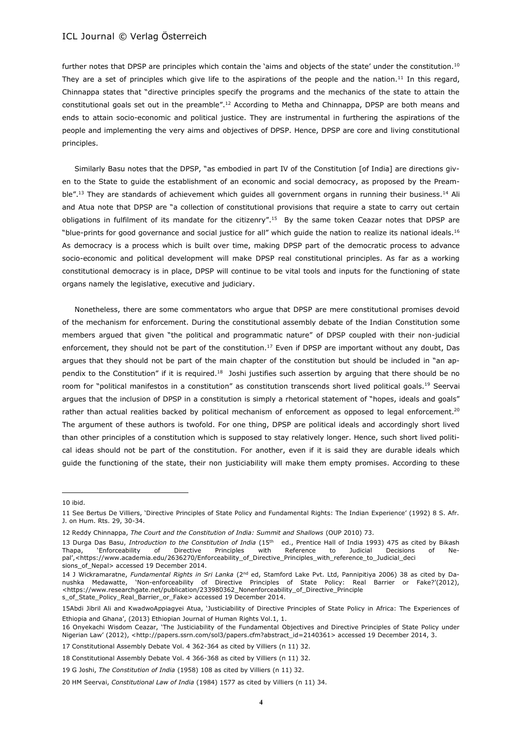further notes that DPSP are principles which contain the 'aims and objects of the state' under the constitution.<sup>10</sup> They are a set of principles which give life to the aspirations of the people and the nation.<sup>11</sup> In this regard, Chinnappa states that "directive principles specify the programs and the mechanics of the state to attain the constitutional goals set out in the preamble".<sup>12</sup> According to Metha and Chinnappa, DPSP are both means and ends to attain socio-economic and political justice. They are instrumental in furthering the aspirations of the people and implementing the very aims and objectives of DPSP. Hence, DPSP are core and living constitutional principles.

Similarly Basu notes that the DPSP, "as embodied in part IV of the Constitution [of India] are directions given to the State to guide the establishment of an economic and social democracy, as proposed by the Preamble".<sup>13</sup> They are standards of achievement which guides all government organs in running their business.<sup>14</sup> Ali and Atua note that DPSP are "a collection of constitutional provisions that require a state to carry out certain obligations in fulfilment of its mandate for the citizenry".<sup>15</sup> By the same token Ceazar notes that DPSP are "blue-prints for good governance and social justice for all" which guide the nation to realize its national ideals.<sup>16</sup> As democracy is a process which is built over time, making DPSP part of the democratic process to advance socio-economic and political development will make DPSP real constitutional principles. As far as a working constitutional democracy is in place, DPSP will continue to be vital tools and inputs for the functioning of state organs namely the legislative, executive and judiciary.

Nonetheless, there are some commentators who argue that DPSP are mere constitutional promises devoid of the mechanism for enforcement. During the constitutional assembly debate of the Indian Constitution some members argued that given "the political and programmatic nature" of DPSP coupled with their non-judicial enforcement, they should not be part of the constitution.<sup>17</sup> Even if DPSP are important without any doubt, Das argues that they should not be part of the main chapter of the constitution but should be included in "an appendix to the Constitution" if it is required.<sup>18</sup> Joshi justifies such assertion by arguing that there should be no room for "political manifestos in a constitution" as constitution transcends short lived political goals.<sup>19</sup> Seervai argues that the inclusion of DPSP in a constitution is simply a rhetorical statement of "hopes, ideals and goals" rather than actual realities backed by political mechanism of enforcement as opposed to legal enforcement.<sup>20</sup> The argument of these authors is twofold. For one thing, DPSP are political ideals and accordingly short lived than other principles of a constitution which is supposed to stay relatively longer. Hence, such short lived political ideas should not be part of the constitution. For another, even if it is said they are durable ideals which guide the functioning of the state, their non justiciability will make them empty promises. According to these

<sup>10</sup> ibid.

<sup>11</sup> See Bertus De Villiers, 'Directive Principles of State Policy and Fundamental Rights: The Indian Experience' (1992) 8 S. Afr. J. on Hum. Rts. 29, 30-34.

<sup>12</sup> Reddy Chinnappa, *The Court and the Constitution of India: Summit and Shallows* (OUP 2010) 73.

<sup>13</sup> Durga Das Basu, *Introduction to the Constitution of India* (15th ed., Prentice Hall of India 1993) 475 as cited by Bikash Thapa, 'Enforceability of Directive Principles with Reference to Judicial Decisions of Nepal',<https://www.academia.edu/2636270/Enforceability\_of\_Directive\_Principles\_with\_reference\_to\_Judicial\_deci sions\_of\_Nepal> accessed 19 December 2014.

<sup>14</sup> J Wickramaratne, *Fundamental Rights in Sri Lanka* (2nd ed, Stamford Lake Pvt. Ltd, Pannipitiya 2006) 38 as cited by Danushka Medawatte, 'Non-enforceability of Directive Principles of State Policy: Real Barrier or Fake?'(2012), <https://www.researchgate.net/publication/233980362\_Nonenforceability\_of\_Directive\_Principle s\_of\_State\_Policy\_Real\_Barrier\_or\_Fake> accessed 19 December 2014.

<sup>15</sup>Abdi Jibril Ali and KwadwoAppiagyei Atua, 'Justiciability of Directive Principles of State Policy in Africa: The Experiences of Ethiopia and Ghana', (2013) Ethiopian Journal of Human Rights Vol.1, 1.

<sup>16</sup> Onyekachi Wisdom Ceazar, 'The Justiciability of the Fundamental Objectives and Directive Principles of State Policy under Nigerian Law' (2012), <http://papers.ssrn.com/sol3/papers.cfm?abstract\_id=2140361> accessed 19 December 2014, 3.

<sup>17</sup> Constitutional Assembly Debate Vol. 4 362-364 as cited by Villiers (n 11) 32.

<sup>18</sup> Constitutional Assembly Debate Vol. 4 366-368 as cited by Villiers (n 11) 32.

<sup>19</sup> G Joshi, *The Constitution of India* (1958) 108 as cited by Villiers (n 11) 32.

<sup>20</sup> HM Seervai, *Constitutional Law of India* (1984) 1577 as cited by Villiers (n 11) 34.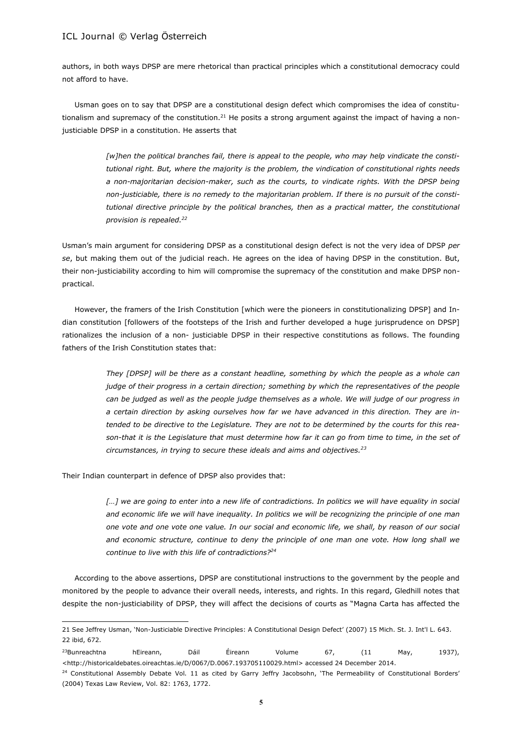authors, in both ways DPSP are mere rhetorical than practical principles which a constitutional democracy could not afford to have.

Usman goes on to say that DPSP are a constitutional design defect which compromises the idea of constitutionalism and supremacy of the constitution.<sup>21</sup> He posits a strong argument against the impact of having a nonjusticiable DPSP in a constitution. He asserts that

> *[w]hen the political branches fail, there is appeal to the people, who may help vindicate the constitutional right. But, where the majority is the problem, the vindication of constitutional rights needs a non-majoritarian decision-maker, such as the courts, to vindicate rights. With the DPSP being non-justiciable, there is no remedy to the majoritarian problem. If there is no pursuit of the constitutional directive principle by the political branches, then as a practical matter, the constitutional provision is repealed.<sup>22</sup>*

Usman's main argument for considering DPSP as a constitutional design defect is not the very idea of DPSP *per se*, but making them out of the judicial reach. He agrees on the idea of having DPSP in the constitution. But, their non-justiciability according to him will compromise the supremacy of the constitution and make DPSP nonpractical.

However, the framers of the Irish Constitution [which were the pioneers in constitutionalizing DPSP] and Indian constitution [followers of the footsteps of the Irish and further developed a huge jurisprudence on DPSP] rationalizes the inclusion of a non- justiciable DPSP in their respective constitutions as follows. The founding fathers of the Irish Constitution states that:

> *They [DPSP] will be there as a constant headline, something by which the people as a whole can judge of their progress in a certain direction; something by which the representatives of the people can be judged as well as the people judge themselves as a whole. We will judge of our progress in a certain direction by asking ourselves how far we have advanced in this direction. They are intended to be directive to the Legislature. They are not to be determined by the courts for this reason-that it is the Legislature that must determine how far it can go from time to time, in the set of circumstances, in trying to secure these ideals and aims and objectives.<sup>23</sup>*

Their Indian counterpart in defence of DPSP also provides that:

 $\overline{\phantom{a}}$ 

[...] we are going to enter into a new life of contradictions. In politics we will have equality in social *and economic life we will have inequality. In politics we will be recognizing the principle of one man one vote and one vote one value. In our social and economic life, we shall, by reason of our social and economic structure, continue to deny the principle of one man one vote. How long shall we continue to live with this life of contradictions?<sup>24</sup>* 

According to the above assertions, DPSP are constitutional instructions to the government by the people and monitored by the people to advance their overall needs, interests, and rights. In this regard, Gledhill notes that despite the non-justiciability of DPSP, they will affect the decisions of courts as "Magna Carta has affected the

<sup>21</sup> See Jeffrey Usman, 'Non-Justiciable Directive Principles: A Constitutional Design Defect' (2007) 15 Mich. St. J. Int'l L. 643. 22 ibid, 672.

 $^{23}$ Bunreachtna hEireann, Dáil Éireann Volume 67, (11 May, 1937), <http://historicaldebates.oireachtas.ie/D/0067/D.0067.193705110029.html> accessed 24 December 2014.

<sup>&</sup>lt;sup>24</sup> Constitutional Assembly Debate Vol. 11 as cited by Garry Jeffry Jacobsohn, 'The Permeability of Constitutional Borders' (2004) Texas Law Review, Vol. 82: 1763, 1772.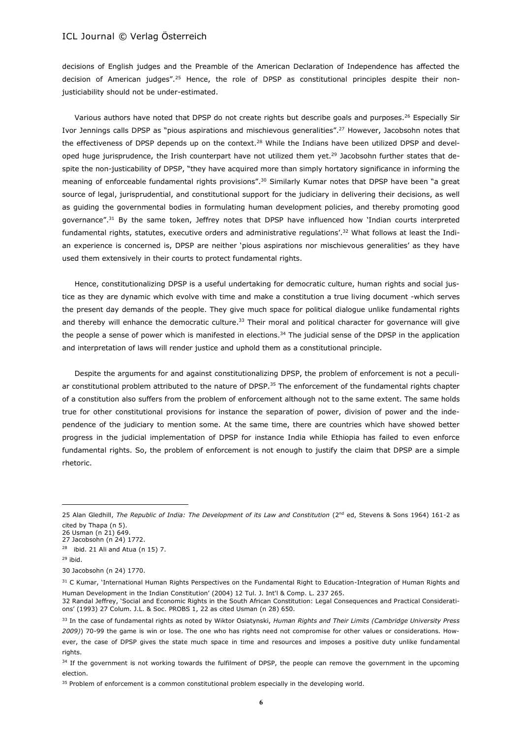decisions of English judges and the Preamble of the American Declaration of Independence has affected the decision of American judges".<sup>25</sup> Hence, the role of DPSP as constitutional principles despite their nonjusticiability should not be under-estimated.

Various authors have noted that DPSP do not create rights but describe goals and purposes.<sup>26</sup> Especially Sir Ivor Jennings calls DPSP as "pious aspirations and mischievous generalities".<sup>27</sup> However, Jacobsohn notes that the effectiveness of DPSP depends up on the context.<sup>28</sup> While the Indians have been utilized DPSP and developed huge jurisprudence, the Irish counterpart have not utilized them yet.<sup>29</sup> Jacobsohn further states that despite the non-justicability of DPSP, "they have acquired more than simply hortatory significance in informing the meaning of enforceable fundamental rights provisions".<sup>30</sup> Similarly Kumar notes that DPSP have been "a great source of legal, jurisprudential, and constitutional support for the judiciary in delivering their decisions, as well as guiding the governmental bodies in formulating human development policies, and thereby promoting good governance".<sup>31</sup> By the same token, Jeffrey notes that DPSP have influenced how 'Indian courts interpreted fundamental rights, statutes, executive orders and administrative regulations'.<sup>32</sup> What follows at least the Indian experience is concerned is, DPSP are neither 'pious aspirations nor mischievous generalities' as they have used them extensively in their courts to protect fundamental rights.

Hence, constitutionalizing DPSP is a useful undertaking for democratic culture, human rights and social justice as they are dynamic which evolve with time and make a constitution a true living document -which serves the present day demands of the people. They give much space for political dialogue unlike fundamental rights and thereby will enhance the democratic culture.<sup>33</sup> Their moral and political character for governance will give the people a sense of power which is manifested in elections.<sup>34</sup> The judicial sense of the DPSP in the application and interpretation of laws will render justice and uphold them as a constitutional principle.

Despite the arguments for and against constitutionalizing DPSP, the problem of enforcement is not a peculiar constitutional problem attributed to the nature of DPSP.<sup>35</sup> The enforcement of the fundamental rights chapter of a constitution also suffers from the problem of enforcement although not to the same extent. The same holds true for other constitutional provisions for instance the separation of power, division of power and the independence of the judiciary to mention some. At the same time, there are countries which have showed better progress in the judicial implementation of DPSP for instance India while Ethiopia has failed to even enforce fundamental rights. So, the problem of enforcement is not enough to justify the claim that DPSP are a simple rhetoric.

<sup>25</sup> Alan Gledhill, *The Republic of India: The Development of its Law and Constitution* (2nd ed, Stevens & Sons 1964) 161-2 as cited by Thapa (n 5).

<sup>26</sup> Usman (n 21) 649.

<sup>27</sup> Jacobsohn (n 24) 1772.  $28$  ibid. 21 Ali and Atua (n 15) 7.

<sup>29</sup> ibid.

<sup>30</sup> Jacobsohn (n 24) 1770.

<sup>&</sup>lt;sup>31</sup> C Kumar, 'International Human Rights Perspectives on the Fundamental Right to Education-Integration of Human Rights and Human Development in the Indian Constitution' (2004) 12 Tul. J. Int'l & Comp. L. 237 265.

<sup>32</sup> Randal Jeffrey, 'Social and Economic Rights in the South African Constitution: Legal Consequences and Practical Considerations' (1993) 27 Colum. J.L. & Soc. PROBS 1, 22 as cited Usman (n 28) 650.

<sup>33</sup> In the case of fundamental rights as noted by Wiktor Osiatynski, *Human Rights and Their Limits (Cambridge University Press 2009)*) 70-99 the game is win or lose. The one who has rights need not compromise for other values or considerations. However, the case of DPSP gives the state much space in time and resources and imposes a positive duty unlike fundamental rights.

<sup>&</sup>lt;sup>34</sup> If the government is not working towards the fulfilment of DPSP, the people can remove the government in the upcoming election.

<sup>&</sup>lt;sup>35</sup> Problem of enforcement is a common constitutional problem especially in the developing world.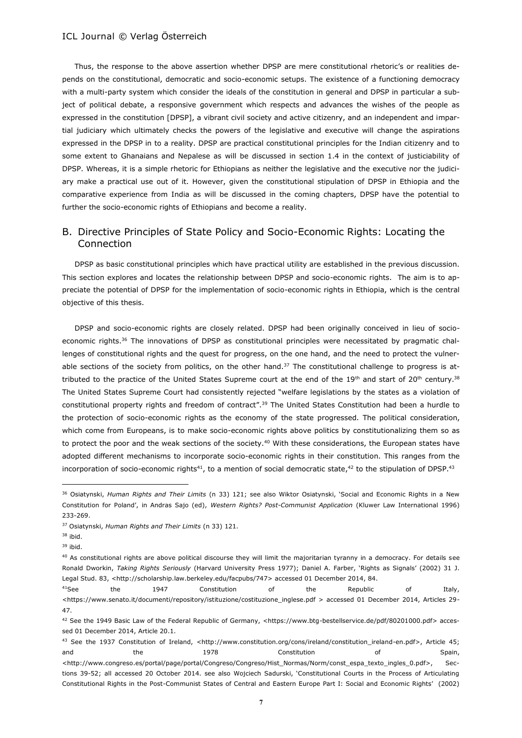Thus, the response to the above assertion whether DPSP are mere constitutional rhetoric's or realities depends on the constitutional, democratic and socio-economic setups. The existence of a functioning democracy with a multi-party system which consider the ideals of the constitution in general and DPSP in particular a subject of political debate, a responsive government which respects and advances the wishes of the people as expressed in the constitution [DPSP], a vibrant civil society and active citizenry, and an independent and impartial judiciary which ultimately checks the powers of the legislative and executive will change the aspirations expressed in the DPSP in to a reality. DPSP are practical constitutional principles for the Indian citizenry and to some extent to Ghanaians and Nepalese as will be discussed in section 1.4 in the context of justiciability of DPSP. Whereas, it is a simple rhetoric for Ethiopians as neither the legislative and the executive nor the judiciary make a practical use out of it. However, given the constitutional stipulation of DPSP in Ethiopia and the comparative experience from India as will be discussed in the coming chapters, DPSP have the potential to further the socio-economic rights of Ethiopians and become a reality.

# B. Directive Principles of State Policy and Socio-Economic Rights: Locating the Connection

DPSP as basic constitutional principles which have practical utility are established in the previous discussion. This section explores and locates the relationship between DPSP and socio-economic rights. The aim is to appreciate the potential of DPSP for the implementation of socio-economic rights in Ethiopia, which is the central objective of this thesis.

DPSP and socio-economic rights are closely related. DPSP had been originally conceived in lieu of socioeconomic rights.<sup>36</sup> The innovations of DPSP as constitutional principles were necessitated by pragmatic challenges of constitutional rights and the quest for progress, on the one hand, and the need to protect the vulnerable sections of the society from politics, on the other hand. $37$  The constitutional challenge to progress is attributed to the practice of the United States Supreme court at the end of the 19<sup>th</sup> and start of 20<sup>th</sup> century.<sup>38</sup> The United States Supreme Court had consistently rejected "welfare legislations by the states as a violation of constitutional property rights and freedom of contract".<sup>39</sup> The United States Constitution had been a hurdle to the protection of socio-economic rights as the economy of the state progressed. The political consideration, which come from Europeans, is to make socio-economic rights above politics by constitutionalizing them so as to protect the poor and the weak sections of the society.<sup>40</sup> With these considerations, the European states have adopted different mechanisms to incorporate socio-economic rights in their constitution. This ranges from the incorporation of socio-economic rights<sup>41</sup>, to a mention of social democratic state,<sup>42</sup> to the stipulation of DPSP.<sup>43</sup>

<sup>36</sup> Osiatynski, *Human Rights and Their Limits* (n 33) 121; see also Wiktor Osiatynski, 'Social and Economic Rights in a New Constitution for Poland', in Andras Sajo (ed), *Western Rights? Post-Communist Application* (Kluwer Law International 1996) 233-269.

<sup>37</sup> Osiatynski, *Human Rights and Their Limits* (n 33) 121.

<sup>38</sup> ibid.

 $39$  ihid.

<sup>&</sup>lt;sup>40</sup> As constitutional rights are above political discourse they will limit the majoritarian tyranny in a democracy. For details see Ronald Dworkin, *Taking Rights Seriously* (Harvard University Press 1977); Daniel A. Farber, 'Rights as Signals' (2002) 31 J. Legal Stud. 83, <http://scholarship.law.berkeley.edu/facpubs/747> accessed 01 December 2014, 84.

<sup>&</sup>lt;sup>41</sup>See the 1947 Constitution of the Republic of Italy, <https://www.senato.it/documenti/repository/istituzione/costituzione\_inglese.pdf > accessed 01 December 2014, Articles 29-47.

<sup>42</sup> See the 1949 Basic Law of the Federal Republic of Germany, <https://www.btg-bestellservice.de/pdf/80201000.pdf> accessed 01 December 2014, Article 20.1.

<sup>43</sup> See the 1937 Constitution of Ireland, <http://www.constitution.org/cons/ireland/constitution\_ireland-en.pdf>, Article 45; and the 1978 Constitution of Spain, and Spain, <http://www.congreso.es/portal/page/portal/Congreso/Congreso/Hist\_Normas/Norm/const\_espa\_texto\_ingles\_0.pdf>, Sections 39-52; all accessed 20 October 2014. see also Wojciech Sadurski, 'Constitutional Courts in the Process of Articulating Constitutional Rights in the Post-Communist States of Central and Eastern Europe Part I: Social and Economic Rights' (2002)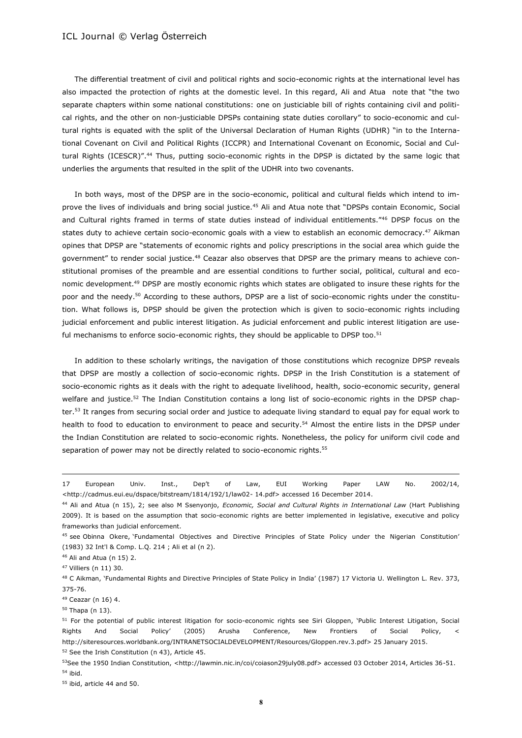The differential treatment of civil and political rights and socio-economic rights at the international level has also impacted the protection of rights at the domestic level. In this regard, Ali and Atua note that "the two separate chapters within some national constitutions: one on justiciable bill of rights containing civil and political rights, and the other on non-justiciable DPSPs containing state duties corollary" to socio-economic and cultural rights is equated with the split of the Universal Declaration of Human Rights (UDHR) "in to the International Covenant on Civil and Political Rights (ICCPR) and International Covenant on Economic, Social and Cultural Rights (ICESCR)".<sup>44</sup> Thus, putting socio-economic rights in the DPSP is dictated by the same logic that underlies the arguments that resulted in the split of the UDHR into two covenants.

In both ways, most of the DPSP are in the socio-economic, political and cultural fields which intend to improve the lives of individuals and bring social justice.<sup>45</sup> Ali and Atua note that "DPSPs contain Economic, Social and Cultural rights framed in terms of state duties instead of individual entitlements."<sup>46</sup> DPSP focus on the states duty to achieve certain socio-economic goals with a view to establish an economic democracy.<sup>47</sup> Aikman opines that DPSP are "statements of economic rights and policy prescriptions in the social area which guide the government" to render social justice.<sup>48</sup> Ceazar also observes that DPSP are the primary means to achieve constitutional promises of the preamble and are essential conditions to further social, political, cultural and economic development.<sup>49</sup> DPSP are mostly economic rights which states are obligated to insure these rights for the poor and the needy.<sup>50</sup> According to these authors, DPSP are a list of socio-economic rights under the constitution. What follows is, DPSP should be given the protection which is given to socio-economic rights including judicial enforcement and public interest litigation. As judicial enforcement and public interest litigation are useful mechanisms to enforce socio-economic rights, they should be applicable to DPSP too.<sup>51</sup>

In addition to these scholarly writings, the navigation of those constitutions which recognize DPSP reveals that DPSP are mostly a collection of socio-economic rights. DPSP in the Irish Constitution is a statement of socio-economic rights as it deals with the right to adequate livelihood, health, socio-economic security, general welfare and justice.<sup>52</sup> The Indian Constitution contains a long list of socio-economic rights in the DPSP chapter.<sup>53</sup> It ranges from securing social order and justice to adequate living standard to equal pay for equal work to health to food to education to environment to peace and security.<sup>54</sup> Almost the entire lists in the DPSP under the Indian Constitution are related to socio-economic rights. Nonetheless, the policy for uniform civil code and separation of power may not be directly related to socio-economic rights.<sup>55</sup>

 $\overline{\phantom{a}}$ 

<sup>49</sup> Ceazar (n 16) 4.

<sup>55</sup> ibid, article 44 and 50.

<sup>17</sup> European Univ. Inst., Dep't of Law, EUI Working Paper LAW No. 2002/14, <http://cadmus.eui.eu/dspace/bitstream/1814/192/1/law02- 14.pdf> accessed 16 December 2014.

<sup>44</sup> Ali and Atua (n 15), 2; see also M Ssenyonjo, *Economic, Social and Cultural Rights in International Law* (Hart Publishing 2009). It is based on the assumption that socio-economic rights are better implemented in legislative, executive and policy frameworks than judicial enforcement.

<sup>45</sup> see Obinna Okere, 'Fundamental Objectives and Directive Principles of State Policy under the Nigerian Constitution' (1983) 32 Int'l & Comp. L.Q. 214 ; Ali et al (n 2).

<sup>46</sup> Ali and Atua (n 15) 2.

<sup>47</sup> Villiers (n 11) 30.

<sup>48</sup> C Aikman, 'Fundamental Rights and Directive Principles of State Policy in India' (1987) 17 Victoria U. Wellington L. Rev. 373, 375-76.

<sup>50</sup> Thapa (n 13).

<sup>51</sup> For the potential of public interest litigation for socio-economic rights see Siri Gloppen, 'Public Interest Litigation, Social Rights And Social Policy' (2005) Arusha Conference, New Frontiers of Social Policy, < http://siteresources.worldbank.org/INTRANETSOCIALDEVELOPMENT/Resources/Gloppen.rev.3.pdf> 25 January 2015. <sup>52</sup> See the Irish Constitution (n 43), Article 45.

<sup>53</sup>See the 1950 Indian Constitution, <http://lawmin.nic.in/coi/coiason29july08.pdf> accessed 03 October 2014, Articles 36-51. <sup>54</sup> ibid.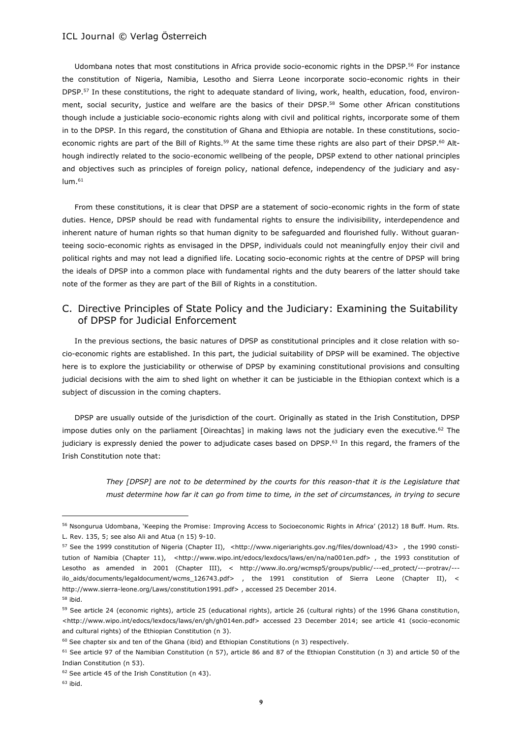Udombana notes that most constitutions in Africa provide socio-economic rights in the DPSP.<sup>56</sup> For instance the constitution of Nigeria, Namibia, Lesotho and Sierra Leone incorporate socio-economic rights in their DPSP.<sup>57</sup> In these constitutions, the right to adequate standard of living, work, health, education, food, environment, social security, justice and welfare are the basics of their DPSP.<sup>58</sup> Some other African constitutions though include a justiciable socio-economic rights along with civil and political rights, incorporate some of them in to the DPSP. In this regard, the constitution of Ghana and Ethiopia are notable. In these constitutions, socioeconomic rights are part of the Bill of Rights.<sup>59</sup> At the same time these rights are also part of their DPSP.<sup>60</sup> Although indirectly related to the socio-economic wellbeing of the people, DPSP extend to other national principles and objectives such as principles of foreign policy, national defence, independency of the judiciary and asy $lum.<sup>61</sup>$ 

From these constitutions, it is clear that DPSP are a statement of socio-economic rights in the form of state duties. Hence, DPSP should be read with fundamental rights to ensure the indivisibility, interdependence and inherent nature of human rights so that human dignity to be safeguarded and flourished fully. Without guaranteeing socio-economic rights as envisaged in the DPSP, individuals could not meaningfully enjoy their civil and political rights and may not lead a dignified life. Locating socio-economic rights at the centre of DPSP will bring the ideals of DPSP into a common place with fundamental rights and the duty bearers of the latter should take note of the former as they are part of the Bill of Rights in a constitution.

# C. Directive Principles of State Policy and the Judiciary: Examining the Suitability of DPSP for Judicial Enforcement

In the previous sections, the basic natures of DPSP as constitutional principles and it close relation with socio-economic rights are established. In this part, the judicial suitability of DPSP will be examined. The objective here is to explore the justiciability or otherwise of DPSP by examining constitutional provisions and consulting judicial decisions with the aim to shed light on whether it can be justiciable in the Ethiopian context which is a subject of discussion in the coming chapters.

DPSP are usually outside of the jurisdiction of the court. Originally as stated in the Irish Constitution, DPSP impose duties only on the parliament [Oireachtas] in making laws not the judiciary even the executive.<sup>62</sup> The judiciary is expressly denied the power to adjudicate cases based on DPSP.<sup>63</sup> In this regard, the framers of the Irish Constitution note that:

> *They [DPSP] are not to be determined by the courts for this reason-that it is the Legislature that must determine how far it can go from time to time, in the set of circumstances, in trying to secure*

<sup>56</sup> Nsongurua Udombana, 'Keeping the Promise: Improving Access to Socioeconomic Rights in Africa' (2012) 18 Buff. Hum. Rts. L. Rev. 135, 5; see also Ali and Atua (n 15) 9-10.

<sup>57</sup> See the 1999 constitution of Nigeria (Chapter II), <http://www.nigeriarights.gov.ng/files/download/43> , the 1990 constitution of Namibia (Chapter 11), <http://www.wipo.int/edocs/lexdocs/laws/en/na/na001en.pdf>, the 1993 constitution of Lesotho as amended in 2001 (Chapter III), < http://www.ilo.org/wcmsp5/groups/public/---ed\_protect/---protrav/-- ilo\_aids/documents/legaldocument/wcms\_126743.pdf> , the 1991 constitution of Sierra Leone (Chapter II), < http://www.sierra-leone.org/Laws/constitution1991.pdf> , accessed 25 December 2014.

<sup>58</sup> ibid.

<sup>59</sup> See article 24 (economic rights), article 25 (educational rights), article 26 (cultural rights) of the 1996 Ghana constitution, <http://www.wipo.int/edocs/lexdocs/laws/en/gh/gh014en.pdf> accessed 23 December 2014; see article 41 (socio-economic and cultural rights) of the Ethiopian Constitution (n 3).

 $60$  See chapter six and ten of the Ghana (ibid) and Ethiopian Constitutions (n 3) respectively.

 $61$  See article 97 of the Namibian Constitution (n 57), article 86 and 87 of the Ethiopian Constitution (n 3) and article 50 of the Indian Constitution (n 53).

<sup>62</sup> See article 45 of the Irish Constitution (n 43).

 $63$  ibid.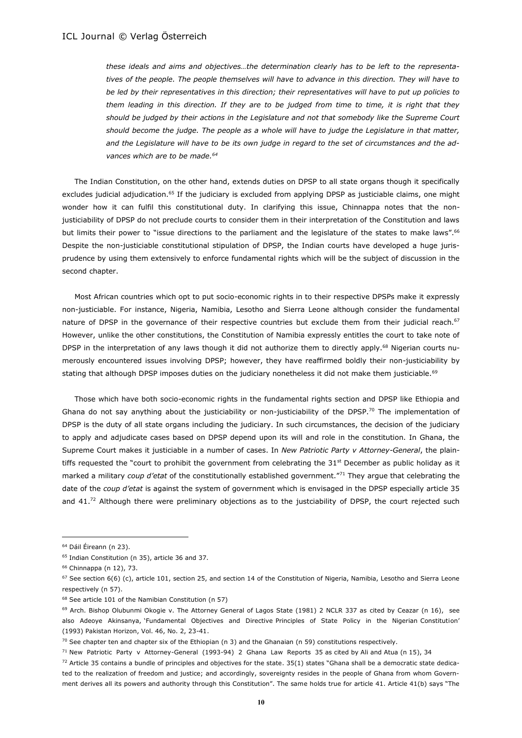*these ideals and aims and objectives…the determination clearly has to be left to the representatives of the people. The people themselves will have to advance in this direction. They will have to be led by their representatives in this direction; their representatives will have to put up policies to them leading in this direction. If they are to be judged from time to time, it is right that they should be judged by their actions in the Legislature and not that somebody like the Supreme Court should become the judge. The people as a whole will have to judge the Legislature in that matter, and the Legislature will have to be its own judge in regard to the set of circumstances and the advances which are to be made.<sup>64</sup>* 

The Indian Constitution, on the other hand, extends duties on DPSP to all state organs though it specifically excludes judicial adjudication.<sup>65</sup> If the judiciary is excluded from applying DPSP as justiciable claims, one might wonder how it can fulfil this constitutional duty. In clarifying this issue, Chinnappa notes that the nonjusticiability of DPSP do not preclude courts to consider them in their interpretation of the Constitution and laws but limits their power to "issue directions to the parliament and the legislature of the states to make laws".<sup>66</sup> Despite the non-justiciable constitutional stipulation of DPSP, the Indian courts have developed a huge jurisprudence by using them extensively to enforce fundamental rights which will be the subject of discussion in the second chapter.

Most African countries which opt to put socio-economic rights in to their respective DPSPs make it expressly non-justiciable. For instance, Nigeria, Namibia, Lesotho and Sierra Leone although consider the fundamental nature of DPSP in the governance of their respective countries but exclude them from their judicial reach.<sup>67</sup> However, unlike the other constitutions, the Constitution of Namibia expressly entitles the court to take note of DPSP in the interpretation of any laws though it did not authorize them to directly apply.<sup>68</sup> Nigerian courts numerously encountered issues involving DPSP; however, they have reaffirmed boldly their non-justiciability by stating that although DPSP imposes duties on the judiciary nonetheless it did not make them justiciable.<sup>69</sup>

Those which have both socio-economic rights in the fundamental rights section and DPSP like Ethiopia and Ghana do not say anything about the justiciability or non-justiciability of the DPSP.<sup>70</sup> The implementation of DPSP is the duty of all state organs including the judiciary. In such circumstances, the decision of the judiciary to apply and adjudicate cases based on DPSP depend upon its will and role in the constitution. In Ghana, the Supreme Court makes it justiciable in a number of cases. In *New Patriotic Party v Attorney-General*, the plaintiffs requested the "court to prohibit the government from celebrating the  $31<sup>st</sup>$  December as public holiday as it marked a military *coup d'etat* of the constitutionally established government."<sup>71</sup> They argue that celebrating the date of the *coup d'etat* is against the system of government which is envisaged in the DPSP especially article 35 and 41.<sup>72</sup> Although there were preliminary objections as to the justciability of DPSP, the court rejected such

<sup>64</sup> Dáil Éireann (n 23).

<sup>65</sup> Indian Constitution (n 35), article 36 and 37.

<sup>66</sup> Chinnappa (n 12), 73.

 $67$  See section  $6(6)$  (c), article 101, section 25, and section 14 of the Constitution of Nigeria, Namibia, Lesotho and Sierra Leone respectively (n 57).

<sup>68</sup> See article 101 of the Namibian Constitution (n 57)

 $69$  Arch. Bishop Olubunmi Okogie v. The Attorney General of Lagos State (1981) 2 NCLR 337 as cited by Ceazar (n 16), see also Adeoye Akinsanya, 'Fundamental Objectives and Directive Principles of State Policy in the Nigerian Constitution' (1993) Pakistan Horizon, Vol. 46, No. 2, 23-41.

 $70$  See chapter ten and chapter six of the Ethiopian (n 3) and the Ghanaian (n 59) constitutions respectively.

<sup>71</sup> New Patriotic Party v Attorney-General (1993-94) 2 Ghana Law Reports 35 as cited by Ali and Atua (n 15), 34

 $72$  Article 35 contains a bundle of principles and objectives for the state. 35(1) states "Ghana shall be a democratic state dedicated to the realization of freedom and justice; and accordingly, sovereignty resides in the people of Ghana from whom Government derives all its powers and authority through this Constitution". The same holds true for article 41. Article 41(b) says "The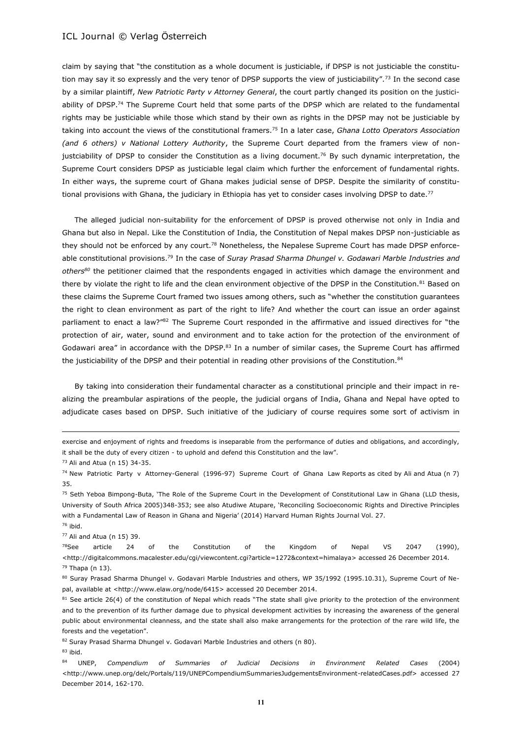claim by saying that "the constitution as a whole document is justiciable, if DPSP is not justiciable the constitution may say it so expressly and the very tenor of DPSP supports the view of justiciability".<sup>73</sup> In the second case by a similar plaintiff, *New Patriotic Party v Attorney General*, the court partly changed its position on the justiciability of DPSP.<sup>74</sup> The Supreme Court held that some parts of the DPSP which are related to the fundamental rights may be justiciable while those which stand by their own as rights in the DPSP may not be justiciable by taking into account the views of the constitutional framers.<sup>75</sup> In a later case, *Ghana Lotto Operators Association (and 6 others) v National Lottery Authority*, the Supreme Court departed from the framers view of nonjustciability of DPSP to consider the Constitution as a living document.<sup>76</sup> By such dynamic interpretation, the Supreme Court considers DPSP as justiciable legal claim which further the enforcement of fundamental rights. In either ways, the supreme court of Ghana makes judicial sense of DPSP. Despite the similarity of constitutional provisions with Ghana, the judiciary in Ethiopia has yet to consider cases involving DPSP to date.<sup>77</sup>

The alleged judicial non-suitability for the enforcement of DPSP is proved otherwise not only in India and Ghana but also in Nepal. Like the Constitution of India, the Constitution of Nepal makes DPSP non-justiciable as they should not be enforced by any court.<sup>78</sup> Nonetheless, the Nepalese Supreme Court has made DPSP enforceable constitutional provisions.<sup>79</sup> In the case of *Suray Prasad Sharma Dhungel v. Godawari Marble Industries and others<sup>80</sup>* the petitioner claimed that the respondents engaged in activities which damage the environment and there by violate the right to life and the clean environment objective of the DPSP in the Constitution.<sup>81</sup> Based on these claims the Supreme Court framed two issues among others, such as "whether the constitution guarantees the right to clean environment as part of the right to life? And whether the court can issue an order against parliament to enact a law?"<sup>82</sup> The Supreme Court responded in the affirmative and issued directives for "the protection of air, water, sound and environment and to take action for the protection of the environment of Godawari area" in accordance with the DPSP.<sup>83</sup> In a number of similar cases, the Supreme Court has affirmed the justiciability of the DPSP and their potential in reading other provisions of the Constitution.<sup>84</sup>

By taking into consideration their fundamental character as a constitutional principle and their impact in realizing the preambular aspirations of the people, the judicial organs of India, Ghana and Nepal have opted to adjudicate cases based on DPSP. Such initiative of the judiciary of course requires some sort of activism in

 $\overline{\phantom{a}}$ 

<sup>77</sup> Ali and Atua (n 15) 39.

<sup>76</sup> ibid.

exercise and enjoyment of rights and freedoms is inseparable from the performance of duties and obligations, and accordingly, it shall be the duty of every citizen - to uphold and defend this Constitution and the law".

<sup>73</sup> Ali and Atua (n 15) 34-35.

<sup>74</sup> New Patriotic Party v Attorney-General (1996-97) Supreme Court of Ghana Law Reports as cited by Ali and Atua (n 7) 35.

<sup>75</sup> Seth Yeboa Bimpong-Buta, 'The Role of the Supreme Court in the Development of Constitutional Law in Ghana (LLD thesis, University of South Africa 2005)348-353; see also Atudiwe Atupare, 'Reconciling Socioeconomic Rights and Directive Principles with a Fundamental Law of Reason in Ghana and Nigeria' (2014) Harvard Human Rights Journal Vol. 27.

<sup>&</sup>lt;sup>78</sup>See article 24 of the Constitution of the Kingdom of Nepal VS 2047 (1990), <http://digitalcommons.macalester.edu/cgi/viewcontent.cgi?article=1272&context=himalaya> accessed 26 December 2014.  $79$  Thapa (n 13).

<sup>80</sup> Suray Prasad Sharma Dhungel v. Godavari Marble Industries and others, WP 35/1992 (1995.10.31), Supreme Court of Nepal, available at <http://www.elaw.org/node/6415> accessed 20 December 2014.

<sup>81</sup> See article 26(4) of the constitution of Nepal which reads "The state shall give priority to the protection of the environment and to the prevention of its further damage due to physical development activities by increasing the awareness of the general public about environmental cleanness, and the state shall also make arrangements for the protection of the rare wild life, the forests and the vegetation".

<sup>82</sup> Suray Prasad Sharma Dhungel v. Godavari Marble Industries and others (n 80).

<sup>83</sup> ibid.

<sup>84</sup> UNEP, *Compendium of Summaries of Judicial Decisions in Environment Related Cases* (2004) <http://www.unep.org/delc/Portals/119/UNEPCompendiumSummariesJudgementsEnvironment-relatedCases.pdf> accessed 27 December 2014, 162-170.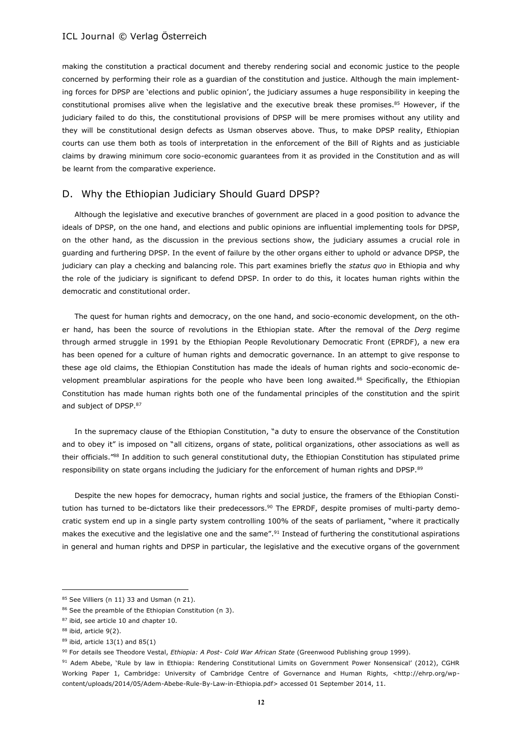making the constitution a practical document and thereby rendering social and economic justice to the people concerned by performing their role as a guardian of the constitution and justice. Although the main implementing forces for DPSP are 'elections and public opinion', the judiciary assumes a huge responsibility in keeping the constitutional promises alive when the legislative and the executive break these promises.<sup>85</sup> However, if the judiciary failed to do this, the constitutional provisions of DPSP will be mere promises without any utility and they will be constitutional design defects as Usman observes above. Thus, to make DPSP reality, Ethiopian courts can use them both as tools of interpretation in the enforcement of the Bill of Rights and as justiciable claims by drawing minimum core socio-economic guarantees from it as provided in the Constitution and as will be learnt from the comparative experience.

### D. Why the Ethiopian Judiciary Should Guard DPSP?

Although the legislative and executive branches of government are placed in a good position to advance the ideals of DPSP, on the one hand, and elections and public opinions are influential implementing tools for DPSP, on the other hand, as the discussion in the previous sections show, the judiciary assumes a crucial role in guarding and furthering DPSP. In the event of failure by the other organs either to uphold or advance DPSP, the judiciary can play a checking and balancing role. This part examines briefly the *status quo* in Ethiopia and why the role of the judiciary is significant to defend DPSP. In order to do this, it locates human rights within the democratic and constitutional order.

The quest for human rights and democracy, on the one hand, and socio-economic development, on the other hand, has been the source of revolutions in the Ethiopian state. After the removal of the *Derg* regime through armed struggle in 1991 by the Ethiopian People Revolutionary Democratic Front (EPRDF), a new era has been opened for a culture of human rights and democratic governance. In an attempt to give response to these age old claims, the Ethiopian Constitution has made the ideals of human rights and socio-economic development preamblular aspirations for the people who have been long awaited.<sup>86</sup> Specifically, the Ethiopian Constitution has made human rights both one of the fundamental principles of the constitution and the spirit and subject of DPSP.<sup>87</sup>

In the supremacy clause of the Ethiopian Constitution, "a duty to ensure the observance of the Constitution and to obey it" is imposed on "all citizens, organs of state, political organizations, other associations as well as their officials."<sup>88</sup> In addition to such general constitutional duty, the Ethiopian Constitution has stipulated prime responsibility on state organs including the judiciary for the enforcement of human rights and DPSP.89

Despite the new hopes for democracy, human rights and social justice, the framers of the Ethiopian Constitution has turned to be-dictators like their predecessors.<sup>90</sup> The EPRDF, despite promises of multi-party democratic system end up in a single party system controlling 100% of the seats of parliament, "where it practically makes the executive and the legislative one and the same".<sup>91</sup> Instead of furthering the constitutional aspirations in general and human rights and DPSP in particular, the legislative and the executive organs of the government

<sup>85</sup> See Villiers (n 11) 33 and Usman (n 21).

<sup>86</sup> See the preamble of the Ethiopian Constitution (n 3).

<sup>87</sup> ibid, see article 10 and chapter 10.

<sup>88</sup> ibid, article 9(2).

<sup>89</sup> ibid, article 13(1) and 85(1)

<sup>90</sup> For details see Theodore Vestal, *Ethiopia: A Post- Cold War African State* (Greenwood Publishing group 1999).

<sup>91</sup> Adem Abebe, 'Rule by law in Ethiopia: Rendering Constitutional Limits on Government Power Nonsensical' (2012), CGHR Working Paper 1, Cambridge: University of Cambridge Centre of Governance and Human Rights, <http://ehrp.org/wpcontent/uploads/2014/05/Adem-Abebe-Rule-By-Law-in-Ethiopia.pdf> accessed 01 September 2014, 11.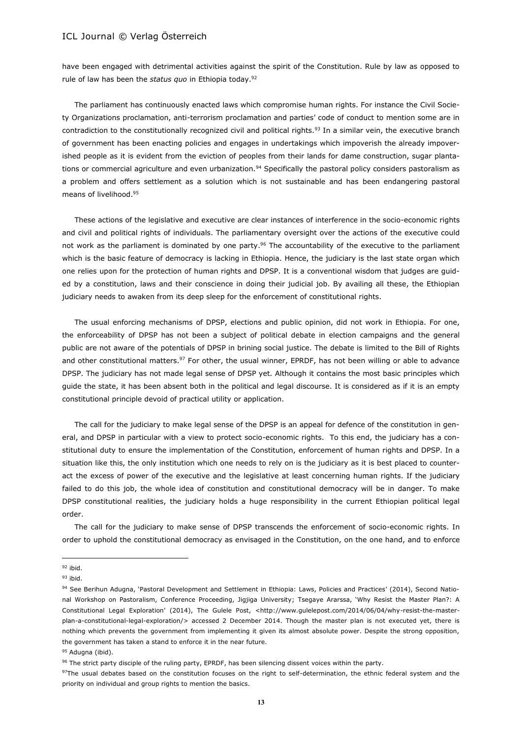have been engaged with detrimental activities against the spirit of the Constitution. Rule by law as opposed to rule of law has been the *status quo* in Ethiopia today.<sup>92</sup>

The parliament has continuously enacted laws which compromise human rights. For instance the Civil Society Organizations proclamation, anti-terrorism proclamation and parties' code of conduct to mention some are in contradiction to the constitutionally recognized civil and political rights.<sup>93</sup> In a similar vein, the executive branch of government has been enacting policies and engages in undertakings which impoverish the already impoverished people as it is evident from the eviction of peoples from their lands for dame construction, sugar plantations or commercial agriculture and even urbanization.<sup>94</sup> Specifically the pastoral policy considers pastoralism as a problem and offers settlement as a solution which is not sustainable and has been endangering pastoral means of livelihood.<sup>95</sup>

These actions of the legislative and executive are clear instances of interference in the socio-economic rights and civil and political rights of individuals. The parliamentary oversight over the actions of the executive could not work as the parliament is dominated by one party.<sup>96</sup> The accountability of the executive to the parliament which is the basic feature of democracy is lacking in Ethiopia. Hence, the judiciary is the last state organ which one relies upon for the protection of human rights and DPSP. It is a conventional wisdom that judges are guided by a constitution, laws and their conscience in doing their judicial job. By availing all these, the Ethiopian judiciary needs to awaken from its deep sleep for the enforcement of constitutional rights.

The usual enforcing mechanisms of DPSP, elections and public opinion, did not work in Ethiopia. For one, the enforceability of DPSP has not been a subject of political debate in election campaigns and the general public are not aware of the potentials of DPSP in brining social justice. The debate is limited to the Bill of Rights and other constitutional matters.<sup>97</sup> For other, the usual winner, EPRDF, has not been willing or able to advance DPSP. The judiciary has not made legal sense of DPSP yet. Although it contains the most basic principles which guide the state, it has been absent both in the political and legal discourse. It is considered as if it is an empty constitutional principle devoid of practical utility or application.

The call for the judiciary to make legal sense of the DPSP is an appeal for defence of the constitution in general, and DPSP in particular with a view to protect socio-economic rights. To this end, the judiciary has a constitutional duty to ensure the implementation of the Constitution, enforcement of human rights and DPSP. In a situation like this, the only institution which one needs to rely on is the judiciary as it is best placed to counteract the excess of power of the executive and the legislative at least concerning human rights. If the judiciary failed to do this job, the whole idea of constitution and constitutional democracy will be in danger. To make DPSP constitutional realities, the judiciary holds a huge responsibility in the current Ethiopian political legal order.

The call for the judiciary to make sense of DPSP transcends the enforcement of socio-economic rights. In order to uphold the constitutional democracy as envisaged in the Constitution, on the one hand, and to enforce

<sup>92</sup> ibid.

 $93$  ibid.

<sup>94</sup> See Berihun Adugna, 'Pastoral Development and Settlement in Ethiopia: Laws, Policies and Practices' (2014), Second National Workshop on Pastoralism, Conference Proceeding, Jigjiga University; Tsegaye Ararssa, 'Why Resist the Master Plan?: A Constitutional Legal Exploration' (2014), The Gulele Post, <http://www.gulelepost.com/2014/06/04/why-resist-the-masterplan-a-constitutional-legal-exploration/> accessed 2 December 2014. Though the master plan is not executed yet, there is nothing which prevents the government from implementing it given its almost absolute power. Despite the strong opposition, the government has taken a stand to enforce it in the near future.

<sup>95</sup> Adugna (ibid).

<sup>96</sup> The strict party disciple of the ruling party, EPRDF, has been silencing dissent voices within the party.

<sup>97</sup>The usual debates based on the constitution focuses on the right to self-determination, the ethnic federal system and the priority on individual and group rights to mention the basics.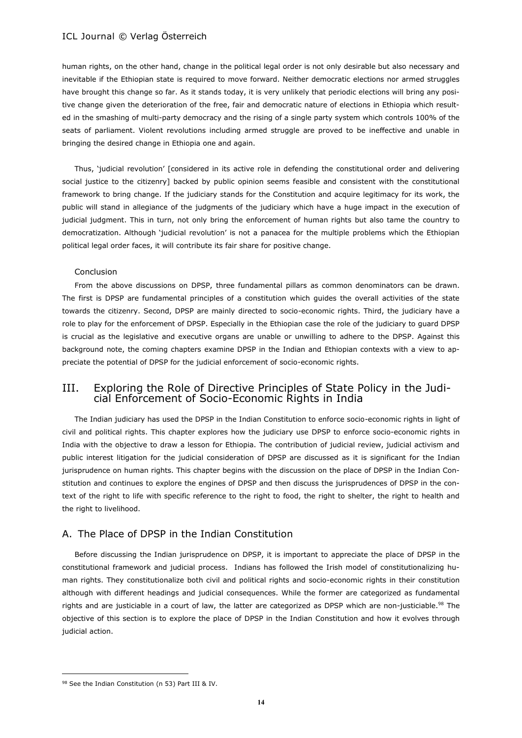human rights, on the other hand, change in the political legal order is not only desirable but also necessary and inevitable if the Ethiopian state is required to move forward. Neither democratic elections nor armed struggles have brought this change so far. As it stands today, it is very unlikely that periodic elections will bring any positive change given the deterioration of the free, fair and democratic nature of elections in Ethiopia which resulted in the smashing of multi-party democracy and the rising of a single party system which controls 100% of the seats of parliament. Violent revolutions including armed struggle are proved to be ineffective and unable in bringing the desired change in Ethiopia one and again.

Thus, 'judicial revolution' [considered in its active role in defending the constitutional order and delivering social justice to the citizenry] backed by public opinion seems feasible and consistent with the constitutional framework to bring change. If the judiciary stands for the Constitution and acquire legitimacy for its work, the public will stand in allegiance of the judgments of the judiciary which have a huge impact in the execution of judicial judgment. This in turn, not only bring the enforcement of human rights but also tame the country to democratization. Although 'judicial revolution' is not a panacea for the multiple problems which the Ethiopian political legal order faces, it will contribute its fair share for positive change.

#### Conclusion

From the above discussions on DPSP, three fundamental pillars as common denominators can be drawn. The first is DPSP are fundamental principles of a constitution which guides the overall activities of the state towards the citizenry. Second, DPSP are mainly directed to socio-economic rights. Third, the judiciary have a role to play for the enforcement of DPSP. Especially in the Ethiopian case the role of the judiciary to guard DPSP is crucial as the legislative and executive organs are unable or unwilling to adhere to the DPSP. Against this background note, the coming chapters examine DPSP in the Indian and Ethiopian contexts with a view to appreciate the potential of DPSP for the judicial enforcement of socio-economic rights.

# III. Exploring the Role of Directive Principles of State Policy in the Judicial Enforcement of Socio-Economic Rights in India

The Indian judiciary has used the DPSP in the Indian Constitution to enforce socio-economic rights in light of civil and political rights. This chapter explores how the judiciary use DPSP to enforce socio-economic rights in India with the objective to draw a lesson for Ethiopia. The contribution of judicial review, judicial activism and public interest litigation for the judicial consideration of DPSP are discussed as it is significant for the Indian jurisprudence on human rights. This chapter begins with the discussion on the place of DPSP in the Indian Constitution and continues to explore the engines of DPSP and then discuss the jurisprudences of DPSP in the context of the right to life with specific reference to the right to food, the right to shelter, the right to health and the right to livelihood.

# A. The Place of DPSP in the Indian Constitution

Before discussing the Indian jurisprudence on DPSP, it is important to appreciate the place of DPSP in the constitutional framework and judicial process. Indians has followed the Irish model of constitutionalizing human rights. They constitutionalize both civil and political rights and socio-economic rights in their constitution although with different headings and judicial consequences. While the former are categorized as fundamental rights and are justiciable in a court of law, the latter are categorized as DPSP which are non-justiciable.<sup>98</sup> The objective of this section is to explore the place of DPSP in the Indian Constitution and how it evolves through judicial action.

<sup>98</sup> See the Indian Constitution (n 53) Part III & IV.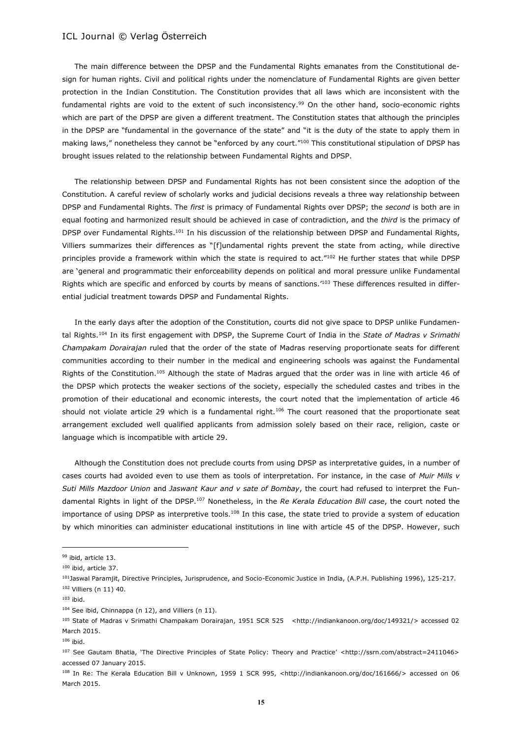The main difference between the DPSP and the Fundamental Rights emanates from the Constitutional design for human rights. Civil and political rights under the nomenclature of Fundamental Rights are given better protection in the Indian Constitution. The Constitution provides that all laws which are inconsistent with the fundamental rights are void to the extent of such inconsistency.<sup>99</sup> On the other hand, socio-economic rights which are part of the DPSP are given a different treatment. The Constitution states that although the principles in the DPSP are "fundamental in the governance of the state" and "it is the duty of the state to apply them in making laws," nonetheless they cannot be "enforced by any court."<sup>100</sup> This constitutional stipulation of DPSP has brought issues related to the relationship between Fundamental Rights and DPSP.

The relationship between DPSP and Fundamental Rights has not been consistent since the adoption of the Constitution. A careful review of scholarly works and judicial decisions reveals a three way relationship between DPSP and Fundamental Rights. The *first* is primacy of Fundamental Rights over DPSP; the *second* is both are in equal footing and harmonized result should be achieved in case of contradiction, and the *third* is the primacy of DPSP over Fundamental Rights.<sup>101</sup> In his discussion of the relationship between DPSP and Fundamental Rights, Villiers summarizes their differences as "[f]undamental rights prevent the state from acting, while directive principles provide a framework within which the state is required to act."102 He further states that while DPSP are 'general and programmatic their enforceability depends on political and moral pressure unlike Fundamental Rights which are specific and enforced by courts by means of sanctions.<sup>'103</sup> These differences resulted in differential judicial treatment towards DPSP and Fundamental Rights.

In the early days after the adoption of the Constitution, courts did not give space to DPSP unlike Fundamental Rights.<sup>104</sup> In its first engagement with DPSP, the Supreme Court of India in the *State of Madras v Srimathi Champakam Dorairajan* ruled that the order of the state of Madras reserving proportionate seats for different communities according to their number in the medical and engineering schools was against the Fundamental Rights of the Constitution.<sup>105</sup> Although the state of Madras argued that the order was in line with article 46 of the DPSP which protects the weaker sections of the society, especially the scheduled castes and tribes in the promotion of their educational and economic interests, the court noted that the implementation of article 46 should not violate article 29 which is a fundamental right.<sup>106</sup> The court reasoned that the proportionate seat arrangement excluded well qualified applicants from admission solely based on their race, religion, caste or language which is incompatible with article 29.

Although the Constitution does not preclude courts from using DPSP as interpretative guides, in a number of cases courts had avoided even to use them as tools of interpretation. For instance, in the case of *Muir Mills v Suti Mills Mazdoor Union* and *Jaswant Kaur and v sate of Bombay*, the court had refused to interpret the Fundamental Rights in light of the DPSP.<sup>107</sup> Nonetheless, in the *Re Kerala Education Bill case*, the court noted the importance of using DPSP as interpretive tools.<sup>108</sup> In this case, the state tried to provide a system of education by which minorities can administer educational institutions in line with article 45 of the DPSP. However, such

<sup>99</sup> ibid, article 13.

<sup>100</sup> ibid, article 37.

<sup>101</sup>Jaswal Paramjit, Directive Principles, Jurisprudence, and Socio-Economic Justice in India, (A.P.H. Publishing 1996), 125-217. <sup>102</sup> Villiers (n 11) 40.

<sup>103</sup> ibid.

<sup>104</sup> See ibid, Chinnappa (n 12), and Villiers (n 11).

<sup>105</sup> State of Madras v Srimathi Champakam Dorairajan, 1951 SCR 525 <http://indiankanoon.org/doc/149321/> accessed 02 March 2015.

<sup>106</sup> ibid.

<sup>107</sup> See Gautam Bhatia, 'The Directive Principles of State Policy: Theory and Practice' <http://ssrn.com/abstract=2411046> accessed 07 January 2015.

<sup>108</sup> In Re: The Kerala Education Bill v Unknown, 1959 1 SCR 995, <http://indiankanoon.org/doc/161666/> accessed on 06 March 2015.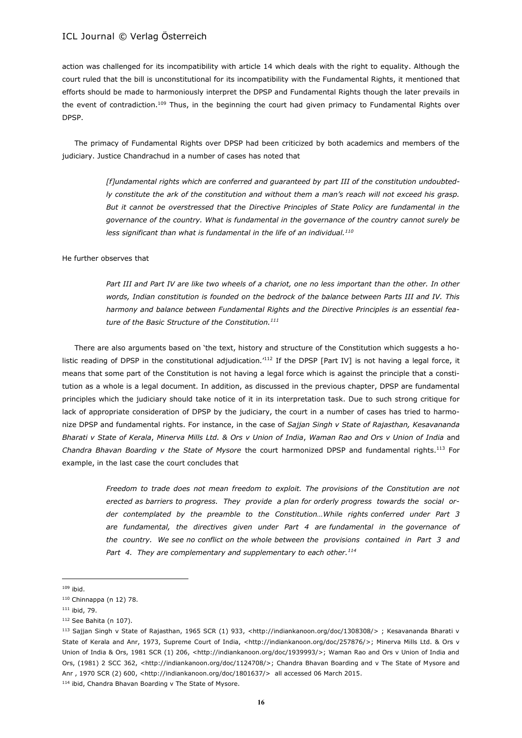action was challenged for its incompatibility with article 14 which deals with the right to equality. Although the court ruled that the bill is unconstitutional for its incompatibility with the Fundamental Rights, it mentioned that efforts should be made to harmoniously interpret the DPSP and Fundamental Rights though the later prevails in the event of contradiction.<sup>109</sup> Thus, in the beginning the court had given primacy to Fundamental Rights over DPSP.

The primacy of Fundamental Rights over DPSP had been criticized by both academics and members of the judiciary. Justice Chandrachud in a number of cases has noted that

> *[f]undamental rights which are conferred and guaranteed by part III of the constitution undoubtedly constitute the ark of the constitution and without them a man's reach will not exceed his grasp. But it cannot be overstressed that the Directive Principles of State Policy are fundamental in the governance of the country. What is fundamental in the governance of the country cannot surely be*  less significant than what is fundamental in the life of an individual.<sup>110</sup>

He further observes that

Part III and Part IV are like two wheels of a chariot, one no less important than the other. In other *words, Indian constitution is founded on the bedrock of the balance between Parts III and IV. This harmony and balance between Fundamental Rights and the Directive Principles is an essential feature of the Basic Structure of the Constitution.<sup>111</sup>* 

There are also arguments based on 'the text, history and structure of the Constitution which suggests a holistic reading of DPSP in the constitutional adjudication.<sup>'112</sup> If the DPSP [Part IV] is not having a legal force, it means that some part of the Constitution is not having a legal force which is against the principle that a constitution as a whole is a legal document. In addition, as discussed in the previous chapter, DPSP are fundamental principles which the judiciary should take notice of it in its interpretation task. Due to such strong critique for lack of appropriate consideration of DPSP by the judiciary, the court in a number of cases has tried to harmonize DPSP and fundamental rights. For instance, in the case of *Sajjan Singh v State of Rajasthan, Kesavananda Bharati v State of Kerala*, *Minerva Mills Ltd. & Ors v Union of India*, *Waman Rao and Ors v Union of India* and *Chandra Bhavan Boarding v the State of Mysore* the court harmonized DPSP and fundamental rights.<sup>113</sup> For example, in the last case the court concludes that

> *Freedom to trade does not mean freedom to exploit. The provisions of the Constitution are not erected as barriers to progress. They provide a plan for orderly progress towards the social order contemplated by the preamble to the Constitution…While rights conferred under Part 3 are fundamental, the directives given under Part 4 are fundamental in the governance of the country. We see no conflict on the whole between the provisions contained in Part 3 and Part 4. They are complementary and supplementary to each other.<sup>114</sup>*

 $\overline{\phantom{a}}$ 

114 ibid, Chandra Bhavan Boarding v The State of Mysore.

<sup>109</sup> ibid.

<sup>110</sup> Chinnappa (n 12) 78.

<sup>111</sup> ibid, 79.

<sup>112</sup> See Bahita (n 107).

<sup>113</sup> Sajjan Singh v State of Rajasthan, 1965 SCR (1) 933, <http://indiankanoon.org/doc/1308308/> ; Kesavananda Bharati v State of Kerala and Anr, 1973, Supreme Court of India, <http://indiankanoon.org/doc/257876/>; Minerva Mills Ltd. & Ors v Union of India & Ors, 1981 SCR (1) 206, <http://indiankanoon.org/doc/1939993/>; Waman Rao and Ors v Union of India and Ors, (1981) 2 SCC 362, <http://indiankanoon.org/doc/1124708/>; Chandra Bhavan Boarding and v The State of Mysore and Anr , 1970 SCR (2) 600, <http://indiankanoon.org/doc/1801637/> all accessed 06 March 2015.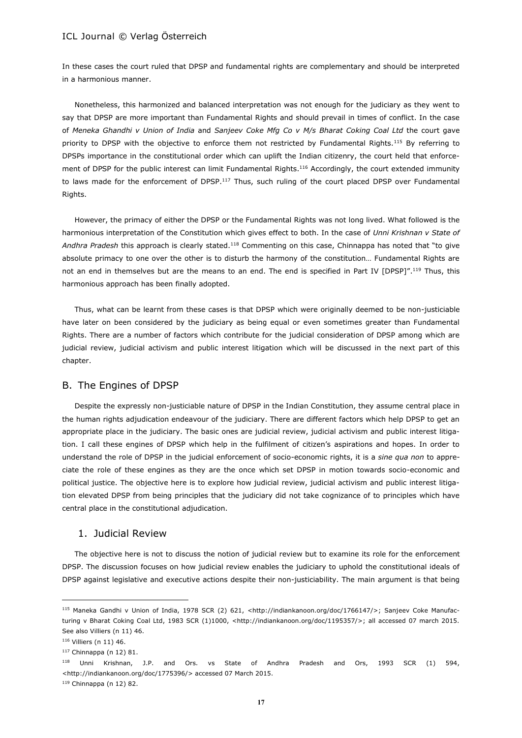In these cases the court ruled that DPSP and fundamental rights are complementary and should be interpreted in a harmonious manner.

Nonetheless, this harmonized and balanced interpretation was not enough for the judiciary as they went to say that DPSP are more important than Fundamental Rights and should prevail in times of conflict. In the case of *Meneka Ghandhi v Union of India* and *Sanjeev Coke Mfg Co v M/s Bharat Coking Coal Ltd* the court gave priority to DPSP with the objective to enforce them not restricted by Fundamental Rights.<sup>115</sup> By referring to DPSPs importance in the constitutional order which can uplift the Indian citizenry, the court held that enforcement of DPSP for the public interest can limit Fundamental Rights.<sup>116</sup> Accordingly, the court extended immunity to laws made for the enforcement of DPSP.<sup>117</sup> Thus, such ruling of the court placed DPSP over Fundamental Rights.

However, the primacy of either the DPSP or the Fundamental Rights was not long lived. What followed is the harmonious interpretation of the Constitution which gives effect to both. In the case of *Unni Krishnan v State of Andhra Pradesh* this approach is clearly stated.<sup>118</sup> Commenting on this case, Chinnappa has noted that "to give absolute primacy to one over the other is to disturb the harmony of the constitution… Fundamental Rights are not an end in themselves but are the means to an end. The end is specified in Part IV [DPSP]".<sup>119</sup> Thus, this harmonious approach has been finally adopted.

Thus, what can be learnt from these cases is that DPSP which were originally deemed to be non-justiciable have later on been considered by the judiciary as being equal or even sometimes greater than Fundamental Rights. There are a number of factors which contribute for the judicial consideration of DPSP among which are judicial review, judicial activism and public interest litigation which will be discussed in the next part of this chapter.

### B. The Engines of DPSP

Despite the expressly non-justiciable nature of DPSP in the Indian Constitution, they assume central place in the human rights adjudication endeavour of the judiciary. There are different factors which help DPSP to get an appropriate place in the judiciary. The basic ones are judicial review, judicial activism and public interest litigation. I call these engines of DPSP which help in the fulfilment of citizen's aspirations and hopes. In order to understand the role of DPSP in the judicial enforcement of socio-economic rights, it is a *sine qua non* to appreciate the role of these engines as they are the once which set DPSP in motion towards socio-economic and political justice. The objective here is to explore how judicial review, judicial activism and public interest litigation elevated DPSP from being principles that the judiciary did not take cognizance of to principles which have central place in the constitutional adjudication.

### 1. Judicial Review

The objective here is not to discuss the notion of judicial review but to examine its role for the enforcement DPSP. The discussion focuses on how judicial review enables the judiciary to uphold the constitutional ideals of DPSP against legislative and executive actions despite their non-justiciability. The main argument is that being

<sup>115</sup> Maneka Gandhi v Union of India, 1978 SCR (2) 621, <http://indiankanoon.org/doc/1766147/>; Sanjeev Coke Manufacturing v Bharat Coking Coal Ltd, 1983 SCR (1)1000, <http://indiankanoon.org/doc/1195357/>; all accessed 07 march 2015. See also Villiers (n 11) 46.

<sup>116</sup> Villiers (n 11) 46.

<sup>117</sup> Chinnappa (n 12) 81.

<sup>118</sup> Unni Krishnan, J.P. and Ors. vs State of Andhra Pradesh and Ors, 1993 SCR (1) 594, <http://indiankanoon.org/doc/1775396/> accessed 07 March 2015.

<sup>119</sup> Chinnappa (n 12) 82.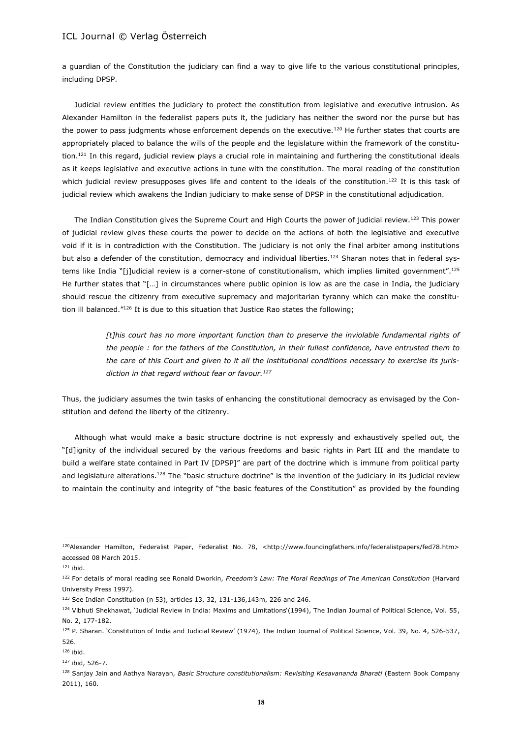a guardian of the Constitution the judiciary can find a way to give life to the various constitutional principles, including DPSP.

Judicial review entitles the judiciary to protect the constitution from legislative and executive intrusion. As Alexander Hamilton in the federalist papers puts it, the judiciary has neither the sword nor the purse but has the power to pass judgments whose enforcement depends on the executive.<sup>120</sup> He further states that courts are appropriately placed to balance the wills of the people and the legislature within the framework of the constitution.<sup>121</sup> In this regard, judicial review plays a crucial role in maintaining and furthering the constitutional ideals as it keeps legislative and executive actions in tune with the constitution. The moral reading of the constitution which judicial review presupposes gives life and content to the ideals of the constitution.<sup>122</sup> It is this task of judicial review which awakens the Indian judiciary to make sense of DPSP in the constitutional adjudication.

The Indian Constitution gives the Supreme Court and High Courts the power of judicial review.<sup>123</sup> This power of judicial review gives these courts the power to decide on the actions of both the legislative and executive void if it is in contradiction with the Constitution. The judiciary is not only the final arbiter among institutions but also a defender of the constitution, democracy and individual liberties.<sup>124</sup> Sharan notes that in federal systems like India "[j]udicial review is a corner-stone of constitutionalism, which implies limited government".<sup>125</sup> He further states that "[…] in circumstances where public opinion is low as are the case in India, the judiciary should rescue the citizenry from executive supremacy and majoritarian tyranny which can make the constitution ill balanced." $126$  It is due to this situation that Justice Rao states the following;

> *[t]his court has no more important function than to preserve the inviolable fundamental rights of the people : for the fathers of the Constitution, in their fullest confidence, have entrusted them to the care of this Court and given to it all the institutional conditions necessary to exercise its jurisdiction in that regard without fear or favour.<sup>127</sup>*

Thus, the judiciary assumes the twin tasks of enhancing the constitutional democracy as envisaged by the Constitution and defend the liberty of the citizenry.

Although what would make a basic structure doctrine is not expressly and exhaustively spelled out, the "[d]ignity of the individual secured by the various freedoms and basic rights in Part III and the mandate to build a welfare state contained in Part IV [DPSP]" are part of the doctrine which is immune from political party and legislature alterations.<sup>128</sup> The "basic structure doctrine" is the invention of the judiciary in its judicial review to maintain the continuity and integrity of "the basic features of the Constitution" as provided by the founding

<sup>120</sup>Alexander Hamilton, Federalist Paper, Federalist No. 78, <http://www.foundingfathers.info/federalistpapers/fed78.htm> accessed 08 March 2015.

<sup>121</sup> ibid.

<sup>122</sup> For details of moral reading see Ronald Dworkin, *Freedom's Law: The Moral Readings of The American Constitution* (Harvard University Press 1997).

<sup>123</sup> See Indian Constitution (n 53), articles 13, 32, 131-136,143m, 226 and 246.

<sup>124</sup> Vibhuti Shekhawat, 'Judicial Review in India: Maxims and Limitations'(1994), The Indian Journal of Political Science, Vol. 55, No. 2, 177-182.

<sup>125</sup> P. Sharan. 'Constitution of India and Judicial Review' (1974), The Indian Journal of Political Science, Vol. 39, No. 4, 526-537, 526.

<sup>126</sup> ibid.

<sup>127</sup> ibid, 526-7.

<sup>128</sup> Sanjay Jain and Aathya Narayan, *Basic Structure constitutionalism: Revisiting Kesavananda Bharati* (Eastern Book Company 2011), 160.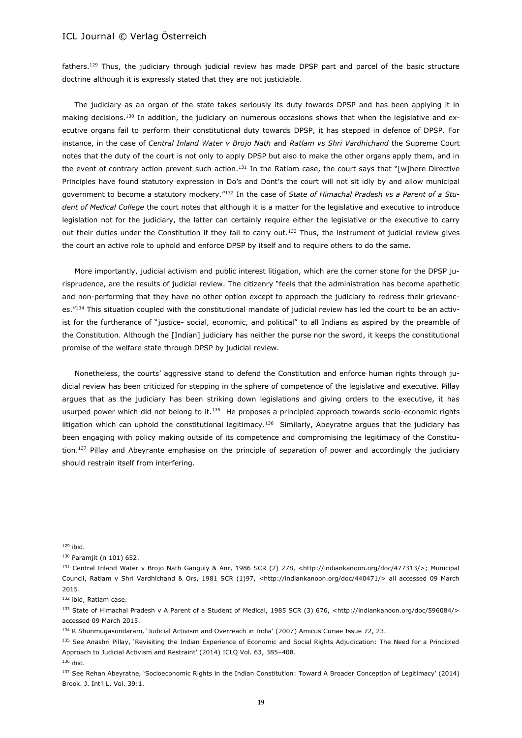fathers.<sup>129</sup> Thus, the judiciary through judicial review has made DPSP part and parcel of the basic structure doctrine although it is expressly stated that they are not justiciable.

The judiciary as an organ of the state takes seriously its duty towards DPSP and has been applying it in making decisions.<sup>130</sup> In addition, the judiciary on numerous occasions shows that when the legislative and executive organs fail to perform their constitutional duty towards DPSP, it has stepped in defence of DPSP. For instance, in the case of *Central Inland Water v Brojo Nath* and *Ratlam vs Shri Vardhichand* the Supreme Court notes that the duty of the court is not only to apply DPSP but also to make the other organs apply them, and in the event of contrary action prevent such action.<sup>131</sup> In the Ratlam case, the court says that "[w]here Directive Principles have found statutory expression in Do's and Dont's the court will not sit idly by and allow municipal government to become a statutory mockery."<sup>132</sup> In the case of *State of Himachal Pradesh vs a Parent of a Student of Medical College* the court notes that although it is a matter for the legislative and executive to introduce legislation not for the judiciary, the latter can certainly require either the legislative or the executive to carry out their duties under the Constitution if they fail to carry out.<sup>133</sup> Thus, the instrument of judicial review gives the court an active role to uphold and enforce DPSP by itself and to require others to do the same.

More importantly, judicial activism and public interest litigation, which are the corner stone for the DPSP jurisprudence, are the results of judicial review. The citizenry "feels that the administration has become apathetic and non-performing that they have no other option except to approach the judiciary to redress their grievances."<sup>134</sup> This situation coupled with the constitutional mandate of judicial review has led the court to be an activist for the furtherance of "justice- social, economic, and political" to all Indians as aspired by the preamble of the Constitution. Although the [Indian] judiciary has neither the purse nor the sword, it keeps the constitutional promise of the welfare state through DPSP by judicial review.

Nonetheless, the courts' aggressive stand to defend the Constitution and enforce human rights through judicial review has been criticized for stepping in the sphere of competence of the legislative and executive. Pillay argues that as the judiciary has been striking down legislations and giving orders to the executive, it has usurped power which did not belong to it.<sup>135</sup> He proposes a principled approach towards socio-economic rights litigation which can uphold the constitutional legitimacy.<sup>136</sup> Similarly, Abeyratne argues that the judiciary has been engaging with policy making outside of its competence and compromising the legitimacy of the Constitution.<sup>137</sup> Pillay and Abeyrante emphasise on the principle of separation of power and accordingly the judiciary should restrain itself from interfering.

 $129$  ibid.

<sup>130</sup> Paramjit (n 101) 652.

<sup>131</sup> Central Inland Water v Brojo Nath Ganguly & Anr, 1986 SCR (2) 278, <http://indiankanoon.org/doc/477313/>; Municipal Council, Ratlam v Shri Vardhichand & Ors, 1981 SCR (1)97, <http://indiankanoon.org/doc/440471/> all accessed 09 March 2015.

<sup>132</sup> ibid, Ratlam case.

<sup>133</sup> State of Himachal Pradesh v A Parent of a Student of Medical, 1985 SCR (3) 676, <http://indiankanoon.org/doc/596084/> accessed 09 March 2015.

<sup>134</sup> R Shunmugasundaram, 'Judicial Activism and Overreach in India' (2007) Amicus Curiae Issue 72, 23.

<sup>135</sup> See Anashri Pillay, 'Revisiting the Indian Experience of Economic and Social Rights Adjudication: The Need for a Principled Approach to Judicial Activism and Restraint' (2014) ICLQ Vol. 63, 385–408.

<sup>136</sup> ibid.

<sup>137</sup> See Rehan Abeyratne, 'Socioeconomic Rights in the Indian Constitution: Toward A Broader Conception of Legitimacy' (2014) Brook. J. Int'l L. Vol. 39:1.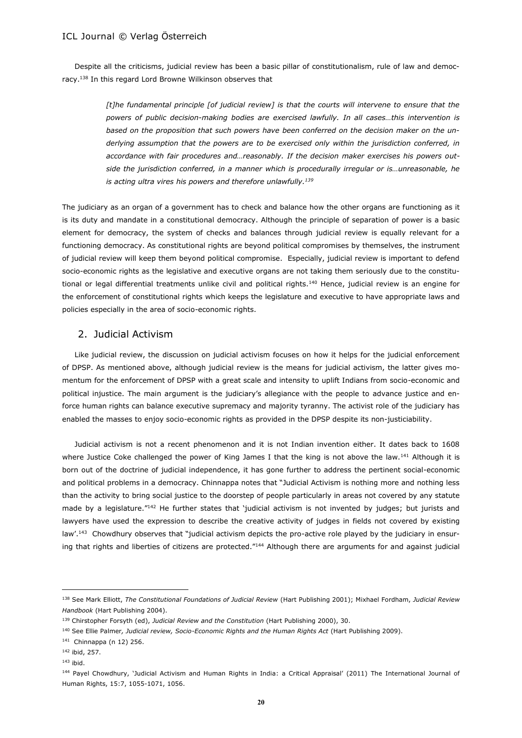Despite all the criticisms, judicial review has been a basic pillar of constitutionalism, rule of law and democracy.<sup>138</sup> In this regard Lord Browne Wilkinson observes that

> *[t]he fundamental principle [of judicial review] is that the courts will intervene to ensure that the powers of public decision-making bodies are exercised lawfully. In all cases…this intervention is based on the proposition that such powers have been conferred on the decision maker on the underlying assumption that the powers are to be exercised only within the jurisdiction conferred, in accordance with fair procedures and…reasonably. If the decision maker exercises his powers outside the jurisdiction conferred, in a manner which is procedurally irregular or is…unreasonable, he is acting ultra vires his powers and therefore unlawfully.<sup>139</sup>*

The judiciary as an organ of a government has to check and balance how the other organs are functioning as it is its duty and mandate in a constitutional democracy. Although the principle of separation of power is a basic element for democracy, the system of checks and balances through judicial review is equally relevant for a functioning democracy. As constitutional rights are beyond political compromises by themselves, the instrument of judicial review will keep them beyond political compromise. Especially, judicial review is important to defend socio-economic rights as the legislative and executive organs are not taking them seriously due to the constitutional or legal differential treatments unlike civil and political rights.<sup>140</sup> Hence, judicial review is an engine for the enforcement of constitutional rights which keeps the legislature and executive to have appropriate laws and policies especially in the area of socio-economic rights.

### 2. Judicial Activism

Like judicial review, the discussion on judicial activism focuses on how it helps for the judicial enforcement of DPSP. As mentioned above, although judicial review is the means for judicial activism, the latter gives momentum for the enforcement of DPSP with a great scale and intensity to uplift Indians from socio-economic and political injustice. The main argument is the judiciary's allegiance with the people to advance justice and enforce human rights can balance executive supremacy and majority tyranny. The activist role of the judiciary has enabled the masses to enjoy socio-economic rights as provided in the DPSP despite its non-justiciability.

Judicial activism is not a recent phenomenon and it is not Indian invention either. It dates back to 1608 where Justice Coke challenged the power of King James I that the king is not above the law.<sup>141</sup> Although it is born out of the doctrine of judicial independence, it has gone further to address the pertinent social-economic and political problems in a democracy. Chinnappa notes that "Judicial Activism is nothing more and nothing less than the activity to bring social justice to the doorstep of people particularly in areas not covered by any statute made by a legislature."<sup>142</sup> He further states that 'judicial activism is not invented by judges; but jurists and lawyers have used the expression to describe the creative activity of judges in fields not covered by existing law'.<sup>143</sup> Chowdhury observes that "judicial activism depicts the pro-active role played by the judiciary in ensuring that rights and liberties of citizens are protected."<sup>144</sup> Although there are arguments for and against judicial

<sup>138</sup> See Mark Elliott, *The Constitutional Foundations of Judicial Review* (Hart Publishing 2001); Mixhael Fordham, *Judicial Review Handbook* (Hart Publishing 2004).

<sup>139</sup> Chirstopher Forsyth (ed), *Judicial Review and the Constitution* (Hart Publishing 2000), 30.

<sup>140</sup> See Ellie Palmer*, Judicial review, Socio-Economic Rights and the Human Rights Act* (Hart Publishing 2009).

<sup>141</sup> Chinnappa (n 12) 256.

<sup>142</sup> ibid, 257.

<sup>143</sup> ibid.

<sup>144</sup> Payel Chowdhury, 'Judicial Activism and Human Rights in India: a Critical Appraisal' (2011) The International Journal of Human Rights, 15:7, 1055-1071, 1056.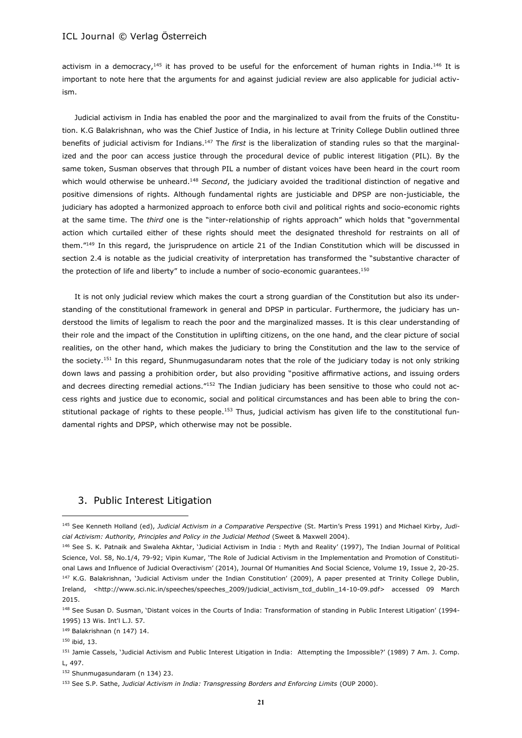activism in a democracy,<sup>145</sup> it has proved to be useful for the enforcement of human rights in India.<sup>146</sup> It is important to note here that the arguments for and against judicial review are also applicable for judicial activism.

Judicial activism in India has enabled the poor and the marginalized to avail from the fruits of the Constitution. K.G Balakrishnan, who was the Chief Justice of India, in his lecture at Trinity College Dublin outlined three benefits of judicial activism for Indians.<sup>147</sup> The *first* is the liberalization of standing rules so that the marginalized and the poor can access justice through the procedural device of public interest litigation (PIL). By the same token, Susman observes that through PIL a number of distant voices have been heard in the court room which would otherwise be unheard.<sup>148</sup> *Second*, the judiciary avoided the traditional distinction of negative and positive dimensions of rights. Although fundamental rights are justiciable and DPSP are non-justiciable, the judiciary has adopted a harmonized approach to enforce both civil and political rights and socio-economic rights at the same time. The *third* one is the "inter-relationship of rights approach" which holds that "governmental action which curtailed either of these rights should meet the designated threshold for restraints on all of them."<sup>149</sup> In this regard, the jurisprudence on article 21 of the Indian Constitution which will be discussed in section 2.4 is notable as the judicial creativity of interpretation has transformed the "substantive character of the protection of life and liberty" to include a number of socio-economic guarantees.<sup>150</sup>

It is not only judicial review which makes the court a strong guardian of the Constitution but also its understanding of the constitutional framework in general and DPSP in particular. Furthermore, the judiciary has understood the limits of legalism to reach the poor and the marginalized masses. It is this clear understanding of their role and the impact of the Constitution in uplifting citizens, on the one hand, and the clear picture of social realities, on the other hand, which makes the judiciary to bring the Constitution and the law to the service of the society.<sup>151</sup> In this regard, Shunmugasundaram notes that the role of the judiciary today is not only striking down laws and passing a prohibition order, but also providing "positive affirmative actions, and issuing orders and decrees directing remedial actions."<sup>152</sup> The Indian judiciary has been sensitive to those who could not access rights and justice due to economic, social and political circumstances and has been able to bring the constitutional package of rights to these people.<sup>153</sup> Thus, judicial activism has given life to the constitutional fundamental rights and DPSP, which otherwise may not be possible.

# 3. Public Interest Litigation

<sup>150</sup> ibid, 13.

<sup>145</sup> See Kenneth Holland (ed), *Judicial Activism in a Comparative Perspective* (St. Martin's Press 1991) and Michael Kirby, *Judicial Activism: Authority, Principles and Policy in the Judicial Method* (Sweet & Maxwell 2004).

<sup>146</sup> See S. K. Patnaik and Swaleha Akhtar, 'Judicial Activism in India : Myth and Reality' (1997), The Indian Journal of Political Science, Vol. 58, No.1/4, 79-92; Vipin Kumar, 'The Role of Judicial Activism in the Implementation and Promotion of Constitutional Laws and Influence of Judicial Overactivism' (2014), Journal Of Humanities And Social Science, Volume 19, Issue 2, 20-25. <sup>147</sup> K.G. Balakrishnan, 'Judicial Activism under the Indian Constitution' (2009), A paper presented at Trinity College Dublin, Ireland, <http://www.sci.nic.in/speeches/speeches\_2009/judicial\_activism\_tcd\_dublin\_14-10-09.pdf> accessed 09 March 2015.

<sup>148</sup> See Susan D. Susman, 'Distant voices in the Courts of India: Transformation of standing in Public Interest Litigation' (1994-1995) 13 Wis. Int'l L.J. 57.

<sup>149</sup> Balakrishnan (n 147) 14.

<sup>151</sup> Jamie Cassels, 'Judicial Activism and Public Interest Litigation in India: Attempting the Impossible?' (1989) 7 Am. J. Comp. L, 497.

<sup>152</sup> Shunmugasundaram (n 134) 23.

<sup>153</sup> See S.P. Sathe, *Judicial Activism in India: Transgressing Borders and Enforcing Limits* (OUP 2000).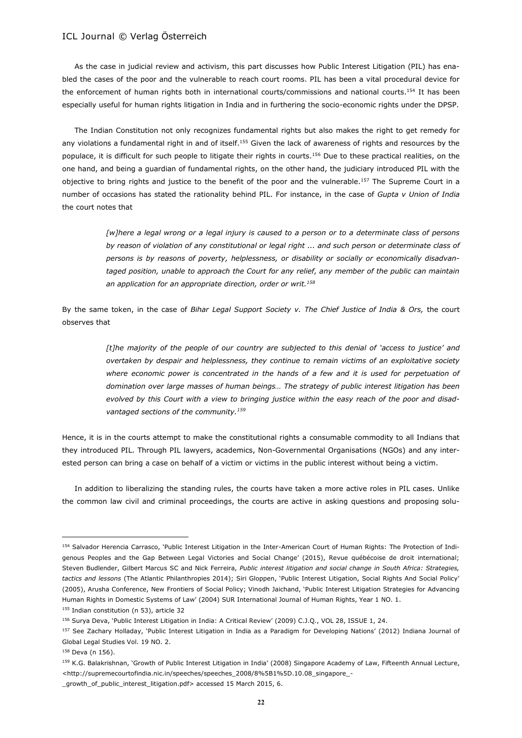As the case in judicial review and activism, this part discusses how Public Interest Litigation (PIL) has enabled the cases of the poor and the vulnerable to reach court rooms. PIL has been a vital procedural device for the enforcement of human rights both in international courts/commissions and national courts.<sup>154</sup> It has been especially useful for human rights litigation in India and in furthering the socio-economic rights under the DPSP.

The Indian Constitution not only recognizes fundamental rights but also makes the right to get remedy for any violations a fundamental right in and of itself.<sup>155</sup> Given the lack of awareness of rights and resources by the populace, it is difficult for such people to litigate their rights in courts.<sup>156</sup> Due to these practical realities, on the one hand, and being a guardian of fundamental rights, on the other hand, the judiciary introduced PIL with the objective to bring rights and justice to the benefit of the poor and the vulnerable.<sup>157</sup> The Supreme Court in a number of occasions has stated the rationality behind PIL. For instance, in the case of *Gupta v Union of India* the court notes that

> *[w]here a legal wrong or a legal injury is caused to a person or to a determinate class of persons by reason of violation of any constitutional or legal right ... and such person or determinate class of persons is by reasons of poverty, helplessness, or disability or socially or economically disadvantaged position, unable to approach the Court for any relief, any member of the public can maintain an application for an appropriate direction, order or writ.<sup>158</sup>*

By the same token, in the case of *Bihar Legal Support Society v. The Chief Justice of India & Ors,* the court observes that

> *[t]he majority of the people of our country are subjected to this denial of 'access to justice' and overtaken by despair and helplessness, they continue to remain victims of an exploitative society*  where economic power is concentrated in the hands of a few and it is used for perpetuation of *domination over large masses of human beings… The strategy of public interest litigation has been evolved by this Court with a view to bringing justice within the easy reach of the poor and disadvantaged sections of the community.<sup>159</sup>*

Hence, it is in the courts attempt to make the constitutional rights a consumable commodity to all Indians that they introduced PIL. Through PIL lawyers, academics, Non-Governmental Organisations (NGOs) and any interested person can bring a case on behalf of a victim or victims in the public interest without being a victim.

In addition to liberalizing the standing rules, the courts have taken a more active roles in PIL cases. Unlike the common law civil and criminal proceedings, the courts are active in asking questions and proposing solu-

<sup>154</sup> Salvador Herencia Carrasco, 'Public Interest Litigation in the Inter-American Court of Human Rights: The Protection of Indigenous Peoples and the Gap Between Legal Victories and Social Change' (2015), Revue québécoise de droit international; Steven Budlender, Gilbert Marcus SC and Nick Ferreira, *Public interest litigation and social change in South Africa: Strategies, tactics and lessons* (The Atlantic Philanthropies 2014); Siri Gloppen, 'Public Interest Litigation, Social Rights And Social Policy' (2005), Arusha Conference, New Frontiers of Social Policy; Vinodh Jaichand, 'Public Interest Litigation Strategies for Advancing Human Rights in Domestic Systems of Law' (2004) SUR International Journal of Human Rights, Year 1 NO. 1. 155 Indian constitution (n 53), article 32

<sup>156</sup> Surya Deva, 'Public Interest Litigation in India: A Critical Review' (2009) C.J.Q., VOL 28, ISSUE 1, 24.

<sup>157</sup> See Zachary Holladay, 'Public Interest Litigation in India as a Paradigm for Developing Nations' (2012) Indiana Journal of Global Legal Studies Vol. 19 NO. 2.

<sup>158</sup> Deva (n 156).

<sup>159</sup> K.G. Balakrishnan, 'Growth of Public Interest Litigation in India' (2008) Singapore Academy of Law, Fifteenth Annual Lecture, <http://supremecourtofindia.nic.in/speeches/speeches\_2008/8%5B1%5D.10.08\_singapore\_-

\_growth\_of\_public\_interest\_litigation.pdf> accessed 15 March 2015, 6.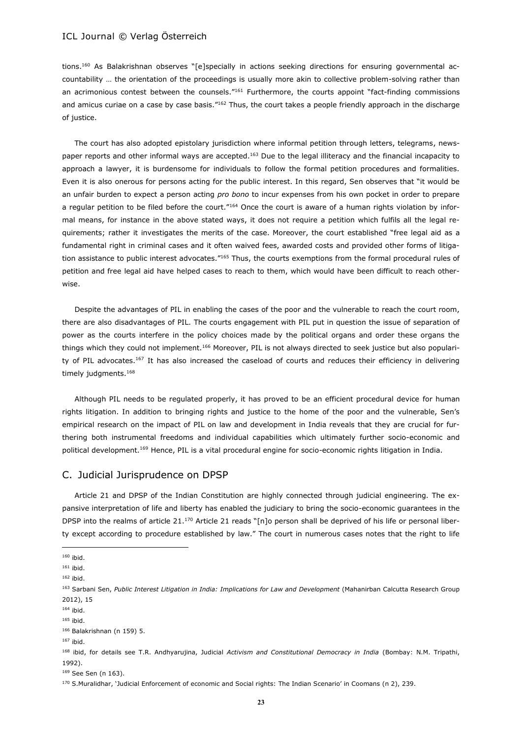tions.<sup>160</sup> As Balakrishnan observes "[e]specially in actions seeking directions for ensuring governmental accountability … the orientation of the proceedings is usually more akin to collective problem-solving rather than an acrimonious contest between the counsels."<sup>161</sup> Furthermore, the courts appoint "fact-finding commissions and amicus curiae on a case by case basis."<sup>162</sup> Thus, the court takes a people friendly approach in the discharge of justice.

The court has also adopted epistolary jurisdiction where informal petition through letters, telegrams, newspaper reports and other informal ways are accepted.<sup>163</sup> Due to the legal illiteracy and the financial incapacity to approach a lawyer, it is burdensome for individuals to follow the formal petition procedures and formalities. Even it is also onerous for persons acting for the public interest. In this regard, Sen observes that "it would be an unfair burden to expect a person acting *pro bono* to incur expenses from his own pocket in order to prepare a regular petition to be filed before the court."<sup>164</sup> Once the court is aware of a human rights violation by informal means, for instance in the above stated ways, it does not require a petition which fulfils all the legal requirements; rather it investigates the merits of the case. Moreover, the court established "free legal aid as a fundamental right in criminal cases and it often waived fees, awarded costs and provided other forms of litigation assistance to public interest advocates."<sup>165</sup> Thus, the courts exemptions from the formal procedural rules of petition and free legal aid have helped cases to reach to them, which would have been difficult to reach otherwise.

Despite the advantages of PIL in enabling the cases of the poor and the vulnerable to reach the court room, there are also disadvantages of PIL. The courts engagement with PIL put in question the issue of separation of power as the courts interfere in the policy choices made by the political organs and order these organs the things which they could not implement.<sup>166</sup> Moreover, PIL is not always directed to seek justice but also popularity of PIL advocates.<sup>167</sup> It has also increased the caseload of courts and reduces their efficiency in delivering timely judgments.<sup>168</sup>

Although PIL needs to be regulated properly, it has proved to be an efficient procedural device for human rights litigation. In addition to bringing rights and justice to the home of the poor and the vulnerable, Sen's empirical research on the impact of PIL on law and development in India reveals that they are crucial for furthering both instrumental freedoms and individual capabilities which ultimately further socio-economic and political development.<sup>169</sup> Hence, PIL is a vital procedural engine for socio-economic rights litigation in India.

# C. Judicial Jurisprudence on DPSP

Article 21 and DPSP of the Indian Constitution are highly connected through judicial engineering. The expansive interpretation of life and liberty has enabled the judiciary to bring the socio-economic guarantees in the DPSP into the realms of article 21.<sup>170</sup> Article 21 reads "[n]o person shall be deprived of his life or personal liberty except according to procedure established by law." The court in numerous cases notes that the right to life

 $\overline{a}$ 

<sup>167</sup> ibid.

<sup>160</sup> ibid.

<sup>161</sup> ibid.

<sup>162</sup> ibid.

<sup>163</sup> Sarbani Sen, *Public Interest Litigation in India: Implications for Law and Development* (Mahanirban Calcutta Research Group 2012), 15

 $164$  ibid.

<sup>165</sup> ibid.

<sup>166</sup> Balakrishnan (n 159) 5.

<sup>168</sup> ibid, for details see T.R. Andhyarujina, Judicial *Activism and Constitutional Democracy in India* (Bombay: N.M. Tripathi, 1992).

<sup>169</sup> See Sen (n 163).

<sup>170</sup> S.Muralidhar, 'Judicial Enforcement of economic and Social rights: The Indian Scenario' in Coomans (n 2), 239.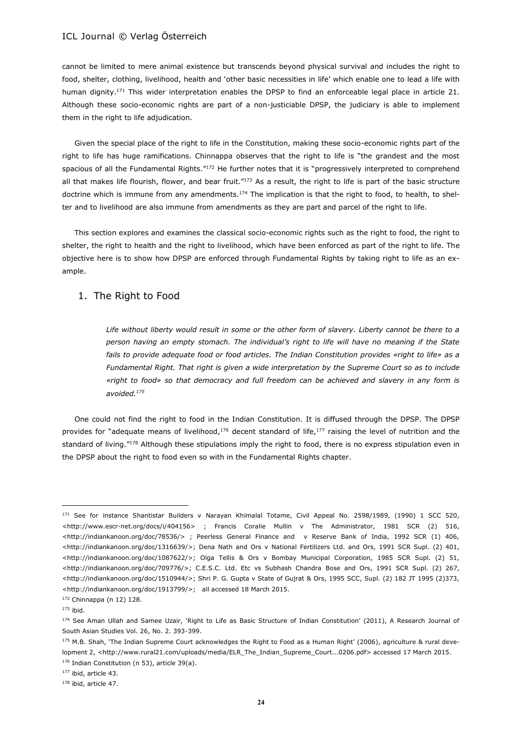cannot be limited to mere animal existence but transcends beyond physical survival and includes the right to food, shelter, clothing, livelihood, health and 'other basic necessities in life' which enable one to lead a life with human dignity.<sup>171</sup> This wider interpretation enables the DPSP to find an enforceable legal place in article 21. Although these socio-economic rights are part of a non-justiciable DPSP, the judiciary is able to implement them in the right to life adjudication.

Given the special place of the right to life in the Constitution, making these socio-economic rights part of the right to life has huge ramifications. Chinnappa observes that the right to life is "the grandest and the most spacious of all the Fundamental Rights."<sup>172</sup> He further notes that it is "progressively interpreted to comprehend all that makes life flourish, flower, and bear fruit."<sup>173</sup> As a result, the right to life is part of the basic structure doctrine which is immune from any amendments.<sup>174</sup> The implication is that the right to food, to health, to shelter and to livelihood are also immune from amendments as they are part and parcel of the right to life.

This section explores and examines the classical socio-economic rights such as the right to food, the right to shelter, the right to health and the right to livelihood, which have been enforced as part of the right to life. The objective here is to show how DPSP are enforced through Fundamental Rights by taking right to life as an example.

### 1. The Right to Food

*Life without liberty would result in some or the other form of slavery. Liberty cannot be there to a person having an empty stomach. The individual's right to life will have no meaning if the State fails to provide adequate food or food articles. The Indian Constitution provides «right to life» as a Fundamental Right. That right is given a wide interpretation by the Supreme Court so as to include «right to food» so that democracy and full freedom can be achieved and slavery in any form is avoided.<sup>175</sup>*

One could not find the right to food in the Indian Constitution. It is diffused through the DPSP. The DPSP provides for "adequate means of livelihood, $176$  decent standard of life, $177$  raising the level of nutrition and the standard of living."<sup>178</sup> Although these stipulations imply the right to food, there is no express stipulation even in the DPSP about the right to food even so with in the Fundamental Rights chapter.

<sup>&</sup>lt;sup>171</sup> See for instance Shantistar Builders v Narayan Khimalal Totame, Civil Appeal No. 2598/1989, (1990) 1 SCC 520, <http://www.escr-net.org/docs/i/404156> ; Francis Coralie Mullin v The Administrator, 1981 SCR (2) 516, <http://indiankanoon.org/doc/78536/> ; Peerless General Finance and v Reserve Bank of India, 1992 SCR (1) 406, <http://indiankanoon.org/doc/1316639/>; Dena Nath and Ors v National Fertilizers Ltd. and Ors, 1991 SCR Supl. (2) 401, <http://indiankanoon.org/doc/1087622/>; Olga Tellis & Ors v Bombay Municipal Corporation, 1985 SCR Supl. (2) 51, <http://indiankanoon.org/doc/709776/>; C.E.S.C. Ltd. Etc vs Subhash Chandra Bose and Ors, 1991 SCR Supl. (2) 267, <http://indiankanoon.org/doc/1510944/>; Shri P. G. Gupta v State of Gujrat & Ors, 1995 SCC, Supl. (2) 182 JT 1995 (2)373, <http://indiankanoon.org/doc/1913799/>; all accessed 18 March 2015.

<sup>172</sup> Chinnappa (n 12) 128.

 $173$  ibid.

<sup>174</sup> See Aman Ullah and Samee Uzair, 'Right to Life as Basic Structure of Indian Constitution' (2011), A Research Journal of South Asian Studies Vol. 26, No. 2. 393-399.

 $175$  M.B. Shah, 'The Indian Supreme Court acknowledges the Right to Food as a Human Right' (2006), agriculture & rural development 2, <http://www.rural21.com/uploads/media/ELR\_The\_Indian\_Supreme\_Court...0206.pdf> accessed 17 March 2015. 176 Indian Constitution (n 53), article 39(a).

<sup>177</sup> ibid, article 43.

<sup>178</sup> ibid, article 47.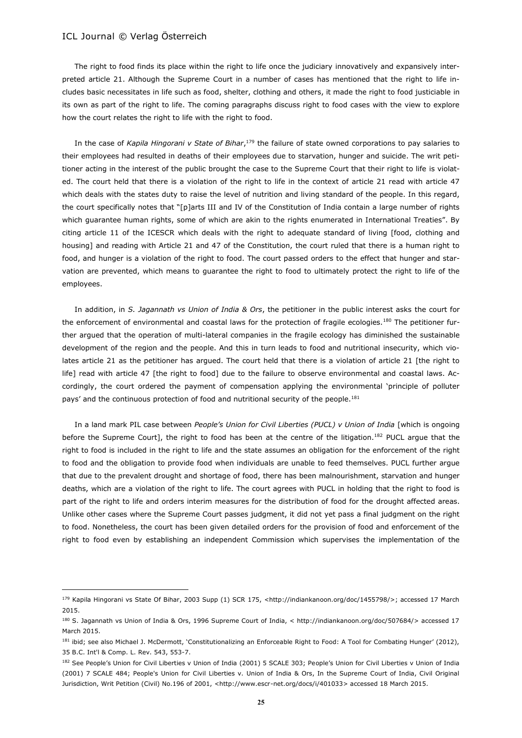$\overline{a}$ 

The right to food finds its place within the right to life once the judiciary innovatively and expansively interpreted article 21. Although the Supreme Court in a number of cases has mentioned that the right to life includes basic necessitates in life such as food, shelter, clothing and others, it made the right to food justiciable in its own as part of the right to life. The coming paragraphs discuss right to food cases with the view to explore how the court relates the right to life with the right to food.

In the case of *Kapila Hingorani v State of Bihar*, <sup>179</sup> the failure of state owned corporations to pay salaries to their employees had resulted in deaths of their employees due to starvation, hunger and suicide. The writ petitioner acting in the interest of the public brought the case to the Supreme Court that their right to life is violated. The court held that there is a violation of the right to life in the context of article 21 read with article 47 which deals with the states duty to raise the level of nutrition and living standard of the people. In this regard, the court specifically notes that "[p]arts III and IV of the Constitution of India contain a large number of rights which guarantee human rights, some of which are akin to the rights enumerated in International Treaties". By citing article 11 of the ICESCR which deals with the right to adequate standard of living [food, clothing and housing] and reading with Article 21 and 47 of the Constitution, the court ruled that there is a human right to food, and hunger is a violation of the right to food. The court passed orders to the effect that hunger and starvation are prevented, which means to guarantee the right to food to ultimately protect the right to life of the employees.

In addition, in *S. Jagannath vs Union of India & Ors*, the petitioner in the public interest asks the court for the enforcement of environmental and coastal laws for the protection of fragile ecologies.<sup>180</sup> The petitioner further argued that the operation of multi-lateral companies in the fragile ecology has diminished the sustainable development of the region and the people. And this in turn leads to food and nutritional insecurity, which violates article 21 as the petitioner has argued. The court held that there is a violation of article 21 [the right to life] read with article 47 [the right to food] due to the failure to observe environmental and coastal laws. Accordingly, the court ordered the payment of compensation applying the environmental 'principle of polluter pays' and the continuous protection of food and nutritional security of the people.<sup>181</sup>

In a land mark PIL case between *People's Union for Civil Liberties (PUCL) v Union of India* [which is ongoing before the Supreme Court], the right to food has been at the centre of the litigation.<sup>182</sup> PUCL argue that the right to food is included in the right to life and the state assumes an obligation for the enforcement of the right to food and the obligation to provide food when individuals are unable to feed themselves. PUCL further argue that due to the prevalent drought and shortage of food, there has been malnourishment, starvation and hunger deaths, which are a violation of the right to life. The court agrees with PUCL in holding that the right to food is part of the right to life and orders interim measures for the distribution of food for the drought affected areas. Unlike other cases where the Supreme Court passes judgment, it did not yet pass a final judgment on the right to food. Nonetheless, the court has been given detailed orders for the provision of food and enforcement of the right to food even by establishing an independent Commission which supervises the implementation of the

<sup>179</sup> Kapila Hingorani vs State Of Bihar, 2003 Supp (1) SCR 175, <http://indiankanoon.org/doc/1455798/>; accessed 17 March 2015.

<sup>180</sup> S. Jagannath vs Union of India & Ors, 1996 Supreme Court of India, < http://indiankanoon.org/doc/507684/> accessed 17 March 2015.

<sup>181</sup> ibid; see also Michael J. McDermott, 'Constitutionalizing an Enforceable Right to Food: A Tool for Combating Hunger' (2012), 35 B.C. Int'l & Comp. L. Rev. 543, 553-7.

<sup>182</sup> See People's Union for Civil Liberties v Union of India (2001) 5 SCALE 303; People's Union for Civil Liberties v Union of India (2001) 7 SCALE 484; People's Union for Civil Liberties v. Union of India & Ors, In the Supreme Court of India, Civil Original Jurisdiction, Writ Petition (Civil) No.196 of 2001, <http://www.escr-net.org/docs/i/401033> accessed 18 March 2015.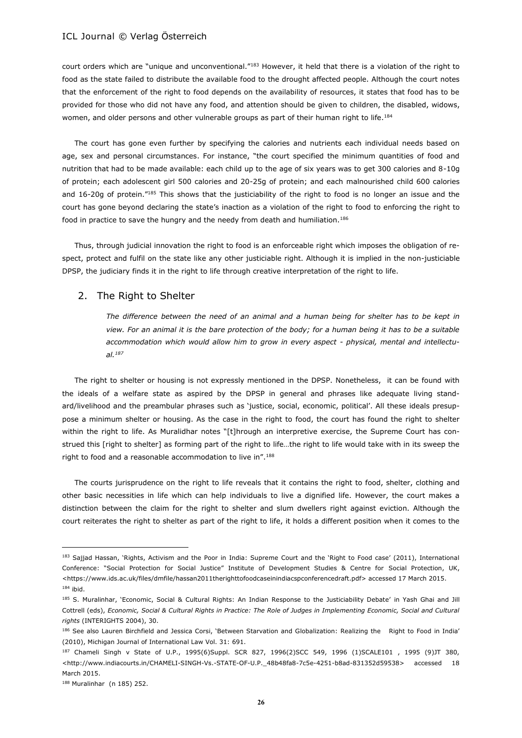court orders which are "unique and unconventional."<sup>183</sup> However, it held that there is a violation of the right to food as the state failed to distribute the available food to the drought affected people. Although the court notes that the enforcement of the right to food depends on the availability of resources, it states that food has to be provided for those who did not have any food, and attention should be given to children, the disabled, widows, women, and older persons and other vulnerable groups as part of their human right to life.<sup>184</sup>

The court has gone even further by specifying the calories and nutrients each individual needs based on age, sex and personal circumstances. For instance, "the court specified the minimum quantities of food and nutrition that had to be made available: each child up to the age of six years was to get 300 calories and 8-10g of protein; each adolescent girl 500 calories and 20-25g of protein; and each malnourished child 600 calories and 16-20g of protein."<sup>185</sup> This shows that the justiciability of the right to food is no longer an issue and the court has gone beyond declaring the state's inaction as a violation of the right to food to enforcing the right to food in practice to save the hungry and the needy from death and humiliation.<sup>186</sup>

Thus, through judicial innovation the right to food is an enforceable right which imposes the obligation of respect, protect and fulfil on the state like any other justiciable right. Although it is implied in the non-justiciable DPSP, the judiciary finds it in the right to life through creative interpretation of the right to life.

### 2. The Right to Shelter

*The difference between the need of an animal and a human being for shelter has to be kept in view. For an animal it is the bare protection of the body; for a human being it has to be a suitable accommodation which would allow him to grow in every aspect - physical, mental and intellectual.<sup>187</sup>*

The right to shelter or housing is not expressly mentioned in the DPSP. Nonetheless, it can be found with the ideals of a welfare state as aspired by the DPSP in general and phrases like adequate living standard/livelihood and the preambular phrases such as 'justice, social, economic, political'. All these ideals presuppose a minimum shelter or housing. As the case in the right to food, the court has found the right to shelter within the right to life. As Muralidhar notes "[t]hrough an interpretive exercise, the Supreme Court has construed this [right to shelter] as forming part of the right to life…the right to life would take with in its sweep the right to food and a reasonable accommodation to live in".<sup>188</sup>

The courts jurisprudence on the right to life reveals that it contains the right to food, shelter, clothing and other basic necessities in life which can help individuals to live a dignified life. However, the court makes a distinction between the claim for the right to shelter and slum dwellers right against eviction. Although the court reiterates the right to shelter as part of the right to life, it holds a different position when it comes to the

<sup>183</sup> Sajjad Hassan, 'Rights, Activism and the Poor in India: Supreme Court and the 'Right to Food case' (2011), International Conference: "Social Protection for Social Justice" Institute of Development Studies & Centre for Social Protection, UK, <https://www.ids.ac.uk/files/dmfile/hassan2011therighttofoodcaseinindiacspconferencedraft.pdf> accessed 17 March 2015. <sup>184</sup> ibid.

<sup>185</sup> S. Muralinhar, 'Economic, Social & Cultural Rights: An Indian Response to the Justiciability Debate' in Yash Ghai and Jill Cottrell (eds), *Economic, Social & Cultural Rights in Practice: The Role of Judges in Implementing Economic, Social and Cultural rights* (INTERIGHTS 2004), 30.

<sup>186</sup> See also Lauren Birchfield and Jessica Corsi, 'Between Starvation and Globalization: Realizing the Right to Food in India' (2010), Michigan Journal of International Law Vol. 31: 691.

<sup>187</sup> Chameli Singh v State of U.P., 1995(6)Suppl. SCR 827, 1996(2)SCC 549, 1996 (1)SCALE101 , 1995 (9)JT 380, <http://www.indiacourts.in/CHAMELI-SINGH-Vs.-STATE-OF-U.P.\_48b48fa8-7c5e-4251-b8ad-831352d59538> accessed 18 March 2015.

<sup>188</sup> Muralinhar (n 185) 252.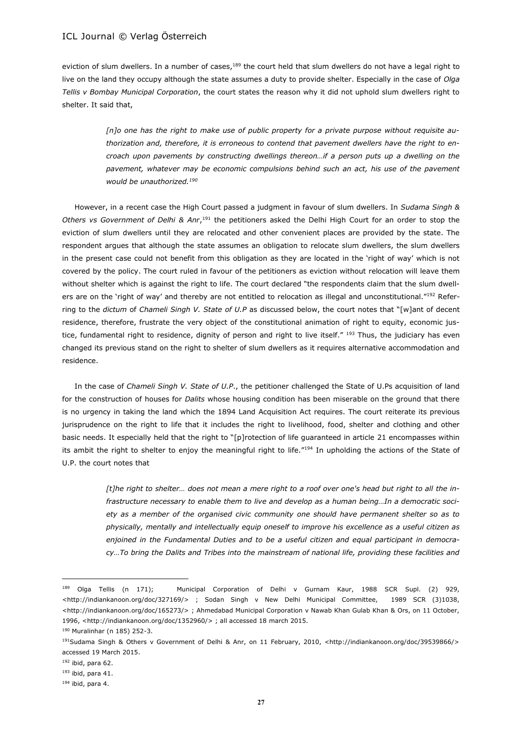eviction of slum dwellers. In a number of cases,<sup>189</sup> the court held that slum dwellers do not have a legal right to live on the land they occupy although the state assumes a duty to provide shelter. Especially in the case of *Olga Tellis v Bombay Municipal Corporation*, the court states the reason why it did not uphold slum dwellers right to shelter. It said that,

> *[n]o one has the right to make use of public property for a private purpose without requisite authorization and, therefore, it is erroneous to contend that pavement dwellers have the right to encroach upon pavements by constructing dwellings thereon…if a person puts up a dwelling on the pavement, whatever may be economic compulsions behind such an act, his use of the pavement would be unauthorized.<sup>190</sup>*

However, in a recent case the High Court passed a judgment in favour of slum dwellers. In *Sudama Singh & Others vs Government of Delhi & Anr*, <sup>191</sup> the petitioners asked the Delhi High Court for an order to stop the eviction of slum dwellers until they are relocated and other convenient places are provided by the state. The respondent argues that although the state assumes an obligation to relocate slum dwellers, the slum dwellers in the present case could not benefit from this obligation as they are located in the 'right of way' which is not covered by the policy. The court ruled in favour of the petitioners as eviction without relocation will leave them without shelter which is against the right to life. The court declared "the respondents claim that the slum dwellers are on the 'right of way' and thereby are not entitled to relocation as illegal and unconstitutional."<sup>192</sup> Referring to the *dictum* of *Chameli Singh V. State of U.P* as discussed below, the court notes that "[w]ant of decent residence, therefore, frustrate the very object of the constitutional animation of right to equity, economic justice, fundamental right to residence, dignity of person and right to live itself." 193 Thus, the judiciary has even changed its previous stand on the right to shelter of slum dwellers as it requires alternative accommodation and residence.

In the case of *Chameli Singh V. State of U.P*., the petitioner challenged the State of U.Ps acquisition of land for the construction of houses for *Dalits* whose housing condition has been miserable on the ground that there is no urgency in taking the land which the 1894 Land Acquisition Act requires. The court reiterate its previous jurisprudence on the right to life that it includes the right to livelihood, food, shelter and clothing and other basic needs. It especially held that the right to "[p]rotection of life guaranteed in article 21 encompasses within its ambit the right to shelter to enjoy the meaningful right to life."<sup>194</sup> In upholding the actions of the State of U.P. the court notes that

> *[t]he right to shelter… does not mean a mere right to a roof over one's head but right to all the infrastructure necessary to enable them to live and develop as a human being…In a democratic society as a member of the organised civic community one should have permanent shelter so as to physically, mentally and intellectually equip oneself to improve his excellence as a useful citizen as enjoined in the Fundamental Duties and to be a useful citizen and equal participant in democracy…To bring the Dalits and Tribes into the mainstream of national life, providing these facilities and*

<sup>&</sup>lt;sup>189</sup> Olga Tellis (n 171); Municipal Corporation of Delhi v Gurnam Kaur, 1988 SCR Supl. (2) 929, <http://indiankanoon.org/doc/327169/> ; Sodan Singh v New Delhi Municipal Committee, 1989 SCR (3)1038, <http://indiankanoon.org/doc/165273/> ; Ahmedabad Municipal Corporation v Nawab Khan Gulab Khan & Ors, on 11 October, 1996, <http://indiankanoon.org/doc/1352960/> ; all accessed 18 march 2015.

<sup>190</sup> Muralinhar (n 185) 252-3.

<sup>&</sup>lt;sup>191</sup>Sudama Singh & Others v Government of Delhi & Anr, on 11 February, 2010, <http://indiankanoon.org/doc/39539866/> accessed 19 March 2015.

<sup>192</sup> ibid, para 62.

<sup>193</sup> ibid, para 41.

 $194$  ibid, para 4.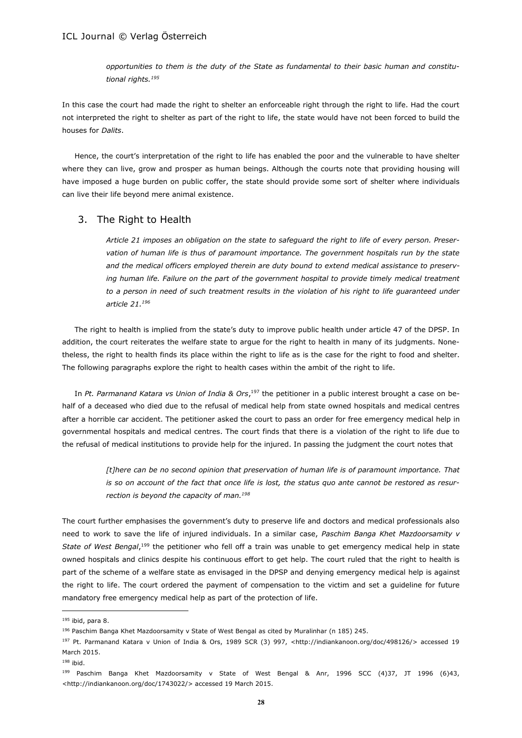*opportunities to them is the duty of the State as fundamental to their basic human and constitutional rights.<sup>195</sup>*

In this case the court had made the right to shelter an enforceable right through the right to life. Had the court not interpreted the right to shelter as part of the right to life, the state would have not been forced to build the houses for *Dalits*.

Hence, the court's interpretation of the right to life has enabled the poor and the vulnerable to have shelter where they can live, grow and prosper as human beings. Although the courts note that providing housing will have imposed a huge burden on public coffer, the state should provide some sort of shelter where individuals can live their life beyond mere animal existence.

### 3. The Right to Health

*Article 21 imposes an obligation on the state to safeguard the right to life of every person. Preservation of human life is thus of paramount importance. The government hospitals run by the state and the medical officers employed therein are duty bound to extend medical assistance to preserv*ing human life. Failure on the part of the government hospital to provide timely medical treatment *to a person in need of such treatment results in the violation of his right to life guaranteed under article 21.<sup>196</sup>*

The right to health is implied from the state's duty to improve public health under article 47 of the DPSP. In addition, the court reiterates the welfare state to argue for the right to health in many of its judgments. Nonetheless, the right to health finds its place within the right to life as is the case for the right to food and shelter. The following paragraphs explore the right to health cases within the ambit of the right to life.

In *Pt. Parmanand Katara vs Union of India & Ors*, <sup>197</sup> the petitioner in a public interest brought a case on behalf of a deceased who died due to the refusal of medical help from state owned hospitals and medical centres after a horrible car accident. The petitioner asked the court to pass an order for free emergency medical help in governmental hospitals and medical centres. The court finds that there is a violation of the right to life due to the refusal of medical institutions to provide help for the injured. In passing the judgment the court notes that

> *[t]here can be no second opinion that preservation of human life is of paramount importance. That is so on account of the fact that once life is lost, the status quo ante cannot be restored as resurrection is beyond the capacity of man.<sup>198</sup>*

The court further emphasises the government's duty to preserve life and doctors and medical professionals also need to work to save the life of injured individuals. In a similar case, *Paschim Banga Khet Mazdoorsamity v*  State of West Bengal,<sup>199</sup> the petitioner who fell off a train was unable to get emergency medical help in state owned hospitals and clinics despite his continuous effort to get help. The court ruled that the right to health is part of the scheme of a welfare state as envisaged in the DPSP and denying emergency medical help is against the right to life. The court ordered the payment of compensation to the victim and set a guideline for future mandatory free emergency medical help as part of the protection of life.

<sup>198</sup> ibid.

<sup>195</sup> ibid, para 8.

<sup>196</sup> Paschim Banga Khet Mazdoorsamity v State of West Bengal as cited by Muralinhar (n 185) 245.

<sup>197</sup> Pt. Parmanand Katara v Union of India & Ors, 1989 SCR (3) 997, <http://indiankanoon.org/doc/498126/> accessed 19 March 2015.

<sup>199</sup> Paschim Banga Khet Mazdoorsamity v State of West Bengal & Anr, 1996 SCC (4)37, JT 1996 (6)43, <http://indiankanoon.org/doc/1743022/> accessed 19 March 2015.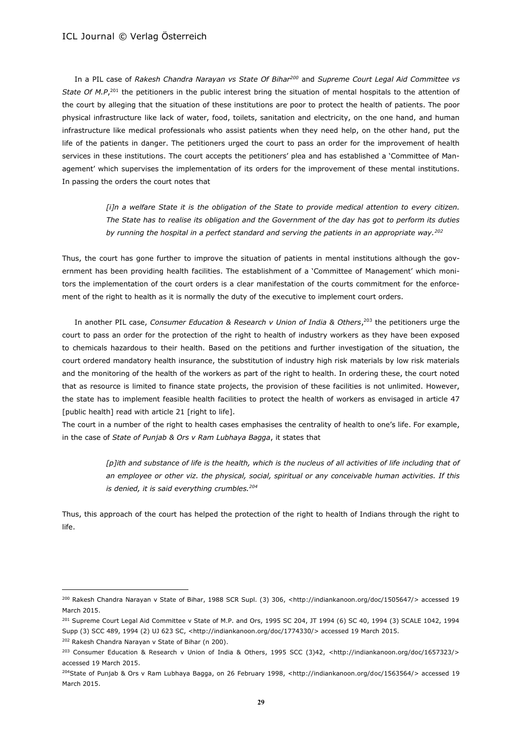In a PIL case of *Rakesh Chandra Narayan vs State Of Bihar<sup>200</sup>* and *Supreme Court Legal Aid Committee vs*  State Of M.P,<sup>201</sup> the petitioners in the public interest bring the situation of mental hospitals to the attention of the court by alleging that the situation of these institutions are poor to protect the health of patients. The poor physical infrastructure like lack of water, food, toilets, sanitation and electricity, on the one hand, and human infrastructure like medical professionals who assist patients when they need help, on the other hand, put the life of the patients in danger. The petitioners urged the court to pass an order for the improvement of health services in these institutions. The court accepts the petitioners' plea and has established a 'Committee of Management' which supervises the implementation of its orders for the improvement of these mental institutions. In passing the orders the court notes that

> *[i]n a welfare State it is the obligation of the State to provide medical attention to every citizen. The State has to realise its obligation and the Government of the day has got to perform its duties by running the hospital in a perfect standard and serving the patients in an appropriate way.<sup>202</sup>*

Thus, the court has gone further to improve the situation of patients in mental institutions although the government has been providing health facilities. The establishment of a 'Committee of Management' which monitors the implementation of the court orders is a clear manifestation of the courts commitment for the enforcement of the right to health as it is normally the duty of the executive to implement court orders.

In another PIL case, *Consumer Education & Research v Union of India & Others*, <sup>203</sup> the petitioners urge the court to pass an order for the protection of the right to health of industry workers as they have been exposed to chemicals hazardous to their health. Based on the petitions and further investigation of the situation, the court ordered mandatory health insurance, the substitution of industry high risk materials by low risk materials and the monitoring of the health of the workers as part of the right to health. In ordering these, the court noted that as resource is limited to finance state projects, the provision of these facilities is not unlimited. However, the state has to implement feasible health facilities to protect the health of workers as envisaged in article 47 [public health] read with article 21 [right to life].

The court in a number of the right to health cases emphasises the centrality of health to one's life. For example, in the case of *State of Punjab & Ors v Ram Lubhaya Bagga*, it states that

> [p]ith and substance of life is the health, which is the nucleus of all activities of life including that of *an employee or other viz. the physical, social, spiritual or any conceivable human activities. If this is denied, it is said everything crumbles.<sup>204</sup>*

Thus, this approach of the court has helped the protection of the right to health of Indians through the right to life.

<sup>200</sup> Rakesh Chandra Narayan v State of Bihar, 1988 SCR Supl. (3) 306, <http://indiankanoon.org/doc/1505647/> accessed 19 March 2015.

<sup>201</sup> Supreme Court Legal Aid Committee v State of M.P. and Ors, 1995 SC 204, JT 1994 (6) SC 40, 1994 (3) SCALE 1042, 1994 Supp (3) SCC 489, 1994 (2) UJ 623 SC, <http://indiankanoon.org/doc/1774330/> accessed 19 March 2015.

<sup>202</sup> Rakesh Chandra Narayan v State of Bihar (n 200).

<sup>203</sup> Consumer Education & Research v Union of India & Others, 1995 SCC (3)42, <http://indiankanoon.org/doc/1657323/> accessed 19 March 2015.

<sup>204</sup>State of Punjab & Ors v Ram Lubhaya Bagga, on 26 February 1998, <http://indiankanoon.org/doc/1563564/> accessed 19 March 2015.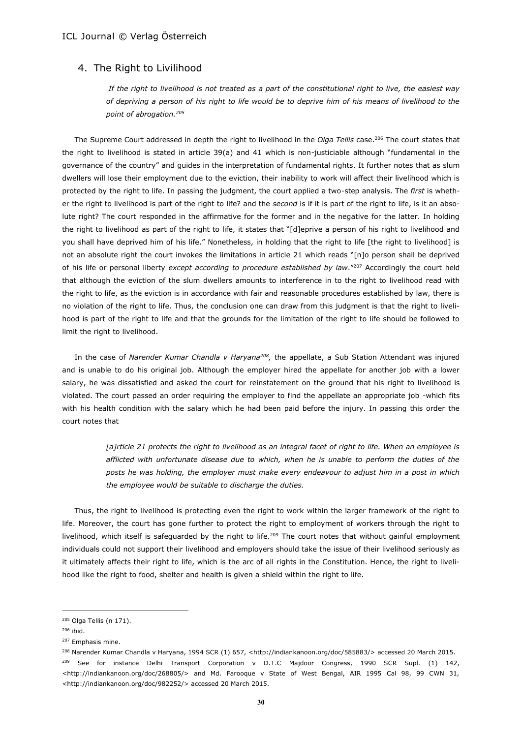### 4. The Right to Livilihood

*If the right to livelihood is not treated as a part of the constitutional right to live, the easiest way of depriving a person of his right to life would be to deprive him of his means of livelihood to the point of abrogation.<sup>205</sup>*

The Supreme Court addressed in depth the right to livelihood in the *Olga Tellis* case.<sup>206</sup> The court states that the right to livelihood is stated in article 39(a) and 41 which is non-justiciable although "fundamental in the governance of the country" and guides in the interpretation of fundamental rights. It further notes that as slum dwellers will lose their employment due to the eviction, their inability to work will affect their livelihood which is protected by the right to life. In passing the judgment, the court applied a two-step analysis. The *first* is whether the right to livelihood is part of the right to life? and the *second* is if it is part of the right to life, is it an absolute right? The court responded in the affirmative for the former and in the negative for the latter. In holding the right to livelihood as part of the right to life, it states that "[d]eprive a person of his right to livelihood and you shall have deprived him of his life." Nonetheless, in holding that the right to life [the right to livelihood] is not an absolute right the court invokes the limitations in article 21 which reads "[n]o person shall be deprived of his life or personal liberty *except according to procedure established by law*."<sup>207</sup> Accordingly the court held that although the eviction of the slum dwellers amounts to interference in to the right to livelihood read with the right to life, as the eviction is in accordance with fair and reasonable procedures established by law, there is no violation of the right to life. Thus, the conclusion one can draw from this judgment is that the right to livelihood is part of the right to life and that the grounds for the limitation of the right to life should be followed to limit the right to livelihood.

In the case of *Narender Kumar Chandla v Haryana<sup>208</sup> ,* the appellate, a Sub Station Attendant was injured and is unable to do his original job. Although the employer hired the appellate for another job with a lower salary, he was dissatisfied and asked the court for reinstatement on the ground that his right to livelihood is violated. The court passed an order requiring the employer to find the appellate an appropriate job -which fits with his health condition with the salary which he had been paid before the injury. In passing this order the court notes that

> *[a]rticle 21 protects the right to livelihood as an integral facet of right to life. When an employee is afflicted with unfortunate disease due to which, when he is unable to perform the duties of the posts he was holding, the employer must make every endeavour to adjust him in a post in which the employee would be suitable to discharge the duties.*

Thus, the right to livelihood is protecting even the right to work within the larger framework of the right to life. Moreover, the court has gone further to protect the right to employment of workers through the right to livelihood, which itself is safeguarded by the right to life.<sup>209</sup> The court notes that without gainful employment individuals could not support their livelihood and employers should take the issue of their livelihood seriously as it ultimately affects their right to life, which is the arc of all rights in the Constitution. Hence, the right to livelihood like the right to food, shelter and health is given a shield within the right to life.

<sup>205</sup> Olga Tellis (n 171).

<sup>206</sup> ibid.

<sup>207</sup> Emphasis mine.

<sup>208</sup> Narender Kumar Chandla v Haryana, 1994 SCR (1) 657, <http://indiankanoon.org/doc/585883/> accessed 20 March 2015. <sup>209</sup> See for instance Delhi Transport Corporation v D.T.C Majdoor Congress, 1990 SCR Supl. (1) 142, <http://indiankanoon.org/doc/268805/> and Md. Farooque v State of West Bengal, AIR 1995 Cal 98, 99 CWN 31, <http://indiankanoon.org/doc/982252/> accessed 20 March 2015.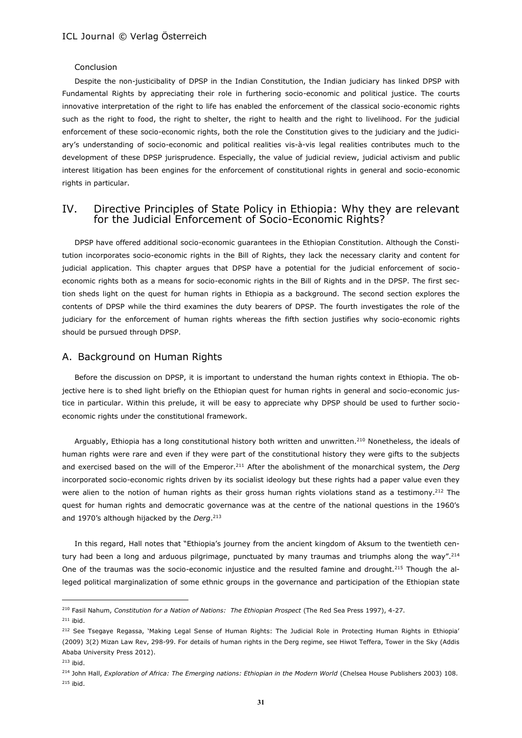#### Conclusion

Despite the non-justicibality of DPSP in the Indian Constitution, the Indian judiciary has linked DPSP with Fundamental Rights by appreciating their role in furthering socio-economic and political justice. The courts innovative interpretation of the right to life has enabled the enforcement of the classical socio-economic rights such as the right to food, the right to shelter, the right to health and the right to livelihood. For the judicial enforcement of these socio-economic rights, both the role the Constitution gives to the judiciary and the judiciary's understanding of socio-economic and political realities vis-à-vis legal realities contributes much to the development of these DPSP jurisprudence. Especially, the value of judicial review, judicial activism and public interest litigation has been engines for the enforcement of constitutional rights in general and socio-economic rights in particular.

# IV. Directive Principles of State Policy in Ethiopia: Why they are relevant for the Judicial Enforcement of Socio-Economic Rights?

DPSP have offered additional socio-economic guarantees in the Ethiopian Constitution. Although the Constitution incorporates socio-economic rights in the Bill of Rights, they lack the necessary clarity and content for judicial application. This chapter argues that DPSP have a potential for the judicial enforcement of socioeconomic rights both as a means for socio-economic rights in the Bill of Rights and in the DPSP. The first section sheds light on the quest for human rights in Ethiopia as a background. The second section explores the contents of DPSP while the third examines the duty bearers of DPSP. The fourth investigates the role of the judiciary for the enforcement of human rights whereas the fifth section justifies why socio-economic rights should be pursued through DPSP.

#### A. Background on Human Rights

Before the discussion on DPSP, it is important to understand the human rights context in Ethiopia. The objective here is to shed light briefly on the Ethiopian quest for human rights in general and socio-economic justice in particular. Within this prelude, it will be easy to appreciate why DPSP should be used to further socioeconomic rights under the constitutional framework.

Arguably, Ethiopia has a long constitutional history both written and unwritten.<sup>210</sup> Nonetheless, the ideals of human rights were rare and even if they were part of the constitutional history they were gifts to the subjects and exercised based on the will of the Emperor.<sup>211</sup> After the abolishment of the monarchical system, the *Derg* incorporated socio-economic rights driven by its socialist ideology but these rights had a paper value even they were alien to the notion of human rights as their gross human rights violations stand as a testimony.<sup>212</sup> The quest for human rights and democratic governance was at the centre of the national questions in the 1960's and 1970's although hijacked by the *Derg*. 213

In this regard, Hall notes that "Ethiopia's journey from the ancient kingdom of Aksum to the twentieth century had been a long and arduous pilgrimage, punctuated by many traumas and triumphs along the way".<sup>214</sup> One of the traumas was the socio-economic injustice and the resulted famine and drought.<sup>215</sup> Though the alleged political marginalization of some ethnic groups in the governance and participation of the Ethiopian state

 $211$  ibid.

<sup>210</sup> Fasil Nahum, *Constitution for a Nation of Nations: The Ethiopian Prospect* (The Red Sea Press 1997), 4-27.

<sup>&</sup>lt;sup>212</sup> See Tsegaye Regassa, 'Making Legal Sense of Human Rights: The Judicial Role in Protecting Human Rights in Ethiopia' (2009) 3(2) Mizan Law Rev, 298-99. For details of human rights in the Derg regime, see Hiwot Teffera, Tower in the Sky (Addis Ababa University Press 2012).

<sup>213</sup> ibid.

<sup>&</sup>lt;sup>214</sup> John Hall, *Exploration of Africa: The Emerging nations: Ethiopian in the Modern World* (Chelsea House Publishers 2003) 108. <sup>215</sup> ibid.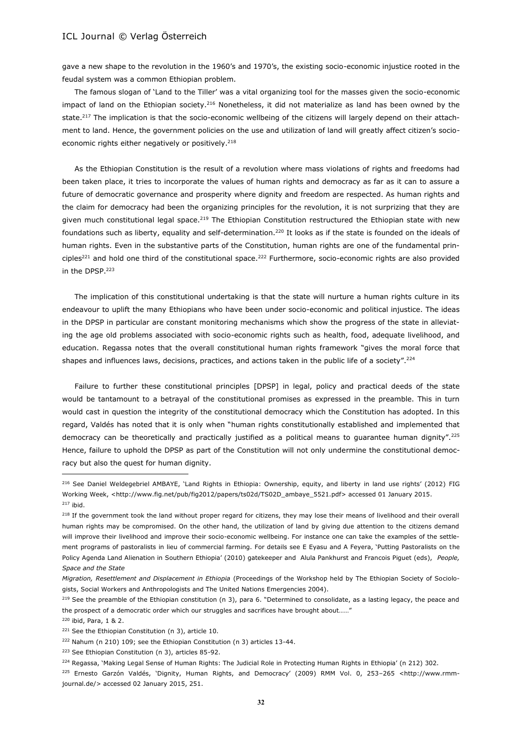gave a new shape to the revolution in the 1960's and 1970's, the existing socio-economic injustice rooted in the feudal system was a common Ethiopian problem.

The famous slogan of 'Land to the Tiller' was a vital organizing tool for the masses given the socio-economic impact of land on the Ethiopian society.<sup>216</sup> Nonetheless, it did not materialize as land has been owned by the state.<sup>217</sup> The implication is that the socio-economic wellbeing of the citizens will largely depend on their attachment to land. Hence, the government policies on the use and utilization of land will greatly affect citizen's socioeconomic rights either negatively or positively.<sup>218</sup>

As the Ethiopian Constitution is the result of a revolution where mass violations of rights and freedoms had been taken place, it tries to incorporate the values of human rights and democracy as far as it can to assure a future of democratic governance and prosperity where dignity and freedom are respected. As human rights and the claim for democracy had been the organizing principles for the revolution, it is not surprizing that they are given much constitutional legal space.<sup>219</sup> The Ethiopian Constitution restructured the Ethiopian state with new foundations such as liberty, equality and self-determination.<sup>220</sup> It looks as if the state is founded on the ideals of human rights. Even in the substantive parts of the Constitution, human rights are one of the fundamental principles<sup>221</sup> and hold one third of the constitutional space.<sup>222</sup> Furthermore, socio-economic rights are also provided in the DPSP.<sup>223</sup>

The implication of this constitutional undertaking is that the state will nurture a human rights culture in its endeavour to uplift the many Ethiopians who have been under socio-economic and political injustice. The ideas in the DPSP in particular are constant monitoring mechanisms which show the progress of the state in alleviating the age old problems associated with socio-economic rights such as health, food, adequate livelihood, and education. Regassa notes that the overall constitutional human rights framework "gives the moral force that shapes and influences laws, decisions, practices, and actions taken in the public life of a society".<sup>224</sup>

Failure to further these constitutional principles [DPSP] in legal, policy and practical deeds of the state would be tantamount to a betrayal of the constitutional promises as expressed in the preamble. This in turn would cast in question the integrity of the constitutional democracy which the Constitution has adopted. In this regard, Valdés has noted that it is only when "human rights constitutionally established and implemented that democracy can be theoretically and practically justified as a political means to guarantee human dignity".<sup>225</sup> Hence, failure to uphold the DPSP as part of the Constitution will not only undermine the constitutional democracy but also the quest for human dignity.

 $\overline{a}$ 

<sup>224</sup> Regassa, 'Making Legal Sense of Human Rights: The Judicial Role in Protecting Human Rights in Ethiopia' (n 212) 302.

<sup>&</sup>lt;sup>216</sup> See Daniel Weldegebriel AMBAYE, 'Land Rights in Ethiopia: Ownership, equity, and liberty in land use rights' (2012) FIG Working Week, <http://www.fig.net/pub/fig2012/papers/ts02d/TS02D\_ambaye\_5521.pdf> accessed 01 January 2015.  $217$  ibid.

<sup>&</sup>lt;sup>218</sup> If the government took the land without proper regard for citizens, they may lose their means of livelihood and their overall human rights may be compromised. On the other hand, the utilization of land by giving due attention to the citizens demand will improve their livelihood and improve their socio-economic wellbeing. For instance one can take the examples of the settlement programs of pastoralists in lieu of commercial farming. For details see E Eyasu and A Feyera, 'Putting Pastoralists on the Policy Agenda Land Alienation in Southern Ethiopia' (2010) gatekeeper and Alula Pankhurst and Francois Piguet (eds), *People, Space and the State*

*Migration, Resettlement and Displacement in Ethiopia* (Proceedings of the Workshop held by The Ethiopian Society of Sociologists, Social Workers and Anthropologists and The United Nations Emergencies 2004).

<sup>&</sup>lt;sup>219</sup> See the preamble of the Ethiopian constitution (n 3), para 6. "Determined to consolidate, as a lasting legacy, the peace and the prospect of a democratic order which our struggles and sacrifices have brought about……"

<sup>220</sup> ibid, Para, 1 & 2.

<sup>&</sup>lt;sup>221</sup> See the Ethiopian Constitution (n 3), article 10.

<sup>222</sup> Nahum (n 210) 109; see the Ethiopian Constitution (n 3) articles 13-44.

<sup>223</sup> See Ethiopian Constitution (n 3), articles 85-92.

<sup>225</sup> Ernesto Garzón Valdés, 'Dignity, Human Rights, and Democracy' (2009) RMM Vol. 0, 253–265 <http://www.rmmjournal.de/> accessed 02 January 2015, 251.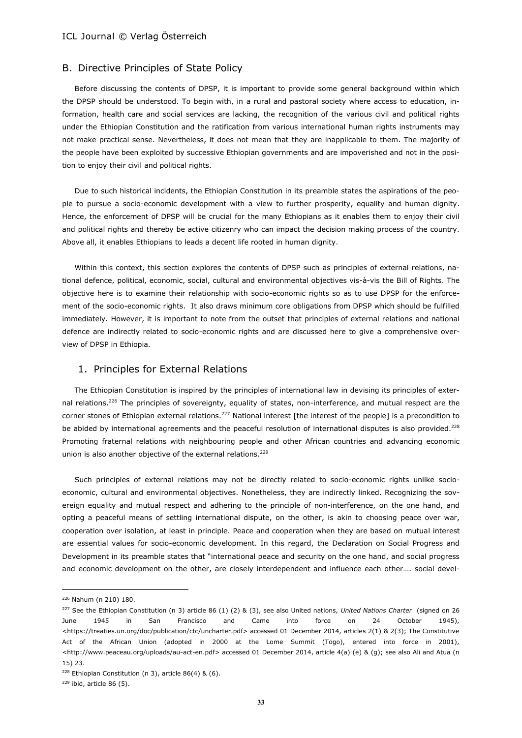#### B. Directive Principles of State Policy

Before discussing the contents of DPSP, it is important to provide some general background within which the DPSP should be understood. To begin with, in a rural and pastoral society where access to education, information, health care and social services are lacking, the recognition of the various civil and political rights under the Ethiopian Constitution and the ratification from various international human rights instruments may not make practical sense. Nevertheless, it does not mean that they are inapplicable to them. The majority of the people have been exploited by successive Ethiopian governments and are impoverished and not in the position to enjoy their civil and political rights.

Due to such historical incidents, the Ethiopian Constitution in its preamble states the aspirations of the people to pursue a socio-economic development with a view to further prosperity, equality and human dignity. Hence, the enforcement of DPSP will be crucial for the many Ethiopians as it enables them to enjoy their civil and political rights and thereby be active citizenry who can impact the decision making process of the country. Above all, it enables Ethiopians to leads a decent life rooted in human dignity.

Within this context, this section explores the contents of DPSP such as principles of external relations, national defence, political, economic, social, cultural and environmental objectives vis-à-vis the Bill of Rights. The objective here is to examine their relationship with socio-economic rights so as to use DPSP for the enforcement of the socio-economic rights. It also draws minimum core obligations from DPSP which should be fulfilled immediately. However, it is important to note from the outset that principles of external relations and national defence are indirectly related to socio-economic rights and are discussed here to give a comprehensive overview of DPSP in Ethiopia.

### 1. Principles for External Relations

The Ethiopian Constitution is inspired by the principles of international law in devising its principles of external relations.<sup>226</sup> The principles of sovereignty, equality of states, non-interference, and mutual respect are the corner stones of Ethiopian external relations.<sup>227</sup> National interest [the interest of the people] is a precondition to be abided by international agreements and the peaceful resolution of international disputes is also provided.<sup>228</sup> Promoting fraternal relations with neighbouring people and other African countries and advancing economic union is also another objective of the external relations.  $229$ 

Such principles of external relations may not be directly related to socio-economic rights unlike socioeconomic, cultural and environmental objectives. Nonetheless, they are indirectly linked. Recognizing the sovereign equality and mutual respect and adhering to the principle of non-interference, on the one hand, and opting a peaceful means of settling international dispute, on the other, is akin to choosing peace over war, cooperation over isolation, at least in principle. Peace and cooperation when they are based on mutual interest are essential values for socio-economic development. In this regard, the Declaration on Social Progress and Development in its preamble states that "international peace and security on the one hand, and social progress and economic development on the other, are closely interdependent and influence each other…. social devel-

<sup>226</sup> Nahum (n 210) 180.

<sup>227</sup> See the Ethiopian Constitution (n 3) article 86 (1) (2) & (3), see also United nations, *United Nations Charter* (signed on 26 June 1945 in San Francisco and Came into force on 24 October 1945), <https://treaties.un.org/doc/publication/ctc/uncharter.pdf> accessed 01 December 2014, articles 2(1) & 2(3); The Constitutive Act of the African Union (adopted in 2000 at the Lome Summit (Togo), entered into force in 2001), <http://www.peaceau.org/uploads/au-act-en.pdf> accessed 01 December 2014, article 4(a) (e) & (g); see also Ali and Atua (n 15) 23.

<sup>228</sup> Ethiopian Constitution (n 3), article 86(4) & (6).

 $229$  ibid, article 86 (5).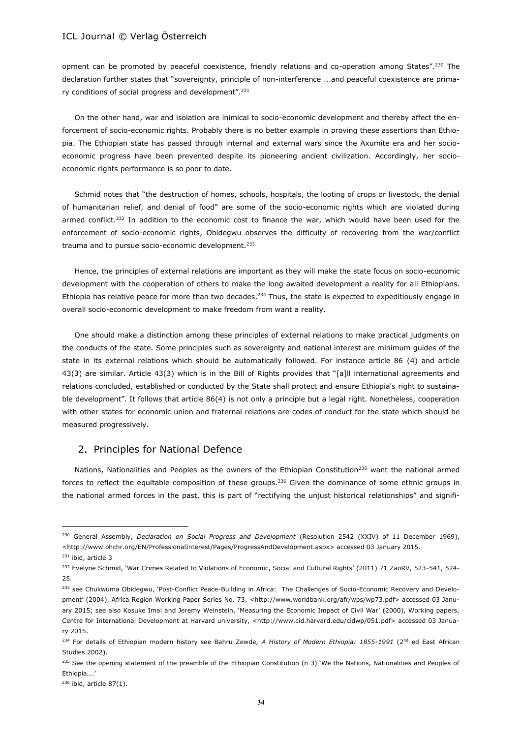opment can be promoted by peaceful coexistence, friendly relations and co-operation among States".<sup>230</sup> The declaration further states that "sovereignty, principle of non-interference ...and peaceful coexistence are primary conditions of social progress and development".<sup>231</sup>

On the other hand, war and isolation are inimical to socio-economic development and thereby affect the enforcement of socio-economic rights. Probably there is no better example in proving these assertions than Ethiopia. The Ethiopian state has passed through internal and external wars since the Axumite era and her socioeconomic progress have been prevented despite its pioneering ancient civilization. Accordingly, her socioeconomic rights performance is so poor to date.

Schmid notes that "the destruction of homes, schools, hospitals, the looting of crops or livestock, the denial of humanitarian relief, and denial of food" are some of the socio-economic rights which are violated during armed conflict.<sup>232</sup> In addition to the economic cost to finance the war, which would have been used for the enforcement of socio-economic rights, Obidegwu observes the difficulty of recovering from the war/conflict trauma and to pursue socio-economic development.<sup>233</sup>

Hence, the principles of external relations are important as they will make the state focus on socio-economic development with the cooperation of others to make the long awaited development a reality for all Ethiopians. Ethiopia has relative peace for more than two decades.<sup>234</sup> Thus, the state is expected to expeditiously engage in overall socio-economic development to make freedom from want a reality.

One should make a distinction among these principles of external relations to make practical judgments on the conducts of the state. Some principles such as sovereignty and national interest are minimum guides of the state in its external relations which should be automatically followed. For instance article 86 (4) and article 43(3) are similar. Article 43(3) which is in the Bill of Rights provides that "[a]ll international agreements and relations concluded, established or conducted by the State shall protect and ensure Ethiopia's right to sustainable development". It follows that article 86(4) is not only a principle but a legal right. Nonetheless, cooperation with other states for economic union and fraternal relations are codes of conduct for the state which should be measured progressively.

### 2. Principles for National Defence

Nations, Nationalities and Peoples as the owners of the Ethiopian Constitution<sup>235</sup> want the national armed forces to reflect the equitable composition of these groups.<sup>236</sup> Given the dominance of some ethnic groups in the national armed forces in the past, this is part of "rectifying the unjust historical relationships" and signifi-

<sup>230</sup> General Assembly, *Declaration on Social Progress and Development* (Resolution 2542 (XXIV) of 11 December 1969), <http://www.ohchr.org/EN/ProfessionalInterest/Pages/ProgressAndDevelopment.aspx> accessed 03 January 2015.

<sup>&</sup>lt;sup>231</sup> ibid, article 3

<sup>&</sup>lt;sup>232</sup> Evelyne Schmid, 'War Crimes Related to Violations of Economic, Social and Cultural Rights' (2011) 71 ZaöRV, 523-541, 524-25.

<sup>&</sup>lt;sup>233</sup> see Chukwuma Obidegwu, 'Post-Conflict Peace-Building in Africa: The Challenges of Socio-Economic Recovery and Development' (2004), Africa Region Working Paper Series No. 73, <http://www.worldbank.org/afr/wps/wp73.pdf> accessed 03 January 2015; see also Kosuke Imai and Jeremy Weinstein, 'Measuring the Economic Impact of Civil War' (2000), Working papers, Centre for International Development at Harvard university, <http://www.cid.harvard.edu/cidwp/051.pdf> accessed 03 January 2015.

<sup>&</sup>lt;sup>234</sup> For details of Ethiopian modern history see Bahru Zewde, A History of Modern Ethiopia: 1855-1991 (2<sup>nd</sup> ed East African Studies 2002).

<sup>235</sup> See the opening statement of the preamble of the Ethiopian Constitution (n 3) 'We the Nations, Nationalities and Peoples of Ethiopia….'

<sup>236</sup> ibid, article 87(1).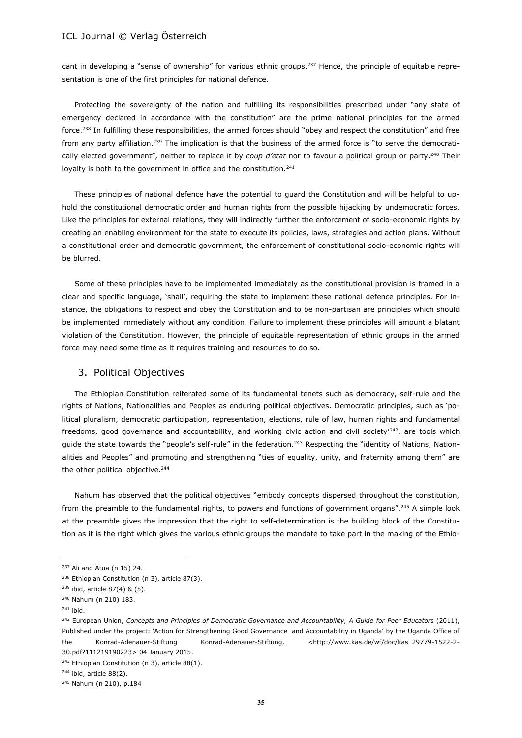cant in developing a "sense of ownership" for various ethnic groups.<sup>237</sup> Hence, the principle of equitable representation is one of the first principles for national defence.

Protecting the sovereignty of the nation and fulfilling its responsibilities prescribed under "any state of emergency declared in accordance with the constitution" are the prime national principles for the armed force.<sup>238</sup> In fulfilling these responsibilities, the armed forces should "obey and respect the constitution" and free from any party affiliation.<sup>239</sup> The implication is that the business of the armed force is "to serve the democratically elected government", neither to replace it by *coup d'etat* nor to favour a political group or party.<sup>240</sup> Their loyalty is both to the government in office and the constitution.<sup>241</sup>

These principles of national defence have the potential to guard the Constitution and will be helpful to uphold the constitutional democratic order and human rights from the possible hijacking by undemocratic forces. Like the principles for external relations, they will indirectly further the enforcement of socio-economic rights by creating an enabling environment for the state to execute its policies, laws, strategies and action plans. Without a constitutional order and democratic government, the enforcement of constitutional socio-economic rights will be blurred.

Some of these principles have to be implemented immediately as the constitutional provision is framed in a clear and specific language, 'shall', requiring the state to implement these national defence principles. For instance, the obligations to respect and obey the Constitution and to be non-partisan are principles which should be implemented immediately without any condition. Failure to implement these principles will amount a blatant violation of the Constitution. However, the principle of equitable representation of ethnic groups in the armed force may need some time as it requires training and resources to do so.

### 3. Political Objectives

The Ethiopian Constitution reiterated some of its fundamental tenets such as democracy, self-rule and the rights of Nations, Nationalities and Peoples as enduring political objectives. Democratic principles, such as 'political pluralism, democratic participation, representation, elections, rule of law, human rights and fundamental freedoms, good governance and accountability, and working civic action and civil society<sup> $242$ </sup>, are tools which guide the state towards the "people's self-rule" in the federation.<sup>243</sup> Respecting the "identity of Nations, Nationalities and Peoples" and promoting and strengthening "ties of equality, unity, and fraternity among them" are the other political objective.<sup>244</sup>

Nahum has observed that the political objectives "embody concepts dispersed throughout the constitution, from the preamble to the fundamental rights, to powers and functions of government organs".<sup>245</sup> A simple look at the preamble gives the impression that the right to self-determination is the building block of the Constitution as it is the right which gives the various ethnic groups the mandate to take part in the making of the Ethio-

<sup>237</sup> Ali and Atua (n 15) 24.

<sup>&</sup>lt;sup>238</sup> Ethiopian Constitution (n 3), article 87(3).

<sup>239</sup> ibid, article 87(4) & (5).

<sup>240</sup> Nahum (n 210) 183.

<sup>241</sup> ibid.

<sup>242</sup> European Union, *Concepts and Principles of Democratic Governance and Accountability, A Guide for Peer Educator*s (2011), Published under the project: 'Action for Strengthening Good Governance and Accountability in Uganda' by the Uganda Office of the Konrad-Adenauer-Stiftung Konrad-Adenauer-Stiftung, <http://www.kas.de/wf/doc/kas\_29779-1522-2-30.pdf?111219190223> 04 January 2015.

<sup>&</sup>lt;sup>243</sup> Ethiopian Constitution (n 3), article 88(1).

<sup>244</sup> ibid, article 88(2).

<sup>245</sup> Nahum (n 210), p.184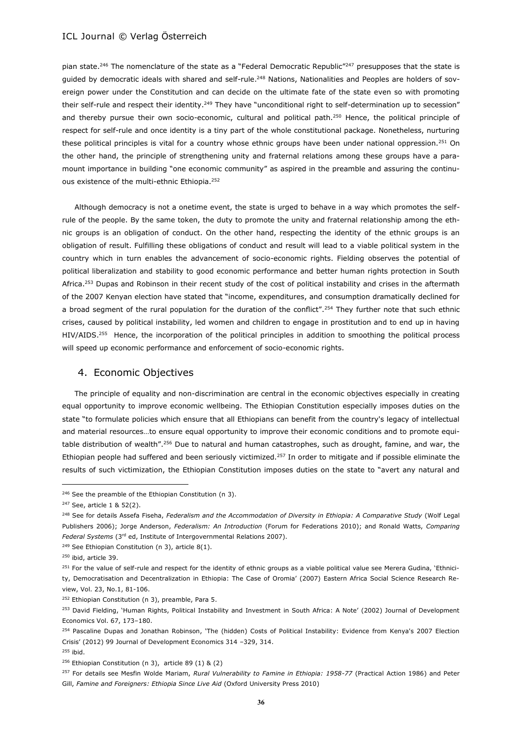pian state.<sup>246</sup> The nomenclature of the state as a "Federal Democratic Republic"<sup>247</sup> presupposes that the state is guided by democratic ideals with shared and self-rule.<sup>248</sup> Nations, Nationalities and Peoples are holders of sovereign power under the Constitution and can decide on the ultimate fate of the state even so with promoting their self-rule and respect their identity.<sup>249</sup> They have "unconditional right to self-determination up to secession" and thereby pursue their own socio-economic, cultural and political path.<sup>250</sup> Hence, the political principle of respect for self-rule and once identity is a tiny part of the whole constitutional package. Nonetheless, nurturing these political principles is vital for a country whose ethnic groups have been under national oppression.<sup>251</sup> On the other hand, the principle of strengthening unity and fraternal relations among these groups have a paramount importance in building "one economic community" as aspired in the preamble and assuring the continuous existence of the multi-ethnic Ethiopia.<sup>252</sup>

Although democracy is not a onetime event, the state is urged to behave in a way which promotes the selfrule of the people. By the same token, the duty to promote the unity and fraternal relationship among the ethnic groups is an obligation of conduct. On the other hand, respecting the identity of the ethnic groups is an obligation of result. Fulfilling these obligations of conduct and result will lead to a viable political system in the country which in turn enables the advancement of socio-economic rights. Fielding observes the potential of political liberalization and stability to good economic performance and better human rights protection in South Africa.<sup>253</sup> Dupas and Robinson in their recent study of the cost of political instability and crises in the aftermath of the 2007 Kenyan election have stated that "income, expenditures, and consumption dramatically declined for a broad segment of the rural population for the duration of the conflict".<sup>254</sup> They further note that such ethnic crises, caused by political instability, led women and children to engage in prostitution and to end up in having HIV/AIDS.<sup>255</sup> Hence, the incorporation of the political principles in addition to smoothing the political process will speed up economic performance and enforcement of socio-economic rights.

### 4. Economic Objectives

The principle of equality and non-discrimination are central in the economic objectives especially in creating equal opportunity to improve economic wellbeing. The Ethiopian Constitution especially imposes duties on the state "to formulate policies which ensure that all Ethiopians can benefit from the country's legacy of intellectual and material resources…to ensure equal opportunity to improve their economic conditions and to promote equitable distribution of wealth".<sup>256</sup> Due to natural and human catastrophes, such as drought, famine, and war, the Ethiopian people had suffered and been seriously victimized.<sup>257</sup> In order to mitigate and if possible eliminate the results of such victimization, the Ethiopian Constitution imposes duties on the state to "avert any natural and

 $\overline{a}$ 

<sup>255</sup> ibid.

<sup>&</sup>lt;sup>246</sup> See the preamble of the Ethiopian Constitution (n 3).

<sup>247</sup> See, article 1 & 52(2).

<sup>248</sup> See for details Assefa Fiseha, *Federalism and the Accommodation of Diversity in Ethiopia: A Comparative Study* (Wolf Legal Publishers 2006); Jorge Anderson, *Federalism: An Introduction* (Forum for Federations 2010); and Ronald Watts, *Comparing Federal Systems* (3rd ed, Institute of Intergovernmental Relations 2007).

 $249$  See Ethiopian Constitution (n 3), article 8(1).

<sup>250</sup> ibid, article 39.

<sup>&</sup>lt;sup>251</sup> For the value of self-rule and respect for the identity of ethnic groups as a viable political value see Merera Gudina, 'Ethnicity, Democratisation and Decentralization in Ethiopia: The Case of Oromia' (2007) Eastern Africa Social Science Research Review, Vol. 23, No.1, 81-106.

<sup>&</sup>lt;sup>252</sup> Ethiopian Constitution (n 3), preamble, Para 5.

<sup>&</sup>lt;sup>253</sup> David Fielding, 'Human Rights, Political Instability and Investment in South Africa: A Note' (2002) Journal of Development Economics Vol. 67, 173–180.

<sup>&</sup>lt;sup>254</sup> Pascaline Dupas and Jonathan Robinson, 'The (hidden) Costs of Political Instability: Evidence from Kenya's 2007 Election Crisis' (2012) 99 Journal of Development Economics 314 –329, 314.

<sup>256</sup> Ethiopian Constitution (n 3), article 89 (1) & (2)

<sup>257</sup> For details see Mesfin Wolde Mariam, *Rural Vulnerability to Famine in Ethiopia: 1958-77* (Practical Action 1986) and Peter Gill, *Famine and Foreigners: Ethiopia Since Live Aid* (Oxford University Press 2010)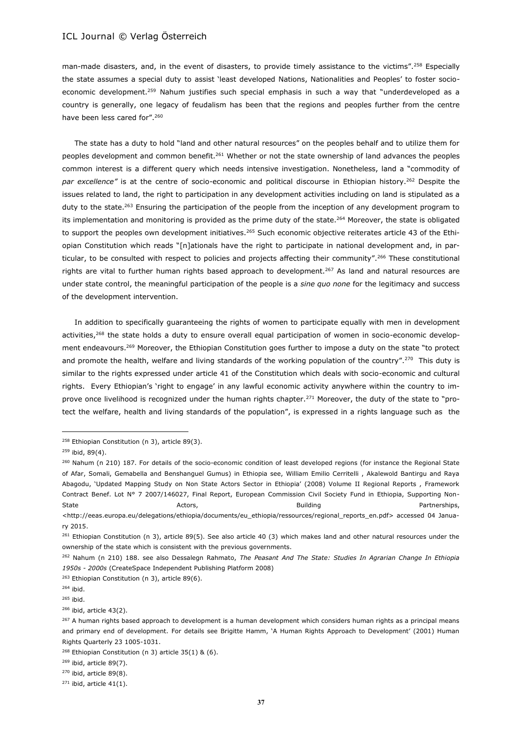man-made disasters, and, in the event of disasters, to provide timely assistance to the victims".<sup>258</sup> Especially the state assumes a special duty to assist 'least developed Nations, Nationalities and Peoples' to foster socioeconomic development.<sup>259</sup> Nahum justifies such special emphasis in such a way that "underdeveloped as a country is generally, one legacy of feudalism has been that the regions and peoples further from the centre have been less cared for".<sup>260</sup>

The state has a duty to hold "land and other natural resources" on the peoples behalf and to utilize them for peoples development and common benefit.<sup>261</sup> Whether or not the state ownership of land advances the peoples common interest is a different query which needs intensive investigation. Nonetheless, land a "commodity of par excellence" is at the centre of socio-economic and political discourse in Ethiopian history.<sup>262</sup> Despite the issues related to land, the right to participation in any development activities including on land is stipulated as a duty to the state.<sup>263</sup> Ensuring the participation of the people from the inception of any development program to its implementation and monitoring is provided as the prime duty of the state.<sup>264</sup> Moreover, the state is obligated to support the peoples own development initiatives.<sup>265</sup> Such economic objective reiterates article 43 of the Ethiopian Constitution which reads "[n]ationals have the right to participate in national development and, in particular, to be consulted with respect to policies and projects affecting their community".<sup>266</sup> These constitutional rights are vital to further human rights based approach to development.<sup>267</sup> As land and natural resources are under state control, the meaningful participation of the people is a *sine quo none* for the legitimacy and success of the development intervention.

In addition to specifically guaranteeing the rights of women to participate equally with men in development activities,<sup>268</sup> the state holds a duty to ensure overall equal participation of women in socio-economic development endeavours.<sup>269</sup> Moreover, the Ethiopian Constitution goes further to impose a duty on the state "to protect and promote the health, welfare and living standards of the working population of the country".<sup>270</sup> This duty is similar to the rights expressed under article 41 of the Constitution which deals with socio-economic and cultural rights. Every Ethiopian's 'right to engage' in any lawful economic activity anywhere within the country to improve once livelihood is recognized under the human rights chapter.<sup>271</sup> Moreover, the duty of the state to "protect the welfare, health and living standards of the population", is expressed in a rights language such as the

<sup>&</sup>lt;sup>258</sup> Ethiopian Constitution (n 3), article 89(3).

 $259$  ibid, 89(4).

<sup>&</sup>lt;sup>260</sup> Nahum (n 210) 187. For details of the socio-economic condition of least developed regions (for instance the Regional State of Afar, Somali, Gemabella and Benshanguel Gumus) in Ethiopia see, William Emilio Cerritelli , Akalewold Bantirgu and Raya Abagodu, 'Updated Mapping Study on Non State Actors Sector in Ethiopia' (2008) Volume II Regional Reports , Framework Contract Benef. Lot N° 7 2007/146027, Final Report, European Commission Civil Society Fund in Ethiopia, Supporting Non-State **Actors, Building Partnerships, Building** Partnerships, Building Partnerships,

<sup>&</sup>lt;http://eeas.europa.eu/delegations/ethiopia/documents/eu\_ethiopia/ressources/regional\_reports\_en.pdf> accessed 04 January 2015.

 $261$  Ethiopian Constitution (n 3), article 89(5). See also article 40 (3) which makes land and other natural resources under the ownership of the state which is consistent with the previous governments.

<sup>262</sup> Nahum (n 210) 188. see also Dessalegn Rahmato, *The Peasant And The State: Studies In Agrarian Change In Ethiopia 1950s - 2000s* (CreateSpace Independent Publishing Platform 2008)

<sup>&</sup>lt;sup>263</sup> Ethiopian Constitution (n 3), article 89(6).

<sup>264</sup> ibid.

<sup>265</sup> ibid.

<sup>266</sup> ibid, article 43(2).

<sup>&</sup>lt;sup>267</sup> A human rights based approach to development is a human development which considers human rights as a principal means and primary end of development. For details see Brigitte Hamm, 'A Human Rights Approach to Development' (2001) Human Rights Quarterly 23 1005-1031.

 $268$  Ethiopian Constitution (n 3) article 35(1) & (6).

<sup>269</sup> ibid, article 89(7).

<sup>270</sup> ibid, article 89(8).

 $271$  ibid, article 41(1).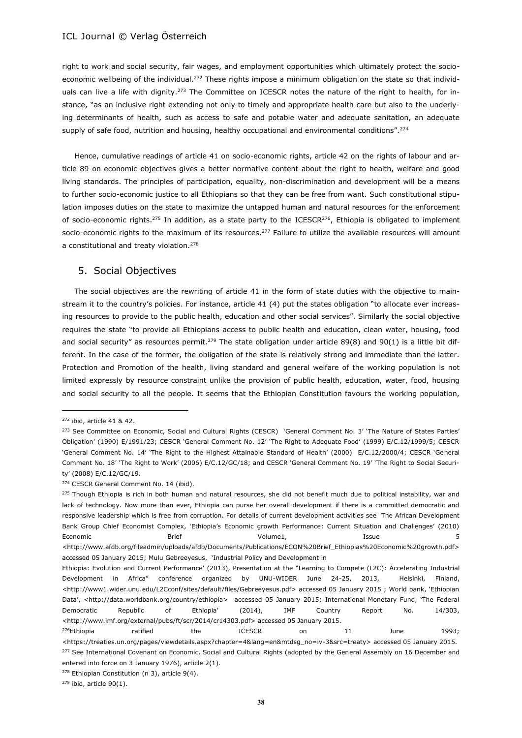right to work and social security, fair wages, and employment opportunities which ultimately protect the socioeconomic wellbeing of the individual.<sup>272</sup> These rights impose a minimum obligation on the state so that individuals can live a life with dignity.<sup>273</sup> The Committee on ICESCR notes the nature of the right to health, for instance, "as an inclusive right extending not only to timely and appropriate health care but also to the underlying determinants of health, such as access to safe and potable water and adequate sanitation, an adequate supply of safe food, nutrition and housing, healthy occupational and environmental conditions".<sup>274</sup>

Hence, cumulative readings of article 41 on socio-economic rights, article 42 on the rights of labour and article 89 on economic objectives gives a better normative content about the right to health, welfare and good living standards. The principles of participation, equality, non-discrimination and development will be a means to further socio-economic justice to all Ethiopians so that they can be free from want. Such constitutional stipulation imposes duties on the state to maximize the untapped human and natural resources for the enforcement of socio-economic rights.<sup>275</sup> In addition, as a state party to the ICESCR<sup>276</sup>, Ethiopia is obligated to implement socio-economic rights to the maximum of its resources.<sup>277</sup> Failure to utilize the available resources will amount a constitutional and treaty violation.<sup>278</sup>

#### 5. Social Objectives

The social objectives are the rewriting of article 41 in the form of state duties with the objective to mainstream it to the country's policies. For instance, article 41 (4) put the states obligation "to allocate ever increasing resources to provide to the public health, education and other social services". Similarly the social objective requires the state "to provide all Ethiopians access to public health and education, clean water, housing, food and social security" as resources permit.<sup>279</sup> The state obligation under article 89(8) and 90(1) is a little bit different. In the case of the former, the obligation of the state is relatively strong and immediate than the latter. Protection and Promotion of the health, living standard and general welfare of the working population is not limited expressly by resource constraint unlike the provision of public health, education, water, food, housing and social security to all the people. It seems that the Ethiopian Constitution favours the working population,

<sup>272</sup> ibid, article 41 & 42.

<sup>&</sup>lt;sup>273</sup> See Committee on Economic, Social and Cultural Rights (CESCR) 'General Comment No. 3' 'The Nature of States Parties' Obligation' (1990) E/1991/23; CESCR 'General Comment No. 12' 'The Right to Adequate Food' (1999) E/C.12/1999/5; CESCR 'General Comment No. 14' 'The Right to the Highest Attainable Standard of Health' (2000) E/C.12/2000/4; CESCR 'General Comment No. 18' 'The Right to Work' (2006) E/C.12/GC/18; and CESCR 'General Comment No. 19' 'The Right to Social Security' (2008) E/C.12/GC/19.

<sup>&</sup>lt;sup>274</sup> CESCR General Comment No. 14 (ibid).

<sup>&</sup>lt;sup>275</sup> Though Ethiopia is rich in both human and natural resources, she did not benefit much due to political instability, war and lack of technology. Now more than ever, Ethiopia can purse her overall development if there is a committed democratic and responsive leadership which is free from corruption. For details of current development activities see The African Development Bank Group Chief Economist Complex, 'Ethiopia's Economic growth Performance: Current Situation and Challenges' (2010) Economic Brief Volume1, Issue 5

<sup>&</sup>lt;http://www.afdb.org/fileadmin/uploads/afdb/Documents/Publications/ECON%20Brief\_Ethiopias%20Economic%20growth.pdf> accessed 05 January 2015; Mulu Gebreeyesus, 'Industrial Policy and Development in

Ethiopia: Evolution and Current Performance' (2013), Presentation at the "Learning to Compete (L2C): Accelerating Industrial Development in Africa" conference organized by UNU-WIDER June 24-25, 2013, Helsinki, Finland, <http://www1.wider.unu.edu/L2Cconf/sites/default/files/Gebreeyesus.pdf> accessed 05 January 2015 ; World bank, 'Ethiopian Data', <http://data.worldbank.org/country/ethiopia> accessed 05 January 2015; International Monetary Fund, 'The Federal Democratic Republic of Ethiopia' (2014), IMF Country Report No. 14/303, <http://www.imf.org/external/pubs/ft/scr/2014/cr14303.pdf> accessed 05 January 2015.

<sup>&</sup>lt;sup>276</sup>Ethiopia ratified the ICESCR on 11 June 1993; <https://treaties.un.org/pages/viewdetails.aspx?chapter=4&lang=en&mtdsg\_no=iv-3&src=treaty> accessed 05 January 2015. 277 See International Covenant on Economic, Social and Cultural Rights (adopted by the General Assembly on 16 December and entered into force on 3 January 1976), article 2(1).

<sup>278</sup> Ethiopian Constitution (n 3), article 9(4).

 $279$  ibid, article 90(1).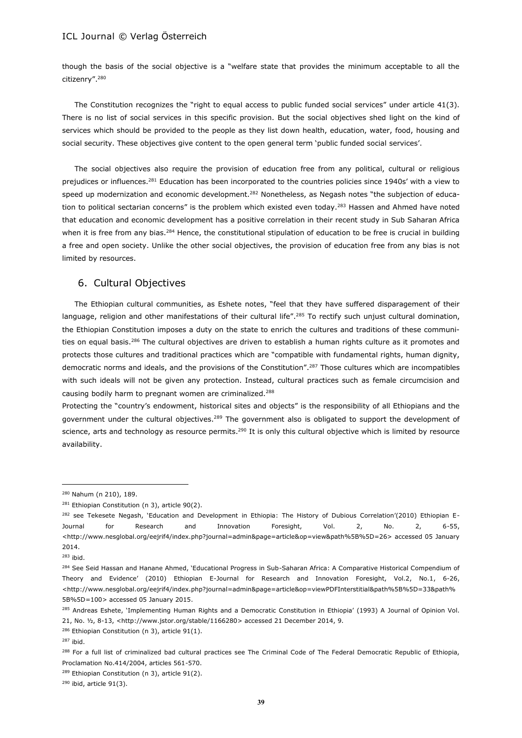though the basis of the social objective is a "welfare state that provides the minimum acceptable to all the citizenry".<sup>280</sup>

The Constitution recognizes the "right to equal access to public funded social services" under article 41(3). There is no list of social services in this specific provision. But the social objectives shed light on the kind of services which should be provided to the people as they list down health, education, water, food, housing and social security. These objectives give content to the open general term 'public funded social services'.

The social objectives also require the provision of education free from any political, cultural or religious prejudices or influences.<sup>281</sup> Education has been incorporated to the countries policies since 1940s' with a view to speed up modernization and economic development.<sup>282</sup> Nonetheless, as Negash notes "the subjection of education to political sectarian concerns" is the problem which existed even today.<sup>283</sup> Hassen and Ahmed have noted that education and economic development has a positive correlation in their recent study in Sub Saharan Africa when it is free from any bias.<sup>284</sup> Hence, the constitutional stipulation of education to be free is crucial in building a free and open society. Unlike the other social objectives, the provision of education free from any bias is not limited by resources.

# 6. Cultural Objectives

The Ethiopian cultural communities, as Eshete notes, "feel that they have suffered disparagement of their language, religion and other manifestations of their cultural life".<sup>285</sup> To rectify such unjust cultural domination, the Ethiopian Constitution imposes a duty on the state to enrich the cultures and traditions of these communities on equal basis.<sup>286</sup> The cultural objectives are driven to establish a human rights culture as it promotes and protects those cultures and traditional practices which are "compatible with fundamental rights, human dignity, democratic norms and ideals, and the provisions of the Constitution".<sup>287</sup> Those cultures which are incompatibles with such ideals will not be given any protection. Instead, cultural practices such as female circumcision and causing bodily harm to pregnant women are criminalized.<sup>288</sup>

Protecting the "country's endowment, historical sites and objects" is the responsibility of all Ethiopians and the government under the cultural objectives.<sup>289</sup> The government also is obligated to support the development of science, arts and technology as resource permits. $290$  It is only this cultural objective which is limited by resource availability.

<sup>280</sup> Nahum (n 210), 189.

 $281$  Ethiopian Constitution (n 3), article 90(2).

<sup>&</sup>lt;sup>282</sup> see Tekesete Negash, 'Education and Development in Ethiopia: The History of Dubious Correlation'(2010) Ethiopian E-Journal for Research and Innovation Foresight, Vol. 2, No. 2, 6-55, <http://www.nesglobal.org/eejrif4/index.php?journal=admin&page=article&op=view&path%5B%5D=26> accessed 05 January 2014.

<sup>283</sup> ibid.

<sup>&</sup>lt;sup>284</sup> See Seid Hassan and Hanane Ahmed, 'Educational Progress in Sub-Saharan Africa: A Comparative Historical Compendium of Theory and Evidence' (2010) Ethiopian E-Journal for Research and Innovation Foresight, Vol.2, No.1, 6-26, <http://www.nesglobal.org/eejrif4/index.php?journal=admin&page=article&op=viewPDFInterstitial&path%5B%5D=33&path% 5B%5D=100> accessed 05 January 2015.

<sup>&</sup>lt;sup>285</sup> Andreas Eshete, 'Implementing Human Rights and a Democratic Constitution in Ethiopia' (1993) A Journal of Opinion Vol. 21, No. ½, 8-13, <http://www.jstor.org/stable/1166280> accessed 21 December 2014, 9.

<sup>286</sup> Ethiopian Constitution (n 3), article 91(1).

<sup>287</sup> ibid.

<sup>&</sup>lt;sup>288</sup> For a full list of criminalized bad cultural practices see The Criminal Code of The Federal Democratic Republic of Ethiopia, Proclamation No.414/2004, articles 561-570.

<sup>&</sup>lt;sup>289</sup> Ethiopian Constitution (n 3), article 91(2).

<sup>290</sup> ibid, article 91(3).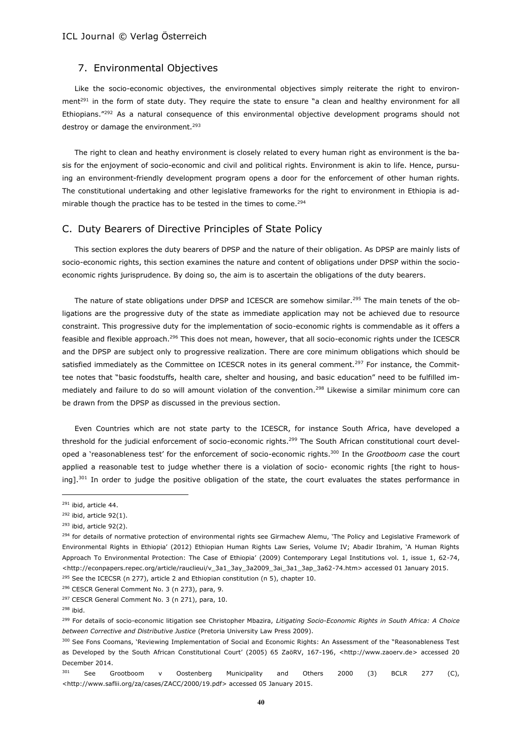### 7. Environmental Objectives

Like the socio-economic objectives, the environmental objectives simply reiterate the right to environment<sup>291</sup> in the form of state duty. They require the state to ensure "a clean and healthy environment for all Ethiopians."<sup>292</sup> As a natural consequence of this environmental objective development programs should not destroy or damage the environment.<sup>293</sup>

The right to clean and heathy environment is closely related to every human right as environment is the basis for the enjoyment of socio-economic and civil and political rights. Environment is akin to life. Hence, pursuing an environment-friendly development program opens a door for the enforcement of other human rights. The constitutional undertaking and other legislative frameworks for the right to environment in Ethiopia is admirable though the practice has to be tested in the times to come. $294$ 

### C. Duty Bearers of Directive Principles of State Policy

This section explores the duty bearers of DPSP and the nature of their obligation. As DPSP are mainly lists of socio-economic rights, this section examines the nature and content of obligations under DPSP within the socioeconomic rights jurisprudence. By doing so, the aim is to ascertain the obligations of the duty bearers.

The nature of state obligations under DPSP and ICESCR are somehow similar.<sup>295</sup> The main tenets of the obligations are the progressive duty of the state as immediate application may not be achieved due to resource constraint. This progressive duty for the implementation of socio-economic rights is commendable as it offers a feasible and flexible approach.<sup>296</sup> This does not mean, however, that all socio-economic rights under the ICESCR and the DPSP are subject only to progressive realization. There are core minimum obligations which should be satisfied immediately as the Committee on ICESCR notes in its general comment.<sup>297</sup> For instance, the Committee notes that "basic foodstuffs, health care, shelter and housing, and basic education" need to be fulfilled immediately and failure to do so will amount violation of the convention.<sup>298</sup> Likewise a similar minimum core can be drawn from the DPSP as discussed in the previous section.

Even Countries which are not state party to the ICESCR, for instance South Africa, have developed a threshold for the judicial enforcement of socio-economic rights.<sup>299</sup> The South African constitutional court developed a 'reasonableness test' for the enforcement of socio-economic rights.<sup>300</sup> In the *Grootboom case* the court applied a reasonable test to judge whether there is a violation of socio- economic rights [the right to housing].<sup>301</sup> In order to judge the positive obligation of the state, the court evaluates the states performance in

<sup>291</sup> ibid, article 44.

 $292$  ibid, article 92(1).

 $293$  ibid, article 92(2).

<sup>&</sup>lt;sup>294</sup> for details of normative protection of environmental rights see Girmachew Alemu, 'The Policy and Legislative Framework of Environmental Rights in Ethiopia' (2012) Ethiopian Human Rights Law Series, Volume IV; Abadir Ibrahim, 'A Human Rights Approach To Environmental Protection: The Case of Ethiopia' (2009) Contemporary Legal Institutions vol. 1, issue 1, 62-74, <http://econpapers.repec.org/article/rauclieui/v\_3a1\_3ay\_3a2009\_3ai\_3a1\_3ap\_3a62-74.htm> accessed 01 January 2015. <sup>295</sup> See the ICECSR (n 277), article 2 and Ethiopian constitution (n 5), chapter 10.

<sup>296</sup> CESCR General Comment No. 3 (n 273), para, 9. <sup>297</sup> CESCR General Comment No. 3 (n 271), para, 10.

<sup>298</sup> ibid.

<sup>299</sup> For details of socio-economic litigation see Christopher Mbazira, *Litigating Socio-Economic Rights in South Africa: A Choice between Corrective and Distributive Justice* (Pretoria University Law Press 2009).

<sup>&</sup>lt;sup>300</sup> See Fons Coomans, 'Reviewing Implementation of Social and Economic Rights: An Assessment of the "Reasonableness Test as Developed by the South African Constitutional Court' (2005) 65 ZaöRV, 167-196, <http://www.zaoerv.de> accessed 20 December 2014.

<sup>&</sup>lt;sup>301</sup> See Grootboom v Oostenberg Municipality and Others 2000 (3) BCLR 277 (C), <http://www.saflii.org/za/cases/ZACC/2000/19.pdf> accessed 05 January 2015.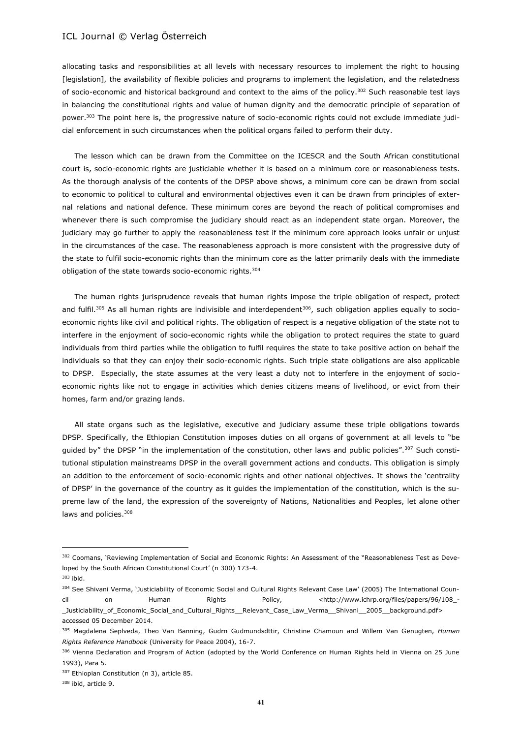allocating tasks and responsibilities at all levels with necessary resources to implement the right to housing [legislation], the availability of flexible policies and programs to implement the legislation, and the relatedness of socio-economic and historical background and context to the aims of the policy.<sup>302</sup> Such reasonable test lays in balancing the constitutional rights and value of human dignity and the democratic principle of separation of power.<sup>303</sup> The point here is, the progressive nature of socio-economic rights could not exclude immediate judicial enforcement in such circumstances when the political organs failed to perform their duty.

The lesson which can be drawn from the Committee on the ICESCR and the South African constitutional court is, socio-economic rights are justiciable whether it is based on a minimum core or reasonableness tests. As the thorough analysis of the contents of the DPSP above shows, a minimum core can be drawn from social to economic to political to cultural and environmental objectives even it can be drawn from principles of external relations and national defence. These minimum cores are beyond the reach of political compromises and whenever there is such compromise the judiciary should react as an independent state organ. Moreover, the judiciary may go further to apply the reasonableness test if the minimum core approach looks unfair or unjust in the circumstances of the case. The reasonableness approach is more consistent with the progressive duty of the state to fulfil socio-economic rights than the minimum core as the latter primarily deals with the immediate obligation of the state towards socio-economic rights.<sup>304</sup>

The human rights jurisprudence reveals that human rights impose the triple obligation of respect, protect and fulfil.<sup>305</sup> As all human rights are indivisible and interdependent<sup>306</sup>, such obligation applies equally to socioeconomic rights like civil and political rights. The obligation of respect is a negative obligation of the state not to interfere in the enjoyment of socio-economic rights while the obligation to protect requires the state to guard individuals from third parties while the obligation to fulfil requires the state to take positive action on behalf the individuals so that they can enjoy their socio-economic rights. Such triple state obligations are also applicable to DPSP. Especially, the state assumes at the very least a duty not to interfere in the enjoyment of socioeconomic rights like not to engage in activities which denies citizens means of livelihood, or evict from their homes, farm and/or grazing lands.

All state organs such as the legislative, executive and judiciary assume these triple obligations towards DPSP. Specifically, the Ethiopian Constitution imposes duties on all organs of government at all levels to "be guided by" the DPSP "in the implementation of the constitution, other laws and public policies".<sup>307</sup> Such constitutional stipulation mainstreams DPSP in the overall government actions and conducts. This obligation is simply an addition to the enforcement of socio-economic rights and other national objectives. It shows the 'centrality of DPSP' in the governance of the country as it guides the implementation of the constitution, which is the supreme law of the land, the expression of the sovereignty of Nations, Nationalities and Peoples, let alone other laws and policies.<sup>308</sup>

<sup>302</sup> Coomans, 'Reviewing Implementation of Social and Economic Rights: An Assessment of the "Reasonableness Test as Developed by the South African Constitutional Court' (n 300) 173-4.

<sup>303</sup> ibid.

<sup>304</sup> See Shivani Verma, 'Justiciability of Economic Social and Cultural Rights Relevant Case Law' (2005) The International Counon Human Rights Policy, <http://www.ichrp.org/files/papers/96/108\_-Justiciability of Economic Social and Cultural Rights Relevant Case Law Verma Shivani 2005 background.pdf> accessed 05 December 2014.

<sup>305</sup> Magdalena Seplveda, Theo Van Banning, Gudrn Gudmundsdttir, Christine Chamoun and Willem Van Genugten, *Human Rights Reference Handbook* (University for Peace 2004), 16-7.

<sup>306</sup> Vienna Declaration and Program of Action (adopted by the World Conference on Human Rights held in Vienna on 25 June 1993), Para 5.

<sup>307</sup> Ethiopian Constitution (n 3), article 85.

<sup>308</sup> ibid, article 9.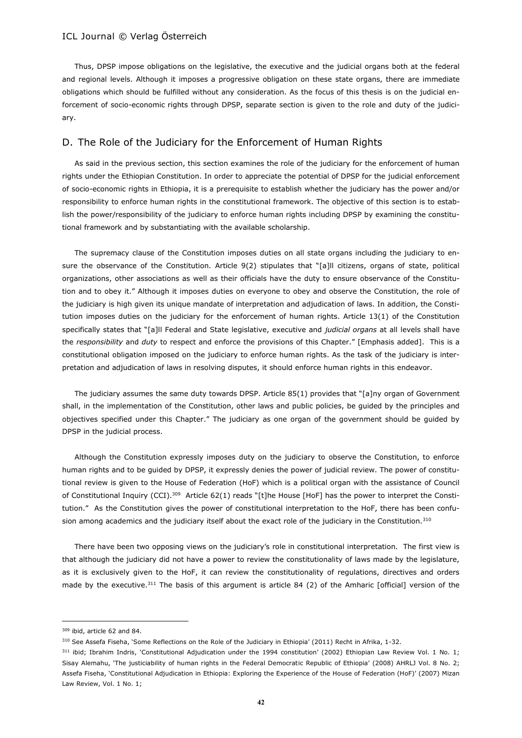Thus, DPSP impose obligations on the legislative, the executive and the judicial organs both at the federal and regional levels. Although it imposes a progressive obligation on these state organs, there are immediate obligations which should be fulfilled without any consideration. As the focus of this thesis is on the judicial enforcement of socio-economic rights through DPSP, separate section is given to the role and duty of the judiciary.

### D. The Role of the Judiciary for the Enforcement of Human Rights

As said in the previous section, this section examines the role of the judiciary for the enforcement of human rights under the Ethiopian Constitution. In order to appreciate the potential of DPSP for the judicial enforcement of socio-economic rights in Ethiopia, it is a prerequisite to establish whether the judiciary has the power and/or responsibility to enforce human rights in the constitutional framework. The objective of this section is to establish the power/responsibility of the judiciary to enforce human rights including DPSP by examining the constitutional framework and by substantiating with the available scholarship.

The supremacy clause of the Constitution imposes duties on all state organs including the judiciary to ensure the observance of the Constitution. Article 9(2) stipulates that "[a]ll citizens, organs of state, political organizations, other associations as well as their officials have the duty to ensure observance of the Constitution and to obey it." Although it imposes duties on everyone to obey and observe the Constitution, the role of the judiciary is high given its unique mandate of interpretation and adjudication of laws. In addition, the Constitution imposes duties on the judiciary for the enforcement of human rights. Article 13(1) of the Constitution specifically states that "[a]ll Federal and State legislative, executive and *judicial organs* at all levels shall have the *responsibility* and *duty* to respect and enforce the provisions of this Chapter." [Emphasis added]. This is a constitutional obligation imposed on the judiciary to enforce human rights. As the task of the judiciary is interpretation and adjudication of laws in resolving disputes, it should enforce human rights in this endeavor.

The judiciary assumes the same duty towards DPSP. Article 85(1) provides that "[a]ny organ of Government shall, in the implementation of the Constitution, other laws and public policies, be guided by the principles and objectives specified under this Chapter." The judiciary as one organ of the government should be guided by DPSP in the judicial process.

Although the Constitution expressly imposes duty on the judiciary to observe the Constitution, to enforce human rights and to be guided by DPSP, it expressly denies the power of judicial review. The power of constitutional review is given to the House of Federation (HoF) which is a political organ with the assistance of Council of Constitutional Inquiry (CCI).<sup>309</sup> Article 62(1) reads "[t]he House [HoF] has the power to interpret the Constitution." As the Constitution gives the power of constitutional interpretation to the HoF, there has been confusion among academics and the judiciary itself about the exact role of the judiciary in the Constitution.<sup>310</sup>

There have been two opposing views on the judiciary's role in constitutional interpretation. The first view is that although the judiciary did not have a power to review the constitutionality of laws made by the legislature, as it is exclusively given to the HoF, it can review the constitutionality of regulations, directives and orders made by the executive.<sup>311</sup> The basis of this argument is article 84 (2) of the Amharic [official] version of the

<sup>309</sup> ibid, article 62 and 84.

<sup>310</sup> See Assefa Fiseha, 'Some Reflections on the Role of the Judiciary in Ethiopia' (2011) Recht in Afrika, 1-32.

<sup>311</sup> ibid; Ibrahim Indris, 'Constitutional Adjudication under the 1994 constitution' (2002) Ethiopian Law Review Vol. 1 No. 1; Sisay Alemahu, 'The justiciability of human rights in the Federal Democratic Republic of Ethiopia' (2008) AHRLJ Vol. 8 No. 2; Assefa Fiseha, 'Constitutional Adjudication in Ethiopia: Exploring the Experience of the House of Federation (HoF)' (2007) Mizan Law Review, Vol. 1 No. 1;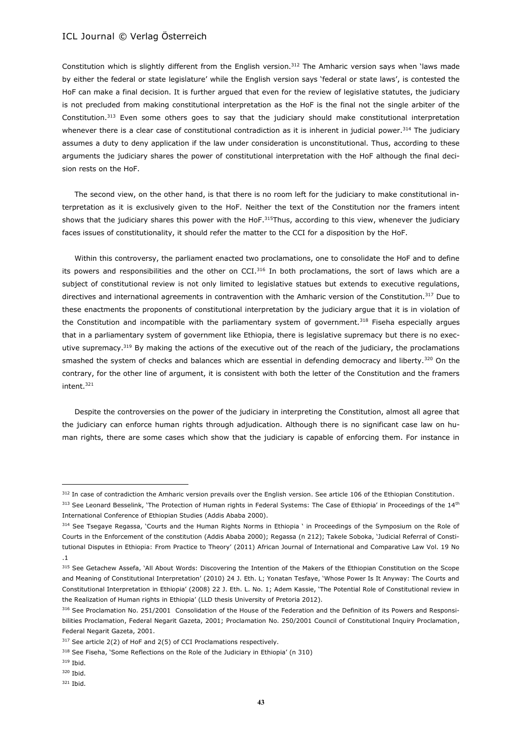Constitution which is slightly different from the English version.<sup>312</sup> The Amharic version says when 'laws made by either the federal or state legislature' while the English version says 'federal or state laws', is contested the HoF can make a final decision. It is further argued that even for the review of legislative statutes, the judiciary is not precluded from making constitutional interpretation as the HoF is the final not the single arbiter of the Constitution.<sup>313</sup> Even some others goes to say that the judiciary should make constitutional interpretation whenever there is a clear case of constitutional contradiction as it is inherent in judicial power.<sup>314</sup> The judiciary assumes a duty to deny application if the law under consideration is unconstitutional. Thus, according to these arguments the judiciary shares the power of constitutional interpretation with the HoF although the final decision rests on the HoF.

The second view, on the other hand, is that there is no room left for the judiciary to make constitutional interpretation as it is exclusively given to the HoF. Neither the text of the Constitution nor the framers intent shows that the judiciary shares this power with the HoF.<sup>315</sup>Thus, according to this view, whenever the judiciary faces issues of constitutionality, it should refer the matter to the CCI for a disposition by the HoF.

Within this controversy, the parliament enacted two proclamations, one to consolidate the HoF and to define its powers and responsibilities and the other on CCI.<sup>316</sup> In both proclamations, the sort of laws which are a subject of constitutional review is not only limited to legislative statues but extends to executive regulations, directives and international agreements in contravention with the Amharic version of the Constitution.<sup>317</sup> Due to these enactments the proponents of constitutional interpretation by the judiciary argue that it is in violation of the Constitution and incompatible with the parliamentary system of government.<sup>318</sup> Fiseha especially argues that in a parliamentary system of government like Ethiopia, there is legislative supremacy but there is no executive supremacy.<sup>319</sup> By making the actions of the executive out of the reach of the judiciary, the proclamations smashed the system of checks and balances which are essential in defending democracy and liberty.<sup>320</sup> On the contrary, for the other line of argument, it is consistent with both the letter of the Constitution and the framers intent.<sup>321</sup>

Despite the controversies on the power of the judiciary in interpreting the Constitution, almost all agree that the judiciary can enforce human rights through adjudication. Although there is no significant case law on human rights, there are some cases which show that the judiciary is capable of enforcing them. For instance in

<sup>&</sup>lt;sup>312</sup> In case of contradiction the Amharic version prevails over the English version. See article 106 of the Ethiopian Constitution.

<sup>313</sup> See Leonard Besselink, 'The Protection of Human rights in Federal Systems: The Case of Ethiopia' in Proceedings of the 14th International Conference of Ethiopian Studies (Addis Ababa 2000).

<sup>&</sup>lt;sup>314</sup> See Tsegaye Regassa, 'Courts and the Human Rights Norms in Ethiopia ' in Proceedings of the Symposium on the Role of Courts in the Enforcement of the constitution (Addis Ababa 2000); Regassa (n 212); Takele Soboka, 'Judicial Referral of Constitutional Disputes in Ethiopia: From Practice to Theory' (2011) African Journal of International and Comparative Law Vol. 19 No .1

<sup>315</sup> See Getachew Assefa, `All About Words: Discovering the Intention of the Makers of the Ethiopian Constitution on the Scope and Meaning of Constitutional Interpretation' (2010) 24 J. Eth. L; Yonatan Tesfaye, 'Whose Power Is It Anyway: The Courts and Constitutional Interpretation in Ethiopia' (2008) 22 J. Eth. L. No. 1; Adem Kassie, 'The Potential Role of Constitutional review in the Realization of Human rights in Ethiopia' (LLD thesis University of Pretoria 2012).

<sup>316</sup> See Proclamation No. 251/2001 Consolidation of the House of the Federation and the Definition of its Powers and Responsibilities Proclamation, Federal Negarit Gazeta, 2001; Proclamation No. 250/2001 Council of Constitutional Inquiry Proclamation, Federal Negarit Gazeta, 2001.

<sup>&</sup>lt;sup>317</sup> See article 2(2) of HoF and 2(5) of CCI Proclamations respectively.

<sup>318</sup> See Fiseha, 'Some Reflections on the Role of the Judiciary in Ethiopia' (n 310)

<sup>319</sup> Ibid.

<sup>320</sup> Ibid.

<sup>321</sup> Ibid.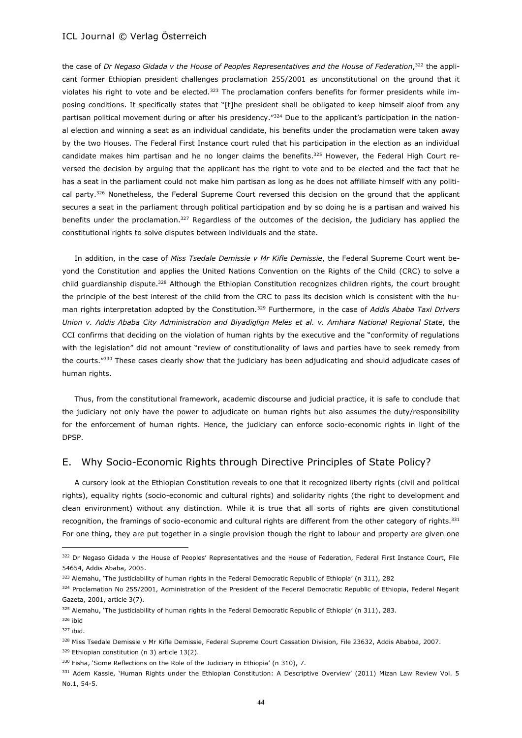the case of *Dr Negaso Gidada v the House of Peoples Representatives and the House of Federation*, <sup>322</sup> the applicant former Ethiopian president challenges proclamation 255/2001 as unconstitutional on the ground that it violates his right to vote and be elected. $323$  The proclamation confers benefits for former presidents while imposing conditions. It specifically states that "[t]he president shall be obligated to keep himself aloof from any partisan political movement during or after his presidency."<sup>324</sup> Due to the applicant's participation in the national election and winning a seat as an individual candidate, his benefits under the proclamation were taken away by the two Houses. The Federal First Instance court ruled that his participation in the election as an individual candidate makes him partisan and he no longer claims the benefits.<sup>325</sup> However, the Federal High Court reversed the decision by arguing that the applicant has the right to vote and to be elected and the fact that he has a seat in the parliament could not make him partisan as long as he does not affiliate himself with any political party.<sup>326</sup> Nonetheless, the Federal Supreme Court reversed this decision on the ground that the applicant secures a seat in the parliament through political participation and by so doing he is a partisan and waived his benefits under the proclamation.<sup>327</sup> Regardless of the outcomes of the decision, the judiciary has applied the constitutional rights to solve disputes between individuals and the state.

In addition, in the case of *Miss Tsedale Demissie v Mr Kifle Demissie*, the Federal Supreme Court went beyond the Constitution and applies the United Nations Convention on the Rights of the Child (CRC) to solve a child guardianship dispute.<sup>328</sup> Although the Ethiopian Constitution recognizes children rights, the court brought the principle of the best interest of the child from the CRC to pass its decision which is consistent with the human rights interpretation adopted by the Constitution.<sup>329</sup> Furthermore, in the case of *Addis Ababa Taxi Drivers Union v. Addis Ababa City Administration and Biyadiglign Meles et al. v. Amhara National Regional State*, the CCI confirms that deciding on the violation of human rights by the executive and the "conformity of regulations with the legislation" did not amount "review of constitutionality of laws and parties have to seek remedy from the courts."330 These cases clearly show that the judiciary has been adjudicating and should adjudicate cases of human rights.

Thus, from the constitutional framework, academic discourse and judicial practice, it is safe to conclude that the judiciary not only have the power to adjudicate on human rights but also assumes the duty/responsibility for the enforcement of human rights. Hence, the judiciary can enforce socio-economic rights in light of the DPSP.

# E. Why Socio-Economic Rights through Directive Principles of State Policy?

A cursory look at the Ethiopian Constitution reveals to one that it recognized liberty rights (civil and political rights), equality rights (socio-economic and cultural rights) and solidarity rights (the right to development and clean environment) without any distinction. While it is true that all sorts of rights are given constitutional recognition, the framings of socio-economic and cultural rights are different from the other category of rights.<sup>331</sup> For one thing, they are put together in a single provision though the right to labour and property are given one

<sup>322</sup> Dr Negaso Gidada v the House of Peoples' Representatives and the House of Federation, Federal First Instance Court, File 54654, Addis Ababa, 2005.

<sup>323</sup> Alemahu, 'The justiciability of human rights in the Federal Democratic Republic of Ethiopia' (n 311), 282

<sup>324</sup> Proclamation No 255/2001, Administration of the President of the Federal Democratic Republic of Ethiopia, Federal Negarit Gazeta, 2001, article 3(7).

<sup>325</sup> Alemahu, 'The justiciability of human rights in the Federal Democratic Republic of Ethiopia' (n 311), 283.

<sup>326</sup> ibid

<sup>327</sup> ibid.

<sup>328</sup> Miss Tsedale Demissie v Mr Kifle Demissie, Federal Supreme Court Cassation Division, File 23632, Addis Ababba, 2007.

<sup>329</sup> Ethiopian constitution (n 3) article 13(2).

<sup>330</sup> Fisha, 'Some Reflections on the Role of the Judiciary in Ethiopia' (n 310), 7.

<sup>331</sup> Adem Kassie, 'Human Rights under the Ethiopian Constitution: A Descriptive Overview' (2011) Mizan Law Review Vol. 5 No.1, 54-5.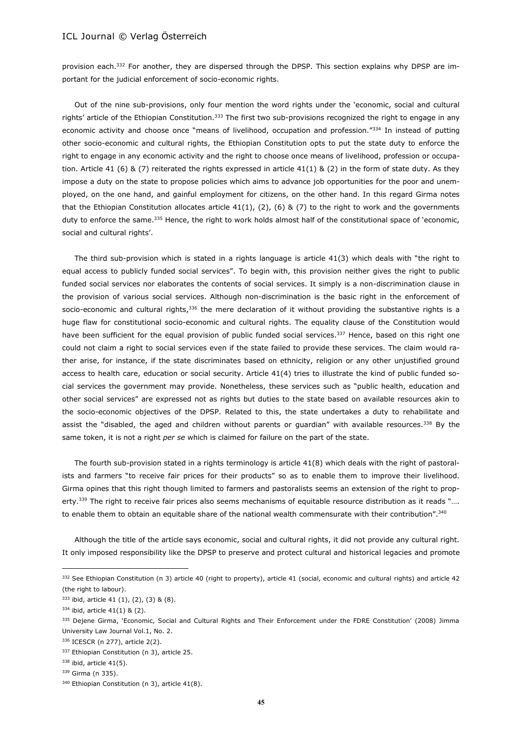provision each.<sup>332</sup> For another, they are dispersed through the DPSP. This section explains why DPSP are important for the judicial enforcement of socio-economic rights.

Out of the nine sub-provisions, only four mention the word rights under the 'economic, social and cultural rights' article of the Ethiopian Constitution.<sup>333</sup> The first two sub-provisions recognized the right to engage in any economic activity and choose once "means of livelihood, occupation and profession."334 In instead of putting other socio-economic and cultural rights, the Ethiopian Constitution opts to put the state duty to enforce the right to engage in any economic activity and the right to choose once means of livelihood, profession or occupation. Article 41 (6) & (7) reiterated the rights expressed in article 41(1) & (2) in the form of state duty. As they impose a duty on the state to propose policies which aims to advance job opportunities for the poor and unemployed, on the one hand, and gainful employment for citizens, on the other hand. In this regard Girma notes that the Ethiopian Constitution allocates article  $41(1)$ ,  $(2)$ ,  $(6)$  &  $(7)$  to the right to work and the governments duty to enforce the same.<sup>335</sup> Hence, the right to work holds almost half of the constitutional space of 'economic, social and cultural rights'.

The third sub-provision which is stated in a rights language is article 41(3) which deals with "the right to equal access to publicly funded social services". To begin with, this provision neither gives the right to public funded social services nor elaborates the contents of social services. It simply is a non-discrimination clause in the provision of various social services. Although non-discrimination is the basic right in the enforcement of socio-economic and cultural rights, $336$  the mere declaration of it without providing the substantive rights is a huge flaw for constitutional socio-economic and cultural rights. The equality clause of the Constitution would have been sufficient for the equal provision of public funded social services.<sup>337</sup> Hence, based on this right one could not claim a right to social services even if the state failed to provide these services. The claim would rather arise, for instance, if the state discriminates based on ethnicity, religion or any other unjustified ground access to health care, education or social security. Article 41(4) tries to illustrate the kind of public funded social services the government may provide. Nonetheless, these services such as "public health, education and other social services" are expressed not as rights but duties to the state based on available resources akin to the socio-economic objectives of the DPSP. Related to this, the state undertakes a duty to rehabilitate and assist the "disabled, the aged and children without parents or guardian" with available resources.<sup>338</sup> By the same token, it is not a right *per se* which is claimed for failure on the part of the state.

The fourth sub-provision stated in a rights terminology is article 41(8) which deals with the right of pastoralists and farmers "to receive fair prices for their products" so as to enable them to improve their livelihood. Girma opines that this right though limited to farmers and pastoralists seems an extension of the right to property.<sup>339</sup> The right to receive fair prices also seems mechanisms of equitable resource distribution as it reads ".... to enable them to obtain an equitable share of the national wealth commensurate with their contribution". 340

Although the title of the article says economic, social and cultural rights, it did not provide any cultural right. It only imposed responsibility like the DPSP to preserve and protect cultural and historical legacies and promote

<sup>332</sup> See Ethiopian Constitution (n 3) article 40 (right to property), article 41 (social, economic and cultural rights) and article 42 (the right to labour).

<sup>333</sup> ibid, article 41 (1), (2), (3) & (8).

<sup>334</sup> ibid, article 41(1) & (2).

<sup>335</sup> Dejene Girma, 'Economic, Social and Cultural Rights and Their Enforcement under the FDRE Constitution' (2008) Jimma University Law Journal Vol.1, No. 2.

<sup>336</sup> ICESCR (n 277), article 2(2).

<sup>337</sup> Ethiopian Constitution (n 3), article 25.

<sup>338</sup> ibid, article 41(5).

<sup>339</sup> Girma (n 335).

<sup>340</sup> Ethiopian Constitution (n 3), article 41(8).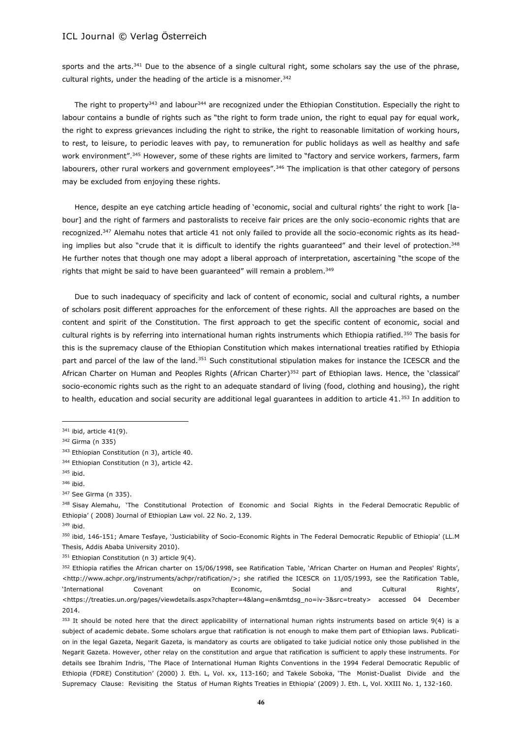sports and the arts.<sup>341</sup> Due to the absence of a single cultural right, some scholars say the use of the phrase, cultural rights, under the heading of the article is a misnomer.<sup>342</sup>

The right to property<sup>343</sup> and labour<sup>344</sup> are recognized under the Ethiopian Constitution. Especially the right to labour contains a bundle of rights such as "the right to form trade union, the right to equal pay for equal work, the right to express grievances including the right to strike, the right to reasonable limitation of working hours, to rest, to leisure, to periodic leaves with pay, to remuneration for public holidays as well as healthy and safe work environment".<sup>345</sup> However, some of these rights are limited to "factory and service workers, farmers, farm labourers, other rural workers and government employees".<sup>346</sup> The implication is that other category of persons may be excluded from enjoying these rights.

Hence, despite an eye catching article heading of 'economic, social and cultural rights' the right to work [labour] and the right of farmers and pastoralists to receive fair prices are the only socio-economic rights that are recognized.<sup>347</sup> Alemahu notes that article 41 not only failed to provide all the socio-economic rights as its heading implies but also "crude that it is difficult to identify the rights guaranteed" and their level of protection.<sup>348</sup> He further notes that though one may adopt a liberal approach of interpretation, ascertaining "the scope of the rights that might be said to have been guaranteed" will remain a problem.<sup>349</sup>

Due to such inadequacy of specificity and lack of content of economic, social and cultural rights, a number of scholars posit different approaches for the enforcement of these rights. All the approaches are based on the content and spirit of the Constitution. The first approach to get the specific content of economic, social and cultural rights is by referring into international human rights instruments which Ethiopia ratified.<sup>350</sup> The basis for this is the supremacy clause of the Ethiopian Constitution which makes international treaties ratified by Ethiopia part and parcel of the law of the land.<sup>351</sup> Such constitutional stipulation makes for instance the ICESCR and the African Charter on Human and Peoples Rights (African Charter)<sup>352</sup> part of Ethiopian laws. Hence, the 'classical' socio-economic rights such as the right to an adequate standard of living (food, clothing and housing), the right to health, education and social security are additional legal guarantees in addition to article 41. $353$  In addition to

 $\overline{\phantom{a}}$ 

348 Sisay Alemahu, 'The Constitutional Protection of Economic and Social Rights in the Federal Democratic Republic of Ethiopia' ( 2008) Journal of Ethiopian Law vol. 22 No. 2, 139. <sup>349</sup> ibid.

<sup>350</sup> ibid, 146-151; Amare Tesfaye, 'Justiciability of Socio-Economic Rights in The Federal Democratic Republic of Ethiopia' (LL.M Thesis, Addis Ababa University 2010).

<sup>351</sup> Ethiopian Constitution (n 3) article 9(4).

 $341$  ibid, article 41(9).

<sup>342</sup> Girma (n 335)

<sup>343</sup> Ethiopian Constitution (n 3), article 40.

<sup>344</sup> Ethiopian Constitution (n 3), article 42.

<sup>345</sup> ibid.

<sup>346</sup> ibid.

<sup>347</sup> See Girma (n 335).

<sup>&</sup>lt;sup>352</sup> Ethiopia ratifies the African charter on 15/06/1998, see Ratification Table, 'African Charter on Human and Peoples' Rights', <http://www.achpr.org/instruments/achpr/ratification/>; she ratified the ICESCR on 11/05/1993, see the Ratification Table, 'International Covenant on Economic, Social and Cultural Rights', <https://treaties.un.org/pages/viewdetails.aspx?chapter=4&lang=en&mtdsg\_no=iv-3&src=treaty> accessed 04 December 2014.

<sup>353</sup> It should be noted here that the direct applicability of international human rights instruments based on article 9(4) is a subject of academic debate. Some scholars argue that ratification is not enough to make them part of Ethiopian laws. Publication in the legal Gazeta, Negarit Gazeta, is mandatory as courts are obligated to take judicial notice only those published in the Negarit Gazeta. However, other relay on the constitution and argue that ratification is sufficient to apply these instruments. For details see Ibrahim Indris, 'The Place of International Human Rights Conventions in the 1994 Federal Democratic Republic of Ethiopia (FDRE) Constitution' (2000) J. Eth. L, Vol. xx, 113-160; and Takele Soboka, 'The Monist-Dualist Divide and the Supremacy Clause: Revisiting the Status of Human Rights Treaties in Ethiopia' (2009) J. Eth. L, Vol. XXIII No. 1, 132-160.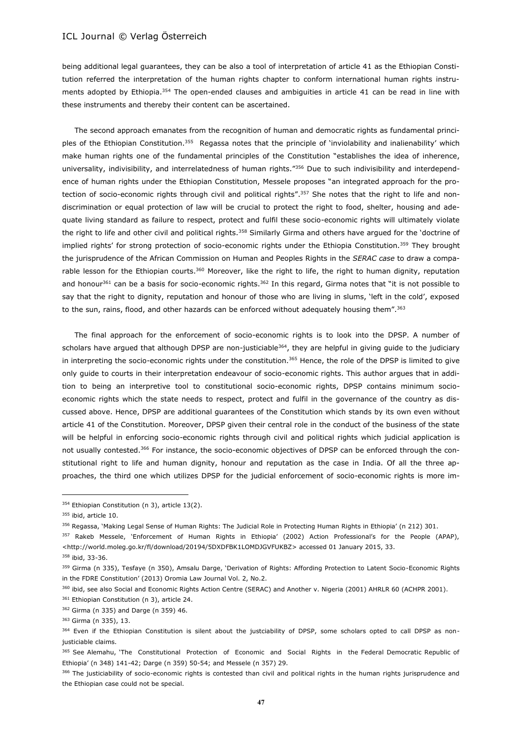being additional legal guarantees, they can be also a tool of interpretation of article 41 as the Ethiopian Constitution referred the interpretation of the human rights chapter to conform international human rights instruments adopted by Ethiopia.<sup>354</sup> The open-ended clauses and ambiguities in article 41 can be read in line with these instruments and thereby their content can be ascertained.

The second approach emanates from the recognition of human and democratic rights as fundamental principles of the Ethiopian Constitution.<sup>355</sup> Regassa notes that the principle of 'inviolability and inalienability' which make human rights one of the fundamental principles of the Constitution "establishes the idea of inherence, universality, indivisibility, and interrelatedness of human rights."<sup>356</sup> Due to such indivisibility and interdependence of human rights under the Ethiopian Constitution, Messele proposes "an integrated approach for the protection of socio-economic rights through civil and political rights".<sup>357</sup> She notes that the right to life and nondiscrimination or equal protection of law will be crucial to protect the right to food, shelter, housing and adequate living standard as failure to respect, protect and fulfil these socio-economic rights will ultimately violate the right to life and other civil and political rights.<sup>358</sup> Similarly Girma and others have argued for the 'doctrine of implied rights' for strong protection of socio-economic rights under the Ethiopia Constitution.<sup>359</sup> They brought the jurisprudence of the African Commission on Human and Peoples Rights in the *SERAC case* to draw a comparable lesson for the Ethiopian courts.<sup>360</sup> Moreover, like the right to life, the right to human dignity, reputation and honour<sup>361</sup> can be a basis for socio-economic rights.<sup>362</sup> In this regard, Girma notes that "it is not possible to say that the right to dignity, reputation and honour of those who are living in slums, 'left in the cold', exposed to the sun, rains, flood, and other hazards can be enforced without adequately housing them".<sup>363</sup>

The final approach for the enforcement of socio-economic rights is to look into the DPSP. A number of scholars have argued that although DPSP are non-justiciable<sup>364</sup>, they are helpful in giving guide to the judiciary in interpreting the socio-economic rights under the constitution.<sup>365</sup> Hence, the role of the DPSP is limited to give only guide to courts in their interpretation endeavour of socio-economic rights. This author argues that in addition to being an interpretive tool to constitutional socio-economic rights, DPSP contains minimum socioeconomic rights which the state needs to respect, protect and fulfil in the governance of the country as discussed above. Hence, DPSP are additional guarantees of the Constitution which stands by its own even without article 41 of the Constitution. Moreover, DPSP given their central role in the conduct of the business of the state will be helpful in enforcing socio-economic rights through civil and political rights which judicial application is not usually contested.<sup>366</sup> For instance, the socio-economic objectives of DPSP can be enforced through the constitutional right to life and human dignity, honour and reputation as the case in India. Of all the three approaches, the third one which utilizes DPSP for the judicial enforcement of socio-economic rights is more im-

<sup>354</sup> Ethiopian Constitution (n 3), article 13(2).

<sup>355</sup> ibid, article 10.

<sup>356</sup> Regassa, 'Making Legal Sense of Human Rights: The Judicial Role in Protecting Human Rights in Ethiopia' (n 212) 301.

<sup>&</sup>lt;sup>357</sup> Rakeb Messele, 'Enforcement of Human Rights in Ethiopia' (2002) Action Professional's for the People (APAP), <http://world.moleg.go.kr/fl/download/20194/5DXDFBK1LOMDJGVFUKBZ> accessed 01 January 2015, 33.

<sup>358</sup> ibid, 33-36.

<sup>359</sup> Girma (n 335), Tesfaye (n 350), Amsalu Darge, 'Derivation of Rights: Affording Protection to Latent Socio-Economic Rights in the FDRE Constitution' (2013) Oromia Law Journal Vol. 2, No.2.

<sup>360</sup> ibid, see also Social and Economic Rights Action Centre (SERAC) and Another v. Nigeria (2001) AHRLR 60 (ACHPR 2001).

<sup>361</sup> Ethiopian Constitution (n 3), article 24.

<sup>362</sup> Girma (n 335) and Darge (n 359) 46.

<sup>363</sup> Girma (n 335), 13.

<sup>364</sup> Even if the Ethiopian Constitution is silent about the justciability of DPSP, some scholars opted to call DPSP as nonjusticiable claims.

<sup>365</sup> See Alemahu, 'The Constitutional Protection of Economic and Social Rights in the Federal Democratic Republic of Ethiopia' (n 348) 141-42; Darge (n 359) 50-54; and Messele (n 357) 29.

<sup>366</sup> The justiciability of socio-economic rights is contested than civil and political rights in the human rights jurisprudence and the Ethiopian case could not be special.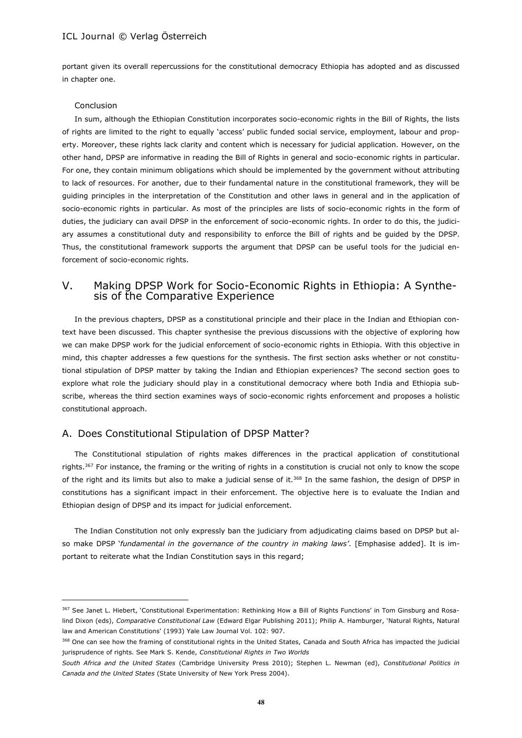portant given its overall repercussions for the constitutional democracy Ethiopia has adopted and as discussed in chapter one.

#### Conclusion

 $\overline{\phantom{a}}$ 

In sum, although the Ethiopian Constitution incorporates socio-economic rights in the Bill of Rights, the lists of rights are limited to the right to equally 'access' public funded social service, employment, labour and property. Moreover, these rights lack clarity and content which is necessary for judicial application. However, on the other hand, DPSP are informative in reading the Bill of Rights in general and socio-economic rights in particular. For one, they contain minimum obligations which should be implemented by the government without attributing to lack of resources. For another, due to their fundamental nature in the constitutional framework, they will be guiding principles in the interpretation of the Constitution and other laws in general and in the application of socio-economic rights in particular. As most of the principles are lists of socio-economic rights in the form of duties, the judiciary can avail DPSP in the enforcement of socio-economic rights. In order to do this, the judiciary assumes a constitutional duty and responsibility to enforce the Bill of rights and be guided by the DPSP. Thus, the constitutional framework supports the argument that DPSP can be useful tools for the judicial enforcement of socio-economic rights.

# V. Making DPSP Work for Socio-Economic Rights in Ethiopia: A Synthesis of the Comparative Experience

In the previous chapters, DPSP as a constitutional principle and their place in the Indian and Ethiopian context have been discussed. This chapter synthesise the previous discussions with the objective of exploring how we can make DPSP work for the judicial enforcement of socio-economic rights in Ethiopia. With this objective in mind, this chapter addresses a few questions for the synthesis. The first section asks whether or not constitutional stipulation of DPSP matter by taking the Indian and Ethiopian experiences? The second section goes to explore what role the judiciary should play in a constitutional democracy where both India and Ethiopia subscribe, whereas the third section examines ways of socio-economic rights enforcement and proposes a holistic constitutional approach.

### A. Does Constitutional Stipulation of DPSP Matter?

The Constitutional stipulation of rights makes differences in the practical application of constitutional rights.<sup>367</sup> For instance, the framing or the writing of rights in a constitution is crucial not only to know the scope of the right and its limits but also to make a judicial sense of it. $368$  In the same fashion, the design of DPSP in constitutions has a significant impact in their enforcement. The objective here is to evaluate the Indian and Ethiopian design of DPSP and its impact for judicial enforcement.

The Indian Constitution not only expressly ban the judiciary from adjudicating claims based on DPSP but also make DPSP '*fundamental in the governance of the country in making laws'*. [Emphasise added]. It is important to reiterate what the Indian Constitution says in this regard;

<sup>367</sup> See Janet L. Hiebert, 'Constitutional Experimentation: Rethinking How a Bill of Rights Functions' in Tom Ginsburg and Rosalind Dixon (eds), *Comparative Constitutional Law* (Edward Elgar Publishing 2011); Philip A. Hamburger, 'Natural Rights, Natural law and American Constitutions' (1993) Yale Law Journal Vol. 102: 907.

<sup>368</sup> One can see how the framing of constitutional rights in the United States, Canada and South Africa has impacted the judicial jurisprudence of rights. See Mark S. Kende, *Constitutional Rights in Two Worlds*

*South Africa and the United States* (Cambridge University Press 2010); Stephen L. Newman (ed), *Constitutional Politics in Canada and the United States* (State University of New York Press 2004).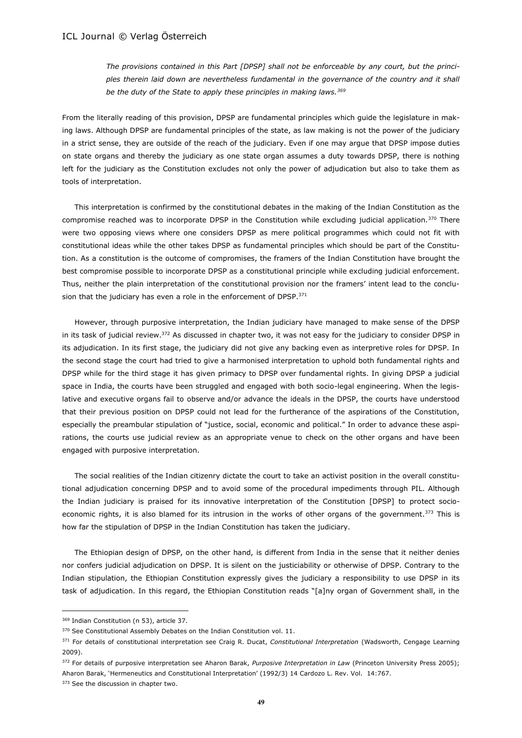*The provisions contained in this Part [DPSP] shall not be enforceable by any court, but the princi*ples therein laid down are nevertheless fundamental in the governance of the country and it shall *be the duty of the State to apply these principles in making laws.<sup>369</sup>*

From the literally reading of this provision, DPSP are fundamental principles which guide the legislature in making laws. Although DPSP are fundamental principles of the state, as law making is not the power of the judiciary in a strict sense, they are outside of the reach of the judiciary. Even if one may argue that DPSP impose duties on state organs and thereby the judiciary as one state organ assumes a duty towards DPSP, there is nothing left for the judiciary as the Constitution excludes not only the power of adjudication but also to take them as tools of interpretation.

This interpretation is confirmed by the constitutional debates in the making of the Indian Constitution as the compromise reached was to incorporate DPSP in the Constitution while excluding judicial application.<sup>370</sup> There were two opposing views where one considers DPSP as mere political programmes which could not fit with constitutional ideas while the other takes DPSP as fundamental principles which should be part of the Constitution. As a constitution is the outcome of compromises, the framers of the Indian Constitution have brought the best compromise possible to incorporate DPSP as a constitutional principle while excluding judicial enforcement. Thus, neither the plain interpretation of the constitutional provision nor the framers' intent lead to the conclusion that the judiciary has even a role in the enforcement of DPSP.<sup>371</sup>

However, through purposive interpretation, the Indian judiciary have managed to make sense of the DPSP in its task of judicial review.<sup>372</sup> As discussed in chapter two, it was not easy for the judiciary to consider DPSP in its adjudication. In its first stage, the judiciary did not give any backing even as interpretive roles for DPSP. In the second stage the court had tried to give a harmonised interpretation to uphold both fundamental rights and DPSP while for the third stage it has given primacy to DPSP over fundamental rights. In giving DPSP a judicial space in India, the courts have been struggled and engaged with both socio-legal engineering. When the legislative and executive organs fail to observe and/or advance the ideals in the DPSP, the courts have understood that their previous position on DPSP could not lead for the furtherance of the aspirations of the Constitution, especially the preambular stipulation of "justice, social, economic and political." In order to advance these aspirations, the courts use judicial review as an appropriate venue to check on the other organs and have been engaged with purposive interpretation.

The social realities of the Indian citizenry dictate the court to take an activist position in the overall constitutional adjudication concerning DPSP and to avoid some of the procedural impediments through PIL. Although the Indian judiciary is praised for its innovative interpretation of the Constitution [DPSP] to protect socioeconomic rights, it is also blamed for its intrusion in the works of other organs of the government.<sup>373</sup> This is how far the stipulation of DPSP in the Indian Constitution has taken the judiciary.

The Ethiopian design of DPSP, on the other hand, is different from India in the sense that it neither denies nor confers judicial adjudication on DPSP. It is silent on the justiciability or otherwise of DPSP. Contrary to the Indian stipulation, the Ethiopian Constitution expressly gives the judiciary a responsibility to use DPSP in its task of adjudication. In this regard, the Ethiopian Constitution reads "[a]ny organ of Government shall, in the

<sup>369</sup> Indian Constitution (n 53), article 37.

<sup>370</sup> See Constitutional Assembly Debates on the Indian Constitution vol. 11.

<sup>371</sup> For details of constitutional interpretation see Craig R. Ducat, *Constitutional Interpretation* (Wadsworth, Cengage Learning 2009).

<sup>372</sup> For details of purposive interpretation see Aharon Barak, *Purposive Interpretation in Law* (Princeton University Press 2005); Aharon Barak, 'Hermeneutics and Constitutional Interpretation' (1992/3) 14 Cardozo L. Rev. Vol. 14:767.

<sup>373</sup> See the discussion in chapter two.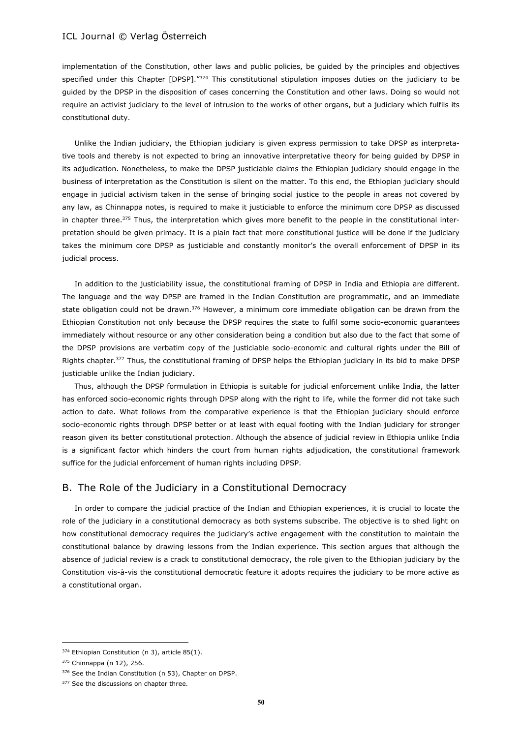implementation of the Constitution, other laws and public policies, be guided by the principles and objectives specified under this Chapter [DPSP]."374 This constitutional stipulation imposes duties on the judiciary to be guided by the DPSP in the disposition of cases concerning the Constitution and other laws. Doing so would not require an activist judiciary to the level of intrusion to the works of other organs, but a judiciary which fulfils its constitutional duty.

Unlike the Indian judiciary, the Ethiopian judiciary is given express permission to take DPSP as interpretative tools and thereby is not expected to bring an innovative interpretative theory for being guided by DPSP in its adjudication. Nonetheless, to make the DPSP justiciable claims the Ethiopian judiciary should engage in the business of interpretation as the Constitution is silent on the matter. To this end, the Ethiopian judiciary should engage in judicial activism taken in the sense of bringing social justice to the people in areas not covered by any law, as Chinnappa notes, is required to make it justiciable to enforce the minimum core DPSP as discussed in chapter three.<sup>375</sup> Thus, the interpretation which gives more benefit to the people in the constitutional interpretation should be given primacy. It is a plain fact that more constitutional justice will be done if the judiciary takes the minimum core DPSP as justiciable and constantly monitor's the overall enforcement of DPSP in its judicial process.

In addition to the justiciability issue, the constitutional framing of DPSP in India and Ethiopia are different. The language and the way DPSP are framed in the Indian Constitution are programmatic, and an immediate state obligation could not be drawn.<sup>376</sup> However, a minimum core immediate obligation can be drawn from the Ethiopian Constitution not only because the DPSP requires the state to fulfil some socio-economic guarantees immediately without resource or any other consideration being a condition but also due to the fact that some of the DPSP provisions are verbatim copy of the justiciable socio-economic and cultural rights under the Bill of Rights chapter.<sup>377</sup> Thus, the constitutional framing of DPSP helps the Ethiopian judiciary in its bid to make DPSP justiciable unlike the Indian judiciary.

Thus, although the DPSP formulation in Ethiopia is suitable for judicial enforcement unlike India, the latter has enforced socio-economic rights through DPSP along with the right to life, while the former did not take such action to date. What follows from the comparative experience is that the Ethiopian judiciary should enforce socio-economic rights through DPSP better or at least with equal footing with the Indian judiciary for stronger reason given its better constitutional protection. Although the absence of judicial review in Ethiopia unlike India is a significant factor which hinders the court from human rights adjudication, the constitutional framework suffice for the judicial enforcement of human rights including DPSP.

### B. The Role of the Judiciary in a Constitutional Democracy

In order to compare the judicial practice of the Indian and Ethiopian experiences, it is crucial to locate the role of the judiciary in a constitutional democracy as both systems subscribe. The objective is to shed light on how constitutional democracy requires the judiciary's active engagement with the constitution to maintain the constitutional balance by drawing lessons from the Indian experience. This section argues that although the absence of judicial review is a crack to constitutional democracy, the role given to the Ethiopian judiciary by the Constitution vis-à-vis the constitutional democratic feature it adopts requires the judiciary to be more active as a constitutional organ.

<sup>374</sup> Ethiopian Constitution (n 3), article 85(1).

<sup>375</sup> Chinnappa (n 12), 256.

<sup>376</sup> See the Indian Constitution (n 53), Chapter on DPSP.

<sup>377</sup> See the discussions on chapter three.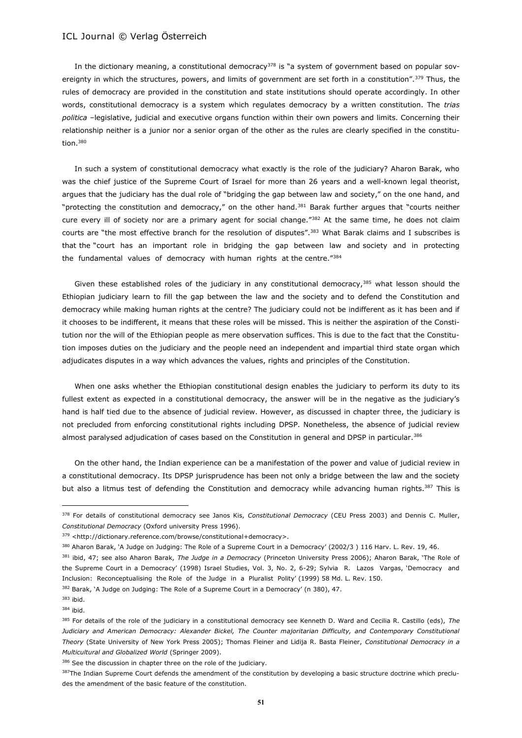In the dictionary meaning, a constitutional democracy<sup>378</sup> is "a system of government based on popular sovereignty in which the structures, powers, and limits of government are set forth in a constitution".<sup>379</sup> Thus, the rules of democracy are provided in the constitution and state institutions should operate accordingly. In other words, constitutional democracy is a system which regulates democracy by a written constitution. The *trias politica* –legislative, judicial and executive organs function within their own powers and limits. Concerning their relationship neither is a junior nor a senior organ of the other as the rules are clearly specified in the constitution.<sup>380</sup>

In such a system of constitutional democracy what exactly is the role of the judiciary? Aharon Barak, who was the chief justice of the Supreme Court of Israel for more than 26 years and a well-known legal theorist, argues that the judiciary has the dual role of "bridging the gap between law and society," on the one hand, and "protecting the constitution and democracy," on the other hand.<sup>381</sup> Barak further argues that "courts neither cure every ill of society nor are a primary agent for social change."<sup>382</sup> At the same time, he does not claim courts are "the most effective branch for the resolution of disputes".<sup>383</sup> What Barak claims and I subscribes is that the "court has an important role in bridging the gap between law and society and in protecting the fundamental values of democracy with human rights at the centre."<sup>384</sup>

Given these established roles of the judiciary in any constitutional democracy,<sup>385</sup> what lesson should the Ethiopian judiciary learn to fill the gap between the law and the society and to defend the Constitution and democracy while making human rights at the centre? The judiciary could not be indifferent as it has been and if it chooses to be indifferent, it means that these roles will be missed. This is neither the aspiration of the Constitution nor the will of the Ethiopian people as mere observation suffices. This is due to the fact that the Constitution imposes duties on the judiciary and the people need an independent and impartial third state organ which adjudicates disputes in a way which advances the values, rights and principles of the Constitution.

When one asks whether the Ethiopian constitutional design enables the judiciary to perform its duty to its fullest extent as expected in a constitutional democracy, the answer will be in the negative as the judiciary's hand is half tied due to the absence of judicial review. However, as discussed in chapter three, the judiciary is not precluded from enforcing constitutional rights including DPSP. Nonetheless, the absence of judicial review almost paralysed adjudication of cases based on the Constitution in general and DPSP in particular.<sup>386</sup>

On the other hand, the Indian experience can be a manifestation of the power and value of judicial review in a constitutional democracy. Its DPSP jurisprudence has been not only a bridge between the law and the society but also a litmus test of defending the Constitution and democracy while advancing human rights.<sup>387</sup> This is

382 Barak, 'A Judge on Judging: The Role of a Supreme Court in a Democracy' (n 380), 47.

<sup>378</sup> For details of constitutional democracy see Janos Kis, *Constitutional Democracy* (CEU Press 2003) and Dennis C. Muller, *Constitutional Democracy* (Oxford university Press 1996).

<sup>379</sup> <http://dictionary.reference.com/browse/constitutional+democracy>.

<sup>380</sup> Aharon Barak, 'A Judge on Judging: The Role of a Supreme Court in a Democracy' (2002/3) 116 Harv. L. Rev. 19, 46.

<sup>381</sup> ibid, 47; see also Aharon Barak, *The Judge in a Democracy* (Princeton University Press 2006); Aharon Barak, 'The Role of the Supreme Court in a Democracy' (1998) Israel Studies, Vol. 3, No. 2, 6-29; Sylvia R. Lazos Vargas, 'Democracy and Inclusion: Reconceptualising the Role of the Judge in a Pluralist Polity' (1999) 58 Md. L. Rev. 150.

<sup>383</sup> ibid.

<sup>384</sup> ibid.

<sup>385</sup> For details of the role of the judiciary in a constitutional democracy see Kenneth D. Ward and Cecilia R. Castillo (eds), *The Judiciary and American Democracy: Alexander Bickel, The Counter majoritarian Difficulty, and Contemporary Constitutional Theory* (State University of New York Press 2005); Thomas Fleiner and Lidija R. Basta Fleiner, *Constitutional Democracy in a Multicultural and Globalized World* (Springer 2009).

<sup>386</sup> See the discussion in chapter three on the role of the judiciary.

<sup>387</sup>The Indian Supreme Court defends the amendment of the constitution by developing a basic structure doctrine which precludes the amendment of the basic feature of the constitution.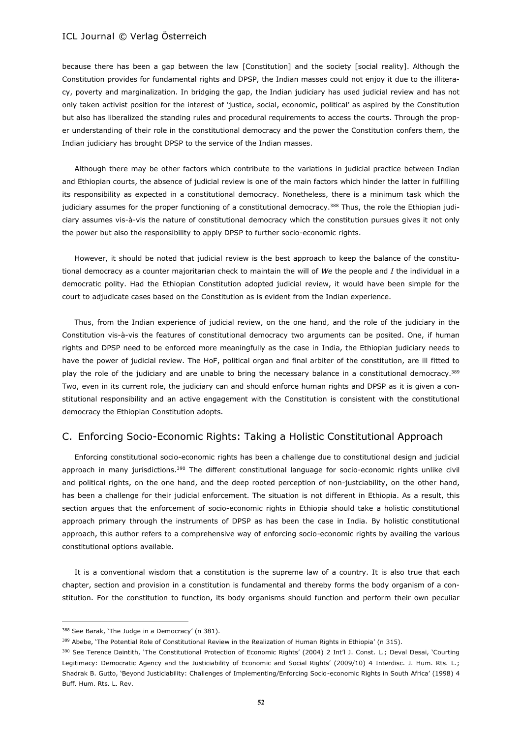because there has been a gap between the law [Constitution] and the society [social reality]. Although the Constitution provides for fundamental rights and DPSP, the Indian masses could not enjoy it due to the illiteracy, poverty and marginalization. In bridging the gap, the Indian judiciary has used judicial review and has not only taken activist position for the interest of 'justice, social, economic, political' as aspired by the Constitution but also has liberalized the standing rules and procedural requirements to access the courts. Through the proper understanding of their role in the constitutional democracy and the power the Constitution confers them, the Indian judiciary has brought DPSP to the service of the Indian masses.

Although there may be other factors which contribute to the variations in judicial practice between Indian and Ethiopian courts, the absence of judicial review is one of the main factors which hinder the latter in fulfilling its responsibility as expected in a constitutional democracy. Nonetheless, there is a minimum task which the judiciary assumes for the proper functioning of a constitutional democracy.<sup>388</sup> Thus, the role the Ethiopian judiciary assumes vis-à-vis the nature of constitutional democracy which the constitution pursues gives it not only the power but also the responsibility to apply DPSP to further socio-economic rights.

However, it should be noted that judicial review is the best approach to keep the balance of the constitutional democracy as a counter majoritarian check to maintain the will of *We* the people and *I* the individual in a democratic polity. Had the Ethiopian Constitution adopted judicial review, it would have been simple for the court to adjudicate cases based on the Constitution as is evident from the Indian experience.

Thus, from the Indian experience of judicial review, on the one hand, and the role of the judiciary in the Constitution vis-à-vis the features of constitutional democracy two arguments can be posited. One, if human rights and DPSP need to be enforced more meaningfully as the case in India, the Ethiopian judiciary needs to have the power of judicial review. The HoF, political organ and final arbiter of the constitution, are ill fitted to play the role of the judiciary and are unable to bring the necessary balance in a constitutional democracy.<sup>389</sup> Two, even in its current role, the judiciary can and should enforce human rights and DPSP as it is given a constitutional responsibility and an active engagement with the Constitution is consistent with the constitutional democracy the Ethiopian Constitution adopts.

# C. Enforcing Socio-Economic Rights: Taking a Holistic Constitutional Approach

Enforcing constitutional socio-economic rights has been a challenge due to constitutional design and judicial approach in many jurisdictions.<sup>390</sup> The different constitutional language for socio-economic rights unlike civil and political rights, on the one hand, and the deep rooted perception of non-justciability, on the other hand, has been a challenge for their judicial enforcement. The situation is not different in Ethiopia. As a result, this section argues that the enforcement of socio-economic rights in Ethiopia should take a holistic constitutional approach primary through the instruments of DPSP as has been the case in India. By holistic constitutional approach, this author refers to a comprehensive way of enforcing socio-economic rights by availing the various constitutional options available.

It is a conventional wisdom that a constitution is the supreme law of a country. It is also true that each chapter, section and provision in a constitution is fundamental and thereby forms the body organism of a constitution. For the constitution to function, its body organisms should function and perform their own peculiar

<sup>388</sup> See Barak, 'The Judge in a Democracy' (n 381).

<sup>389</sup> Abebe, 'The Potential Role of Constitutional Review in the Realization of Human Rights in Ethiopia' (n 315).

<sup>390</sup> See Terence Daintith, 'The Constitutional Protection of Economic Rights' (2004) 2 Int'l J. Const. L.; Deval Desai, 'Courting Legitimacy: Democratic Agency and the Justiciability of Economic and Social Rights' (2009/10) 4 Interdisc. J. Hum. Rts. L.; Shadrak B. Gutto, 'Beyond Justiciability: Challenges of Implementing/Enforcing Socio-economic Rights in South Africa' (1998) 4 Buff. Hum. Rts. L. Rev.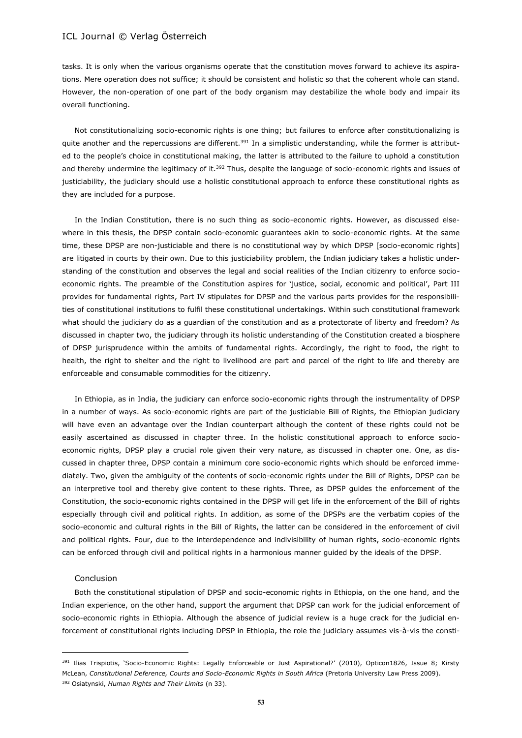tasks. It is only when the various organisms operate that the constitution moves forward to achieve its aspirations. Mere operation does not suffice; it should be consistent and holistic so that the coherent whole can stand. However, the non-operation of one part of the body organism may destabilize the whole body and impair its overall functioning.

Not constitutionalizing socio-economic rights is one thing; but failures to enforce after constitutionalizing is quite another and the repercussions are different.<sup>391</sup> In a simplistic understanding, while the former is attributed to the people's choice in constitutional making, the latter is attributed to the failure to uphold a constitution and thereby undermine the legitimacy of it.<sup>392</sup> Thus, despite the language of socio-economic rights and issues of justiciability, the judiciary should use a holistic constitutional approach to enforce these constitutional rights as they are included for a purpose.

In the Indian Constitution, there is no such thing as socio-economic rights. However, as discussed elsewhere in this thesis, the DPSP contain socio-economic guarantees akin to socio-economic rights. At the same time, these DPSP are non-justiciable and there is no constitutional way by which DPSP [socio-economic rights] are litigated in courts by their own. Due to this justiciability problem, the Indian judiciary takes a holistic understanding of the constitution and observes the legal and social realities of the Indian citizenry to enforce socioeconomic rights. The preamble of the Constitution aspires for 'justice, social, economic and political', Part III provides for fundamental rights, Part IV stipulates for DPSP and the various parts provides for the responsibilities of constitutional institutions to fulfil these constitutional undertakings. Within such constitutional framework what should the judiciary do as a guardian of the constitution and as a protectorate of liberty and freedom? As discussed in chapter two, the judiciary through its holistic understanding of the Constitution created a biosphere of DPSP jurisprudence within the ambits of fundamental rights. Accordingly, the right to food, the right to health, the right to shelter and the right to livelihood are part and parcel of the right to life and thereby are enforceable and consumable commodities for the citizenry.

In Ethiopia, as in India, the judiciary can enforce socio-economic rights through the instrumentality of DPSP in a number of ways. As socio-economic rights are part of the justiciable Bill of Rights, the Ethiopian judiciary will have even an advantage over the Indian counterpart although the content of these rights could not be easily ascertained as discussed in chapter three. In the holistic constitutional approach to enforce socioeconomic rights, DPSP play a crucial role given their very nature, as discussed in chapter one. One, as discussed in chapter three, DPSP contain a minimum core socio-economic rights which should be enforced immediately. Two, given the ambiguity of the contents of socio-economic rights under the Bill of Rights, DPSP can be an interpretive tool and thereby give content to these rights. Three, as DPSP guides the enforcement of the Constitution, the socio-economic rights contained in the DPSP will get life in the enforcement of the Bill of rights especially through civil and political rights. In addition, as some of the DPSPs are the verbatim copies of the socio-economic and cultural rights in the Bill of Rights, the latter can be considered in the enforcement of civil and political rights. Four, due to the interdependence and indivisibility of human rights, socio-economic rights can be enforced through civil and political rights in a harmonious manner guided by the ideals of the DPSP.

#### Conclusion

 $\overline{a}$ 

Both the constitutional stipulation of DPSP and socio-economic rights in Ethiopia, on the one hand, and the Indian experience, on the other hand, support the argument that DPSP can work for the judicial enforcement of socio-economic rights in Ethiopia. Although the absence of judicial review is a huge crack for the judicial enforcement of constitutional rights including DPSP in Ethiopia, the role the judiciary assumes vis-à-vis the consti-

<sup>391</sup> Ilias Trispiotis, 'Socio-Economic Rights: Legally Enforceable or Just Aspirational?' (2010), Opticon1826, Issue 8; Kirsty McLean, *Constitutional Deference, Courts and Socio-Economic Rights in South Africa* (Pretoria University Law Press 2009). <sup>392</sup> Osiatynski, *Human Rights and Their Limits* (n 33).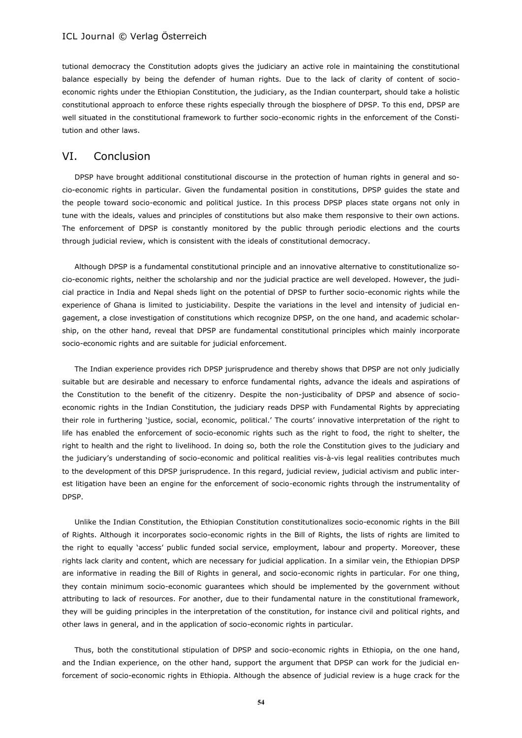tutional democracy the Constitution adopts gives the judiciary an active role in maintaining the constitutional balance especially by being the defender of human rights. Due to the lack of clarity of content of socioeconomic rights under the Ethiopian Constitution, the judiciary, as the Indian counterpart, should take a holistic constitutional approach to enforce these rights especially through the biosphere of DPSP. To this end, DPSP are well situated in the constitutional framework to further socio-economic rights in the enforcement of the Constitution and other laws.

### VI. Conclusion

DPSP have brought additional constitutional discourse in the protection of human rights in general and socio-economic rights in particular. Given the fundamental position in constitutions, DPSP guides the state and the people toward socio-economic and political justice. In this process DPSP places state organs not only in tune with the ideals, values and principles of constitutions but also make them responsive to their own actions. The enforcement of DPSP is constantly monitored by the public through periodic elections and the courts through judicial review, which is consistent with the ideals of constitutional democracy.

Although DPSP is a fundamental constitutional principle and an innovative alternative to constitutionalize socio-economic rights, neither the scholarship and nor the judicial practice are well developed. However, the judicial practice in India and Nepal sheds light on the potential of DPSP to further socio-economic rights while the experience of Ghana is limited to justiciability. Despite the variations in the level and intensity of judicial engagement, a close investigation of constitutions which recognize DPSP, on the one hand, and academic scholarship, on the other hand, reveal that DPSP are fundamental constitutional principles which mainly incorporate socio-economic rights and are suitable for judicial enforcement.

The Indian experience provides rich DPSP jurisprudence and thereby shows that DPSP are not only judicially suitable but are desirable and necessary to enforce fundamental rights, advance the ideals and aspirations of the Constitution to the benefit of the citizenry. Despite the non-justicibality of DPSP and absence of socioeconomic rights in the Indian Constitution, the judiciary reads DPSP with Fundamental Rights by appreciating their role in furthering 'justice, social, economic, political.' The courts' innovative interpretation of the right to life has enabled the enforcement of socio-economic rights such as the right to food, the right to shelter, the right to health and the right to livelihood. In doing so, both the role the Constitution gives to the judiciary and the judiciary's understanding of socio-economic and political realities vis-à-vis legal realities contributes much to the development of this DPSP jurisprudence. In this regard, judicial review, judicial activism and public interest litigation have been an engine for the enforcement of socio-economic rights through the instrumentality of DPSP.

Unlike the Indian Constitution, the Ethiopian Constitution constitutionalizes socio-economic rights in the Bill of Rights. Although it incorporates socio-economic rights in the Bill of Rights, the lists of rights are limited to the right to equally 'access' public funded social service, employment, labour and property. Moreover, these rights lack clarity and content, which are necessary for judicial application. In a similar vein, the Ethiopian DPSP are informative in reading the Bill of Rights in general, and socio-economic rights in particular. For one thing, they contain minimum socio-economic guarantees which should be implemented by the government without attributing to lack of resources. For another, due to their fundamental nature in the constitutional framework, they will be guiding principles in the interpretation of the constitution, for instance civil and political rights, and other laws in general, and in the application of socio-economic rights in particular.

Thus, both the constitutional stipulation of DPSP and socio-economic rights in Ethiopia, on the one hand, and the Indian experience, on the other hand, support the argument that DPSP can work for the judicial enforcement of socio-economic rights in Ethiopia. Although the absence of judicial review is a huge crack for the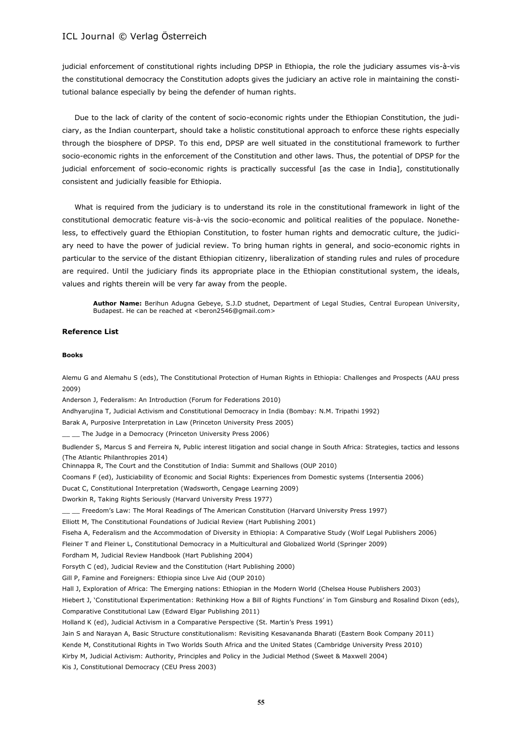judicial enforcement of constitutional rights including DPSP in Ethiopia, the role the judiciary assumes vis-à-vis the constitutional democracy the Constitution adopts gives the judiciary an active role in maintaining the constitutional balance especially by being the defender of human rights.

Due to the lack of clarity of the content of socio-economic rights under the Ethiopian Constitution, the judiciary, as the Indian counterpart, should take a holistic constitutional approach to enforce these rights especially through the biosphere of DPSP. To this end, DPSP are well situated in the constitutional framework to further socio-economic rights in the enforcement of the Constitution and other laws. Thus, the potential of DPSP for the judicial enforcement of socio-economic rights is practically successful [as the case in India], constitutionally consistent and judicially feasible for Ethiopia.

What is required from the judiciary is to understand its role in the constitutional framework in light of the constitutional democratic feature vis-à-vis the socio-economic and political realities of the populace. Nonetheless, to effectively guard the Ethiopian Constitution, to foster human rights and democratic culture, the judiciary need to have the power of judicial review. To bring human rights in general, and socio-economic rights in particular to the service of the distant Ethiopian citizenry, liberalization of standing rules and rules of procedure are required. Until the judiciary finds its appropriate place in the Ethiopian constitutional system, the ideals, values and rights therein will be very far away from the people.

**Author Name:** Berihun Adugna Gebeye, S.J.D studnet, Department of Legal Studies, Central European University, Budapest. He can be reached at <beron2546@gmail.com>

#### **Reference List**

#### **Books**

Alemu G and Alemahu S (eds), The Constitutional Protection of Human Rights in Ethiopia: Challenges and Prospects (AAU press 2009)

Anderson J, Federalism: An Introduction (Forum for Federations 2010)

Andhyarujina T, Judicial Activism and Constitutional Democracy in India (Bombay: N.M. Tripathi 1992)

Barak A, Purposive Interpretation in Law (Princeton University Press 2005)

\_\_ \_\_ The Judge in a Democracy (Princeton University Press 2006)

Budlender S, Marcus S and Ferreira N, Public interest litigation and social change in South Africa: Strategies, tactics and lessons (The Atlantic Philanthropies 2014)

Chinnappa R, The Court and the Constitution of India: Summit and Shallows (OUP 2010)

Coomans F (ed), Justiciability of Economic and Social Rights: Experiences from Domestic systems (Intersentia 2006)

Ducat C, Constitutional Interpretation (Wadsworth, Cengage Learning 2009)

Dworkin R, Taking Rights Seriously (Harvard University Press 1977)

\_\_ \_\_ Freedom's Law: The Moral Readings of The American Constitution (Harvard University Press 1997)

Elliott M, The Constitutional Foundations of Judicial Review (Hart Publishing 2001)

Fiseha A, Federalism and the Accommodation of Diversity in Ethiopia: A Comparative Study (Wolf Legal Publishers 2006)

Fleiner T and Fleiner L, Constitutional Democracy in a Multicultural and Globalized World (Springer 2009)

Fordham M, Judicial Review Handbook (Hart Publishing 2004)

Forsyth C (ed), Judicial Review and the Constitution (Hart Publishing 2000)

Gill P, Famine and Foreigners: Ethiopia since Live Aid (OUP 2010)

Hall J, Exploration of Africa: The Emerging nations: Ethiopian in the Modern World (Chelsea House Publishers 2003)

Hiebert J, 'Constitutional Experimentation: Rethinking How a Bill of Rights Functions' in Tom Ginsburg and Rosalind Dixon (eds), Comparative Constitutional Law (Edward Elgar Publishing 2011)

Holland K (ed), Judicial Activism in a Comparative Perspective (St. Martin's Press 1991)

Jain S and Narayan A, Basic Structure constitutionalism: Revisiting Kesavananda Bharati (Eastern Book Company 2011)

Kende M, Constitutional Rights in Two Worlds South Africa and the United States (Cambridge University Press 2010)

Kirby M, Judicial Activism: Authority, Principles and Policy in the Judicial Method (Sweet & Maxwell 2004)

Kis J, Constitutional Democracy (CEU Press 2003)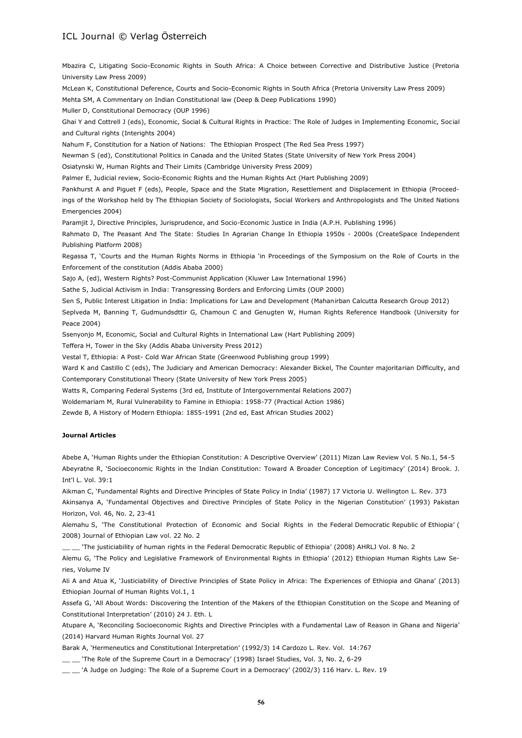Mbazira C, Litigating Socio-Economic Rights in South Africa: A Choice between Corrective and Distributive Justice (Pretoria University Law Press 2009)

McLean K, Constitutional Deference, Courts and Socio-Economic Rights in South Africa (Pretoria University Law Press 2009)

Mehta SM, A Commentary on Indian Constitutional law (Deep & Deep Publications 1990)

Muller D, Constitutional Democracy (OUP 1996)

Ghai Y and Cottrell J (eds), Economic, Social & Cultural Rights in Practice: The Role of Judges in Implementing Economic, Social and Cultural rights (Interights 2004)

Nahum F, Constitution for a Nation of Nations: The Ethiopian Prospect (The Red Sea Press 1997)

Newman S (ed), Constitutional Politics in Canada and the United States (State University of New York Press 2004)

Osiatynski W, Human Rights and Their Limits (Cambridge University Press 2009)

Palmer E, Judicial review, Socio-Economic Rights and the Human Rights Act (Hart Publishing 2009)

Pankhurst A and Piguet F (eds), People, Space and the State Migration, Resettlement and Displacement in Ethiopia (Proceedings of the Workshop held by The Ethiopian Society of Sociologists, Social Workers and Anthropologists and The United Nations Emergencies 2004)

Paramjit J, Directive Principles, Jurisprudence, and Socio-Economic Justice in India (A.P.H. Publishing 1996)

Rahmato D, The Peasant And The State: Studies In Agrarian Change In Ethiopia 1950s - 2000s (CreateSpace Independent Publishing Platform 2008)

Regassa T, 'Courts and the Human Rights Norms in Ethiopia 'in Proceedings of the Symposium on the Role of Courts in the Enforcement of the constitution (Addis Ababa 2000)

Sajo A, (ed), Western Rights? Post-Communist Application (Kluwer Law International 1996)

Sathe S, Judicial Activism in India: Transgressing Borders and Enforcing Limits (OUP 2000)

Sen S, Public Interest Litigation in India: Implications for Law and Development (Mahanirban Calcutta Research Group 2012)

Seplveda M, Banning T, Gudmundsdttir G, Chamoun C and Genugten W, Human Rights Reference Handbook (University for Peace 2004)

Ssenyonjo M, Economic, Social and Cultural Rights in International Law (Hart Publishing 2009)

Teffera H, Tower in the Sky (Addis Ababa University Press 2012)

Vestal T, Ethiopia: A Post- Cold War African State (Greenwood Publishing group 1999)

Ward K and Castillo C (eds), The Judiciary and American Democracy: Alexander Bickel, The Counter majoritarian Difficulty, and Contemporary Constitutional Theory (State University of New York Press 2005)

Watts R, Comparing Federal Systems (3rd ed, Institute of Intergovernmental Relations 2007)

Woldemariam M, Rural Vulnerability to Famine in Ethiopia: 1958-77 (Practical Action 1986)

Zewde B, A History of Modern Ethiopia: 1855-1991 (2nd ed, East African Studies 2002)

#### **Journal Articles**

Abebe A, 'Human Rights under the Ethiopian Constitution: A Descriptive Overview' (2011) Mizan Law Review Vol. 5 No.1, 54-5 Abeyratne R, 'Socioeconomic Rights in the Indian Constitution: Toward A Broader Conception of Legitimacy' (2014) Brook. J. Int'l L. Vol. 39:1

Aikman C, 'Fundamental Rights and Directive Principles of State Policy in India' (1987) 17 Victoria U. Wellington L. Rev. 373

Akinsanya A, 'Fundamental Objectives and Directive Principles of State Policy in the Nigerian Constitution' (1993) Pakistan Horizon, Vol. 46, No. 2, 23-41

Alemahu S, 'The Constitutional Protection of Economic and Social Rights in the Federal Democratic Republic of Ethiopia' ( 2008) Journal of Ethiopian Law vol. 22 No. 2

\_\_ \_\_ 'The justiciability of human rights in the Federal Democratic Republic of Ethiopia' (2008) AHRLJ Vol. 8 No. 2

Alemu G, 'The Policy and Legislative Framework of Environmental Rights in Ethiopia' (2012) Ethiopian Human Rights Law Series, Volume IV

Ali A and Atua K, 'Justiciability of Directive Principles of State Policy in Africa: The Experiences of Ethiopia and Ghana' (2013) Ethiopian Journal of Human Rights Vol.1, 1

Assefa G, 'All About Words: Discovering the Intention of the Makers of the Ethiopian Constitution on the Scope and Meaning of Constitutional Interpretation' (2010) 24 J. Eth. L

Atupare A, 'Reconciling Socioeconomic Rights and Directive Principles with a Fundamental Law of Reason in Ghana and Nigeria' (2014) Harvard Human Rights Journal Vol. 27

Barak A, 'Hermeneutics and Constitutional Interpretation' (1992/3) 14 Cardozo L. Rev. Vol. 14:767

'The Role of the Supreme Court in a Democracy' (1998) Israel Studies, Vol. 3, No. 2, 6-29

\_\_ \_\_ 'A Judge on Judging: The Role of a Supreme Court in a Democracy' (2002/3) 116 Harv. L. Rev. 19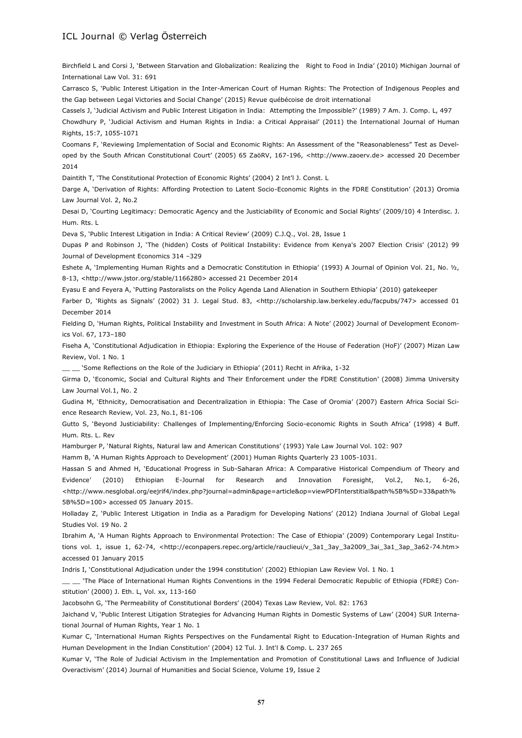Birchfield L and Corsi J, 'Between Starvation and Globalization: Realizing the Right to Food in India' (2010) Michigan Journal of International Law Vol. 31: 691

Carrasco S, 'Public Interest Litigation in the Inter-American Court of Human Rights: The Protection of Indigenous Peoples and the Gap between Legal Victories and Social Change' (2015) Revue québécoise de droit international

Cassels J, 'Judicial Activism and Public Interest Litigation in India: Attempting the Impossible?' (1989) 7 Am. J. Comp. L, 497

Chowdhury P, 'Judicial Activism and Human Rights in India: a Critical Appraisal' (2011) the International Journal of Human Rights, 15:7, 1055-1071

Coomans F, 'Reviewing Implementation of Social and Economic Rights: An Assessment of the "Reasonableness" Test as Developed by the South African Constitutional Court' (2005) 65 ZaöRV, 167-196, <http://www.zaoerv.de> accessed 20 December 2014

Daintith T, 'The Constitutional Protection of Economic Rights' (2004) 2 Int'l J. Const. L

Darge A, 'Derivation of Rights: Affording Protection to Latent Socio-Economic Rights in the FDRE Constitution' (2013) Oromia Law Journal Vol. 2, No.2

Desai D, 'Courting Legitimacy: Democratic Agency and the Justiciability of Economic and Social Rights' (2009/10) 4 Interdisc. J. Hum. Rts. L

Deva S, 'Public Interest Litigation in India: A Critical Review' (2009) C.J.Q., Vol. 28, Issue 1

Dupas P and Robinson J, 'The (hidden) Costs of Political Instability: Evidence from Kenya's 2007 Election Crisis' (2012) 99 Journal of Development Economics 314 –329

Eshete A, 'Implementing Human Rights and a Democratic Constitution in Ethiopia' (1993) A Journal of Opinion Vol. 21, No. ½, 8-13, <http://www.jstor.org/stable/1166280> accessed 21 December 2014

Eyasu E and Feyera A, 'Putting Pastoralists on the Policy Agenda Land Alienation in Southern Ethiopia' (2010) gatekeeper

Farber D, 'Rights as Signals' (2002) 31 J. Legal Stud. 83, <http://scholarship.law.berkeley.edu/facpubs/747> accessed 01 December 2014

Fielding D, 'Human Rights, Political Instability and Investment in South Africa: A Note' (2002) Journal of Development Economics Vol. 67, 173–180

Fiseha A, 'Constitutional Adjudication in Ethiopia: Exploring the Experience of the House of Federation (HoF)' (2007) Mizan Law Review, Vol. 1 No. 1

\_\_ \_\_ 'Some Reflections on the Role of the Judiciary in Ethiopia' (2011) Recht in Afrika, 1-32

Girma D, 'Economic, Social and Cultural Rights and Their Enforcement under the FDRE Constitution' (2008) Jimma University Law Journal Vol.1, No. 2

Gudina M, 'Ethnicity, Democratisation and Decentralization in Ethiopia: The Case of Oromia' (2007) Eastern Africa Social Science Research Review, Vol. 23, No.1, 81-106

Gutto S, 'Beyond Justiciability: Challenges of Implementing/Enforcing Socio-economic Rights in South Africa' (1998) 4 Buff. Hum. Rts. L. Rev

Hamburger P, 'Natural Rights, Natural law and American Constitutions' (1993) Yale Law Journal Vol. 102: 907

Hamm B, 'A Human Rights Approach to Development' (2001) Human Rights Quarterly 23 1005-1031.

Hassan S and Ahmed H, 'Educational Progress in Sub-Saharan Africa: A Comparative Historical Compendium of Theory and Evidence' (2010) Ethiopian E-Journal for Research and Innovation Foresight, Vol.2, No.1, 6-26, <http://www.nesglobal.org/eejrif4/index.php?journal=admin&page=article&op=viewPDFInterstitial&path%5B%5D=33&path% 5B%5D=100> accessed 05 January 2015.

Holladay Z, 'Public Interest Litigation in India as a Paradigm for Developing Nations' (2012) Indiana Journal of Global Legal Studies Vol. 19 No. 2

Ibrahim A, 'A Human Rights Approach to Environmental Protection: The Case of Ethiopia' (2009) Contemporary Legal Institutions vol. 1, issue 1, 62-74, <http://econpapers.repec.org/article/rauclieui/v\_3a1\_3ay\_3a2009\_3ai\_3a1\_3ap\_3a62-74.htm> accessed 01 January 2015

Indris I, 'Constitutional Adjudication under the 1994 constitution' (2002) Ethiopian Law Review Vol. 1 No. 1

\_\_ \_\_ 'The Place of International Human Rights Conventions in the 1994 Federal Democratic Republic of Ethiopia (FDRE) Constitution' (2000) J. Eth. L, Vol. xx, 113-160

Jacobsohn G, 'The Permeability of Constitutional Borders' (2004) Texas Law Review, Vol. 82: 1763

Jaichand V, 'Public Interest Litigation Strategies for Advancing Human Rights in Domestic Systems of Law' (2004) SUR International Journal of Human Rights, Year 1 No. 1

Kumar C, 'International Human Rights Perspectives on the Fundamental Right to Education-Integration of Human Rights and Human Development in the Indian Constitution' (2004) 12 Tul. J. Int'l & Comp. L. 237 265

Kumar V, 'The Role of Judicial Activism in the Implementation and Promotion of Constitutional Laws and Influence of Judicial Overactivism' (2014) Journal of Humanities and Social Science, Volume 19, Issue 2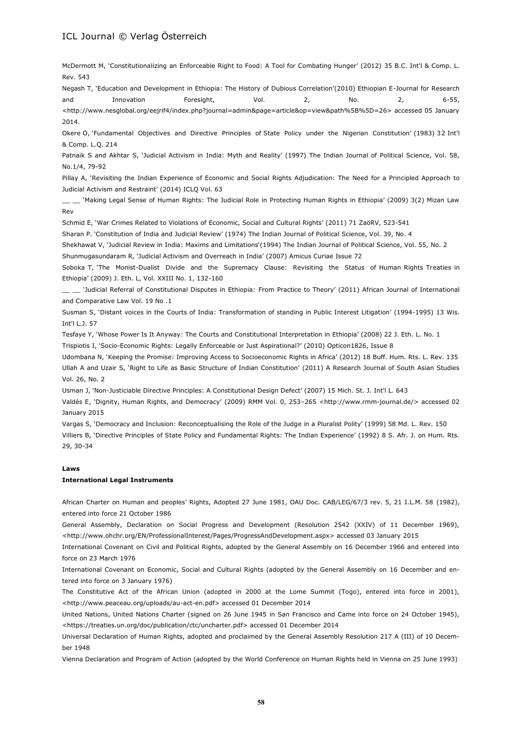McDermott M, 'Constitutionalizing an Enforceable Right to Food: A Tool for Combating Hunger' (2012) 35 B.C. Int'l & Comp. L. Rev. 543

Negash T, 'Education and Development in Ethiopia: The History of Dubious Correlation'(2010) Ethiopian E-Journal for Research and Innovation Foresight, Vol. 2, No. 2, 6-55,

<http://www.nesglobal.org/eejrif4/index.php?journal=admin&page=article&op=view&path%5B%5D=26> accessed 05 January 2014.

Okere O, 'Fundamental Objectives and Directive Principles of State Policy under the Nigerian Constitution' (1983) 32 Int'l & Comp. L.Q. 214

Patnaik S and Akhtar S, 'Judicial Activism in India: Myth and Reality' (1997) The Indian Journal of Political Science, Vol. 58, No.1/4, 79-92

Pillay A, 'Revisiting the Indian Experience of Economic and Social Rights Adjudication: The Need for a Principled Approach to Judicial Activism and Restraint' (2014) ICLQ Vol. 63

'Making Legal Sense of Human Rights: The Judicial Role in Protecting Human Rights in Ethiopia' (2009) 3(2) Mizan Law Rev

Schmid E, 'War Crimes Related to Violations of Economic, Social and Cultural Rights' (2011) 71 ZaöRV, 523-541

Sharan P. 'Constitution of India and Judicial Review' (1974) The Indian Journal of Political Science, Vol. 39, No. 4

Shekhawat V, 'Judicial Review in India: Maxims and Limitations'(1994) The Indian Journal of Political Science, Vol. 55, No. 2 Shunmugasundaram R, 'Judicial Activism and Overreach in India' (2007) Amicus Curiae Issue 72

Soboka T, 'The Monist-Dualist Divide and the Supremacy Clause: Revisiting the Status of Human Rights Treaties in Ethiopia' (2009) J. Eth. L, Vol. XXIII No. 1, 132-160

\_\_ \_\_ 'Judicial Referral of Constitutional Disputes in Ethiopia: From Practice to Theory' (2011) African Journal of International and Comparative Law Vol. 19 No .1

Susman S, 'Distant voices in the Courts of India: Transformation of standing in Public Interest Litigation' (1994-1995) 13 Wis. Int'l L.J. 57

Tesfaye Y, 'Whose Power Is It Anyway: The Courts and Constitutional Interpretation in Ethiopia' (2008) 22 J. Eth. L. No. 1

Trispiotis I, 'Socio-Economic Rights: Legally Enforceable or Just Aspirational?' (2010) Opticon1826, Issue 8

Udombana N, 'Keeping the Promise: Improving Access to Socioeconomic Rights in Africa' (2012) 18 Buff. Hum. Rts. L. Rev. 135 Ullah A and Uzair S, 'Right to Life as Basic Structure of Indian Constitution' (2011) A Research Journal of South Asian Studies Vol. 26, No. 2

Usman J, 'Non-Justiciable Directive Principles: A Constitutional Design Defect' (2007) 15 Mich. St. J. Int'l L. 643

Valdés E, 'Dignity, Human Rights, and Democracy' (2009) RMM Vol. 0, 253–265 <http://www.rmm-journal.de/> accessed 02 January 2015

Vargas S, 'Democracy and Inclusion: Reconceptualising the Role of the Judge in a Pluralist Polity' (1999) 58 Md. L. Rev. 150 Villiers B, 'Directive Principles of State Policy and Fundamental Rights: The Indian Experience' (1992) 8 S. Afr. J. on Hum. Rts. 29, 30-34

#### **Laws**

#### **International Legal Instruments**

African Charter on Human and peoples' Rights, Adopted 27 June 1981, OAU Doc. CAB/LEG/67/3 rev. 5, 21 I.L.M. 58 (1982), entered into force 21 October 1986

General Assembly, Declaration on Social Progress and Development (Resolution 2542 (XXIV) of 11 December 1969), <http://www.ohchr.org/EN/ProfessionalInterest/Pages/ProgressAndDevelopment.aspx> accessed 03 January 2015

International Covenant on Civil and Political Rights, adopted by the General Assembly on 16 December 1966 and entered into force on 23 March 1976

International Covenant on Economic, Social and Cultural Rights (adopted by the General Assembly on 16 December and entered into force on 3 January 1976)

The Constitutive Act of the African Union (adopted in 2000 at the Lome Summit (Togo), entered into force in 2001), <http://www.peaceau.org/uploads/au-act-en.pdf> accessed 01 December 2014

United Nations, United Nations Charter (signed on 26 June 1945 in San Francisco and Came into force on 24 October 1945), <https://treaties.un.org/doc/publication/ctc/uncharter.pdf> accessed 01 December 2014

Universal Declaration of Human Rights, adopted and proclaimed by the General Assembly Resolution 217 A (III) of 10 December 1948

Vienna Declaration and Program of Action (adopted by the World Conference on Human Rights held in Vienna on 25 June 1993)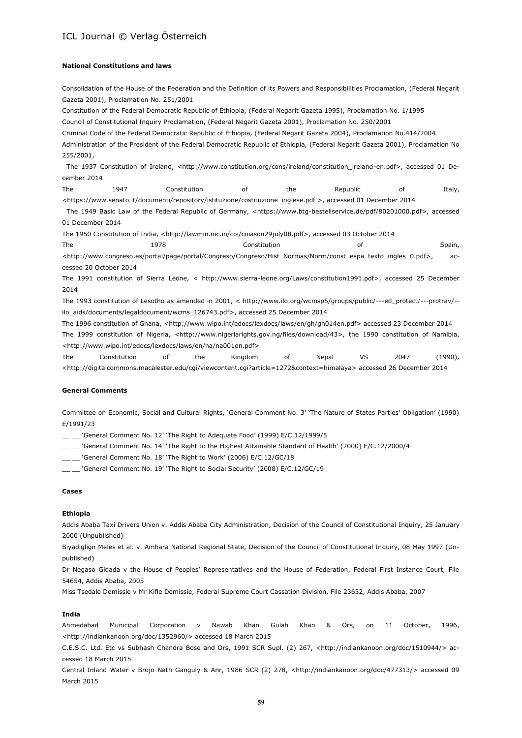#### **National Constitutions and laws**

Consolidation of the House of the Federation and the Definition of its Powers and Responsibilities Proclamation, (Federal Negarit Gazeta 2001), Proclamation No. 251/2001 Constitution of the Federal Democratic Republic of Ethiopia, (Federal Negarit Gazeta 1995), Proclamation No. 1/1995 Council of Constitutional Inquiry Proclamation, (Federal Negarit Gazeta 2001), Proclamation No. 250/2001 Criminal Code of the Federal Democratic Republic of Ethiopia, (Federal Negarit Gazeta 2004), Proclamation No.414/2004 Administration of the President of the Federal Democratic Republic of Ethiopia, (Federal Negarit Gazeta 2001), Proclamation No 255/2001, The 1937 Constitution of Ireland, <http://www.constitution.org/cons/ireland/constitution\_ireland-en.pdf>, accessed 01 December 2014 The 1947 Constitution of the Republic of Italy, <https://www.senato.it/documenti/repository/istituzione/costituzione\_inglese.pdf >, accessed 01 December 2014 The 1949 Basic Law of the Federal Republic of Germany, <https://www.btg-bestellservice.de/pdf/80201000.pdf>, accessed 01 December 2014 The 1950 Constitution of India, <http://lawmin.nic.in/coi/coiason29july08.pdf>, accessed 03 October 2014 The 1978 Constitution of Spain, Spain, Spain, Spain, Spain, Spain, Spain, Spain, Spain, Spain, Spain, Spain, <http://www.congreso.es/portal/page/portal/Congreso/Congreso/Hist\_Normas/Norm/const\_espa\_texto\_ingles\_0.pdf>, accessed 20 October 2014 The 1991 constitution of Sierra Leone, < http://www.sierra-leone.org/Laws/constitution1991.pdf>, accessed 25 December 2014 The 1993 constitution of Lesotho as amended in 2001, < http://www.ilo.org/wcmsp5/groups/public/---ed\_protect/---protrav/- ilo\_aids/documents/legaldocument/wcms\_126743.pdf>, accessed 25 December 2014

The 1996 constitution of Ghana, <http://www.wipo.int/edocs/lexdocs/laws/en/gh/gh014en.pdf> accessed 23 December 2014 The 1999 constitution of Nigeria, <http://www.nigeriarights.gov.ng/files/download/43>, the 1990 constitution of Namibia, <http://www.wipo.int/edocs/lexdocs/laws/en/na/na001en.pdf>

The Constitution of the Kingdom of Nepal VS 2047 (1990), <http://digitalcommons.macalester.edu/cgi/viewcontent.cgi?article=1272&context=himalaya> accessed 26 December 2014

#### **General Comments**

Committee on Economic, Social and Cultural Rights, 'General Comment No. 3' 'The Nature of States Parties' Obligation' (1990) E/1991/23

 $\_\_\_\_\_\$  'General Comment No. 12' 'The Right to Adequate Food' (1999) E/C.12/1999/5

\_\_ \_\_ 'General Comment No. 14' 'The Right to the Highest Attainable Standard of Health' (2000) E/C.12/2000/4

\_\_ \_\_ 'General Comment No. 18' 'The Right to Work' (2006) E/C.12/GC/18

\_\_ \_\_ 'General Comment No. 19' 'The Right to Social Security' (2008) E/C.12/GC/19

#### **Cases**

#### **Ethiopia**

Addis Ababa Taxi Drivers Union v. Addis Ababa City Administration, Decision of the Council of Constitutional Inquiry, 25 January 2000 (Unpublished)

Biyadiglign Meles et al. v. Amhara National Regional State, Decision of the Council of Constitutional Inquiry, 08 May 1997 (Unpublished)

Dr Negaso Gidada v the House of Peoples' Representatives and the House of Federation, Federal First Instance Court, File 54654, Addis Ababa, 2005

Miss Tsedale Demissie v Mr Kifle Demissie, Federal Supreme Court Cassation Division, File 23632, Addis Ababa, 2007

#### **India**

Ahmedabad Municipal Corporation v Nawab Khan Gulab Khan & Ors, on 11 October, 1996, <http://indiankanoon.org/doc/1352960/> accessed 18 March 2015

C.E.S.C. Ltd. Etc vs Subhash Chandra Bose and Ors, 1991 SCR Supl. (2) 267, <http://indiankanoon.org/doc/1510944/> accessed 18 March 2015

Central Inland Water v Brojo Nath Ganguly & Anr, 1986 SCR (2) 278, <http://indiankanoon.org/doc/477313/> accessed 09 March 2015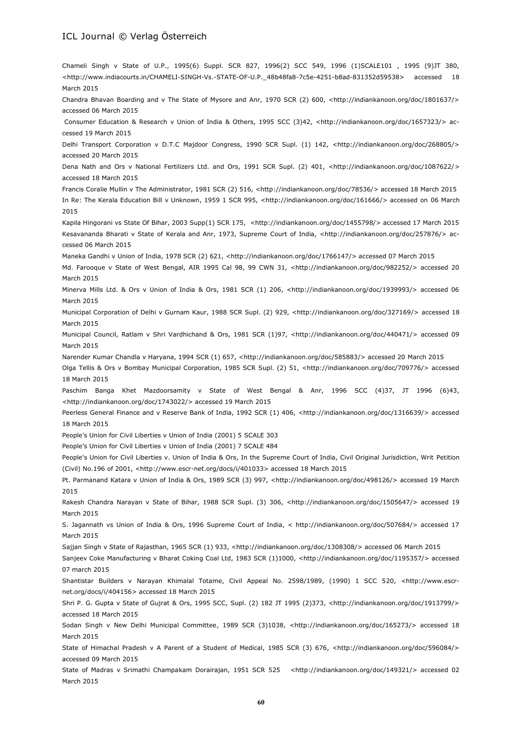Chameli Singh v State of U.P., 1995(6) Suppl. SCR 827, 1996(2) SCC 549, 1996 (1)SCALE101 , 1995 (9)JT 380, <http://www.indiacourts.in/CHAMELI-SINGH-Vs.-STATE-OF-U.P.\_48b48fa8-7c5e-4251-b8ad-831352d59538> accessed 18 March 2015

Chandra Bhavan Boarding and v The State of Mysore and Anr, 1970 SCR (2) 600, <http://indiankanoon.org/doc/1801637/> accessed 06 March 2015

Consumer Education & Research v Union of India & Others, 1995 SCC (3)42, <http://indiankanoon.org/doc/1657323/> accessed 19 March 2015

Delhi Transport Corporation v D.T.C Majdoor Congress, 1990 SCR Supl. (1) 142, <http://indiankanoon.org/doc/268805/> accessed 20 March 2015

Dena Nath and Ors v National Fertilizers Ltd. and Ors, 1991 SCR Supl. (2) 401, <http://indiankanoon.org/doc/1087622/> accessed 18 March 2015

Francis Coralie Mullin v The Administrator, 1981 SCR (2) 516, <http://indiankanoon.org/doc/78536/> accessed 18 March 2015 In Re: The Kerala Education Bill v Unknown, 1959 1 SCR 995, <http://indiankanoon.org/doc/161666/> accessed on 06 March 2015

Kapila Hingorani vs State Of Bihar, 2003 Supp(1) SCR 175, <http://indiankanoon.org/doc/1455798/> accessed 17 March 2015 Kesavananda Bharati v State of Kerala and Anr, 1973, Supreme Court of India, <http://indiankanoon.org/doc/257876/> accessed 06 March 2015

Maneka Gandhi v Union of India, 1978 SCR (2) 621, <http://indiankanoon.org/doc/1766147/> accessed 07 March 2015

Md. Farooque v State of West Bengal, AIR 1995 Cal 98, 99 CWN 31, <http://indiankanoon.org/doc/982252/> accessed 20 March 2015

Minerva Mills Ltd. & Ors v Union of India & Ors, 1981 SCR (1) 206, <http://indiankanoon.org/doc/1939993/> accessed 06 March 2015

Municipal Corporation of Delhi v Gurnam Kaur, 1988 SCR Supl. (2) 929, <http://indiankanoon.org/doc/327169/> accessed 18 March 2015

Municipal Council, Ratlam v Shri Vardhichand & Ors, 1981 SCR (1)97, <http://indiankanoon.org/doc/440471/> accessed 09 March 2015

Narender Kumar Chandla v Haryana, 1994 SCR (1) 657, <http://indiankanoon.org/doc/585883/> accessed 20 March 2015

Olga Tellis & Ors v Bombay Municipal Corporation, 1985 SCR Supl. (2) 51, <http://indiankanoon.org/doc/709776/> accessed 18 March 2015

Paschim Banga Khet Mazdoorsamity v State of West Bengal & Anr, 1996 SCC (4)37, JT 1996 (6)43, <http://indiankanoon.org/doc/1743022/> accessed 19 March 2015

Peerless General Finance and v Reserve Bank of India, 1992 SCR (1) 406, <http://indiankanoon.org/doc/1316639/> accessed 18 March 2015

People's Union for Civil Liberties v Union of India (2001) 5 SCALE 303

People's Union for Civil Liberties v Union of India (2001) 7 SCALE 484

People's Union for Civil Liberties v. Union of India & Ors, In the Supreme Court of India, Civil Original Jurisdiction, Writ Petition (Civil) No.196 of 2001, <http://www.escr-net.org/docs/i/401033> accessed 18 March 2015

Pt. Parmanand Katara v Union of India & Ors, 1989 SCR (3) 997, <http://indiankanoon.org/doc/498126/> accessed 19 March 2015

Rakesh Chandra Narayan v State of Bihar, 1988 SCR Supl. (3) 306, <http://indiankanoon.org/doc/1505647/> accessed 19 March 2015

S. Jagannath vs Union of India & Ors, 1996 Supreme Court of India, < http://indiankanoon.org/doc/507684/> accessed 17 March 2015

Sajjan Singh v State of Rajasthan, 1965 SCR (1) 933, <http://indiankanoon.org/doc/1308308/> accessed 06 March 2015

Sanjeev Coke Manufacturing v Bharat Coking Coal Ltd, 1983 SCR (1)1000, <http://indiankanoon.org/doc/1195357/> accessed 07 march 2015

Shantistar Builders v Narayan Khimalal Totame, Civil Appeal No. 2598/1989, (1990) 1 SCC 520, <http://www.escrnet.org/docs/i/404156> accessed 18 March 2015

Shri P. G. Gupta v State of Gujrat & Ors, 1995 SCC, Supl. (2) 182 JT 1995 (2)373, <http://indiankanoon.org/doc/1913799/> accessed 18 March 2015

Sodan Singh v New Delhi Municipal Committee, 1989 SCR (3)1038, <http://indiankanoon.org/doc/165273/> accessed 18 March 2015

State of Himachal Pradesh v A Parent of a Student of Medical, 1985 SCR (3) 676, <http://indiankanoon.org/doc/596084/> accessed 09 March 2015

State of Madras v Srimathi Champakam Dorairajan, 1951 SCR 525 <http://indiankanoon.org/doc/149321/> accessed 02 March 2015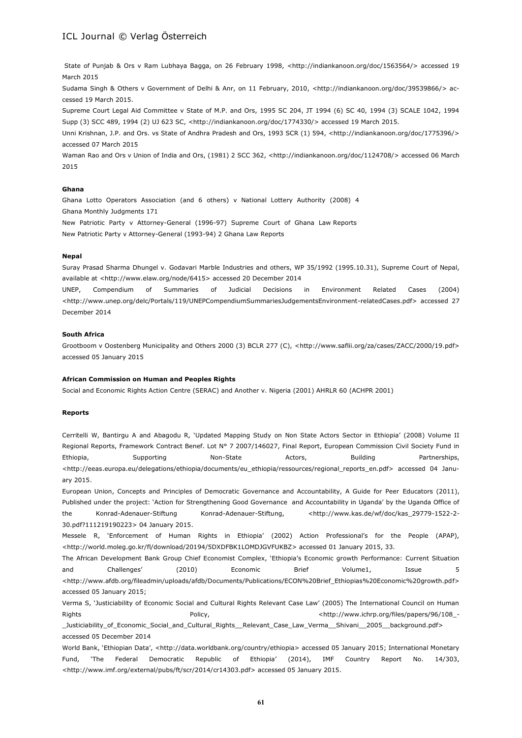State of Punjab & Ors v Ram Lubhaya Bagga, on 26 February 1998, <http://indiankanoon.org/doc/1563564/> accessed 19 March 2015

Sudama Singh & Others v Government of Delhi & Anr, on 11 February, 2010, <http://indiankanoon.org/doc/39539866/> accessed 19 March 2015.

Supreme Court Legal Aid Committee v State of M.P. and Ors, 1995 SC 204, JT 1994 (6) SC 40, 1994 (3) SCALE 1042, 1994 Supp (3) SCC 489, 1994 (2) UJ 623 SC, <http://indiankanoon.org/doc/1774330/> accessed 19 March 2015.

Unni Krishnan, J.P. and Ors. vs State of Andhra Pradesh and Ors, 1993 SCR (1) 594, <http://indiankanoon.org/doc/1775396/> accessed 07 March 2015

Waman Rao and Ors v Union of India and Ors, (1981) 2 SCC 362, <http://indiankanoon.org/doc/1124708/> accessed 06 March 2015

#### **Ghana**

Ghana Lotto Operators Association (and 6 others) v National Lottery Authority (2008) 4 Ghana Monthly Judgments 171 New Patriotic Party v Attorney-General (1996-97) Supreme Court of Ghana Law Reports

New Patriotic Party v Attorney-General (1993-94) 2 Ghana Law Reports

#### **Nepal**

Suray Prasad Sharma Dhungel v. Godavari Marble Industries and others, WP 35/1992 (1995.10.31), Supreme Court of Nepal, available at <http://www.elaw.org/node/6415> accessed 20 December 2014

UNEP, Compendium of Summaries of Judicial Decisions in Environment Related Cases (2004) <http://www.unep.org/delc/Portals/119/UNEPCompendiumSummariesJudgementsEnvironment-relatedCases.pdf> accessed 27 December 2014

#### **South Africa**

Grootboom v Oostenberg Municipality and Others 2000 (3) BCLR 277 (C), <http://www.saflii.org/za/cases/ZACC/2000/19.pdf> accessed 05 January 2015

#### **African Commission on Human and Peoples Rights**

Social and Economic Rights Action Centre (SERAC) and Another v. Nigeria (2001) AHRLR 60 (ACHPR 2001)

#### **Reports**

Cerritelli W, Bantirgu A and Abagodu R, 'Updated Mapping Study on Non State Actors Sector in Ethiopia' (2008) Volume II Regional Reports, Framework Contract Benef. Lot Nº 7 2007/146027, Final Report, European Commission Civil Society Fund in Ethiopia, and Supporting and Non-State and Actors, and Building and Partnerships, <http://eeas.europa.eu/delegations/ethiopia/documents/eu\_ethiopia/ressources/regional\_reports\_en.pdf> accessed 04 January 2015.

European Union, Concepts and Principles of Democratic Governance and Accountability, A Guide for Peer Educators (2011), Published under the project: 'Action for Strengthening Good Governance and Accountability in Uganda' by the Uganda Office of the Konrad-Adenauer-Stiftung Konrad-Adenauer-Stiftung, <http://www.kas.de/wf/doc/kas\_29779-1522-2-30.pdf?111219190223> 04 January 2015.

Messele R, 'Enforcement of Human Rights in Ethiopia' (2002) Action Professional's for the People (APAP), <http://world.moleg.go.kr/fl/download/20194/5DXDFBK1LOMDJGVFUKBZ> accessed 01 January 2015, 33.

The African Development Bank Group Chief Economist Complex, 'Ethiopia's Economic growth Performance: Current Situation and Challenges' (2010) Economic Brief Volume1, Issue 5 <http://www.afdb.org/fileadmin/uploads/afdb/Documents/Publications/ECON%20Brief\_Ethiopias%20Economic%20growth.pdf> accessed 05 January 2015;

Verma S, 'Justiciability of Economic Social and Cultural Rights Relevant Case Law' (2005) The International Council on Human Rights **Rights** Policy, **Policy, Policy Policy Example 2018** - the example of the example of the example of the example of the example of the example of the example of the example of the example of the example of the exa

\_Justiciability\_of\_Economic\_Social\_and\_Cultural\_Rights\_\_Relevant\_Case\_Law\_Verma\_\_Shivani\_\_2005\_\_background.pdf> accessed 05 December 2014

World Bank, 'Ethiopian Data', <http://data.worldbank.org/country/ethiopia> accessed 05 January 2015; International Monetary Fund, 'The Federal Democratic Republic of Ethiopia' (2014), IMF Country Report No. 14/303, <http://www.imf.org/external/pubs/ft/scr/2014/cr14303.pdf> accessed 05 January 2015.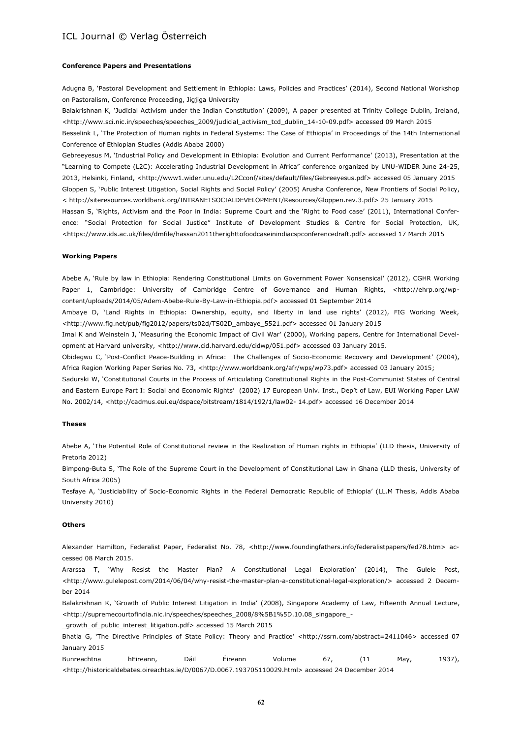#### **Conference Papers and Presentations**

Adugna B, 'Pastoral Development and Settlement in Ethiopia: Laws, Policies and Practices' (2014), Second National Workshop on Pastoralism, Conference Proceeding, Jigjiga University

Balakrishnan K, 'Judicial Activism under the Indian Constitution' (2009), A paper presented at Trinity College Dublin, Ireland, <http://www.sci.nic.in/speeches/speeches\_2009/judicial\_activism\_tcd\_dublin\_14-10-09.pdf> accessed 09 March 2015 Besselink L, 'The Protection of Human rights in Federal Systems: The Case of Ethiopia' in Proceedings of the 14th International Conference of Ethiopian Studies (Addis Ababa 2000)

Gebreeyesus M, 'Industrial Policy and Development in Ethiopia: Evolution and Current Performance' (2013), Presentation at the "Learning to Compete (L2C): Accelerating Industrial Development in Africa" conference organized by UNU-WIDER June 24-25, 2013, Helsinki, Finland, <http://www1.wider.unu.edu/L2Cconf/sites/default/files/Gebreeyesus.pdf> accessed 05 January 2015 Gloppen S, 'Public Interest Litigation, Social Rights and Social Policy' (2005) Arusha Conference, New Frontiers of Social Policy, < http://siteresources.worldbank.org/INTRANETSOCIALDEVELOPMENT/Resources/Gloppen.rev.3.pdf> 25 January 2015 Hassan S, 'Rights, Activism and the Poor in India: Supreme Court and the 'Right to Food case' (2011), International Conference: "Social Protection for Social Justice" Institute of Development Studies & Centre for Social Protection, UK, <https://www.ids.ac.uk/files/dmfile/hassan2011therighttofoodcaseinindiacspconferencedraft.pdf> accessed 17 March 2015

#### **Working Papers**

Abebe A, 'Rule by law in Ethiopia: Rendering Constitutional Limits on Government Power Nonsensical' (2012), CGHR Working Paper 1, Cambridge: University of Cambridge Centre of Governance and Human Rights, <http://ehrp.org/wpcontent/uploads/2014/05/Adem-Abebe-Rule-By-Law-in-Ethiopia.pdf> accessed 01 September 2014

Ambaye D, 'Land Rights in Ethiopia: Ownership, equity, and liberty in land use rights' (2012), FIG Working Week, <http://www.fig.net/pub/fig2012/papers/ts02d/TS02D\_ambaye\_5521.pdf> accessed 01 January 2015

Imai K and Weinstein J, 'Measuring the Economic Impact of Civil War' (2000), Working papers, Centre for International Development at Harvard university, <http://www.cid.harvard.edu/cidwp/051.pdf> accessed 03 January 2015.

Obidegwu C, 'Post-Conflict Peace-Building in Africa: The Challenges of Socio-Economic Recovery and Development' (2004), Africa Region Working Paper Series No. 73, <http://www.worldbank.org/afr/wps/wp73.pdf> accessed 03 January 2015;

Sadurski W, 'Constitutional Courts in the Process of Articulating Constitutional Rights in the Post-Communist States of Central and Eastern Europe Part I: Social and Economic Rights' (2002) 17 European Univ. Inst., Dep't of Law, EUI Working Paper LAW No. 2002/14, <http://cadmus.eui.eu/dspace/bitstream/1814/192/1/law02- 14.pdf> accessed 16 December 2014

#### **Theses**

Abebe A, 'The Potential Role of Constitutional review in the Realization of Human rights in Ethiopia' (LLD thesis, University of Pretoria 2012)

Bimpong-Buta S, 'The Role of the Supreme Court in the Development of Constitutional Law in Ghana (LLD thesis, University of South Africa 2005)

Tesfaye A, 'Justiciability of Socio-Economic Rights in the Federal Democratic Republic of Ethiopia' (LL.M Thesis, Addis Ababa University 2010)

#### **Others**

Alexander Hamilton, Federalist Paper, Federalist No. 78, <http://www.foundingfathers.info/federalistpapers/fed78.htm> accessed 08 March 2015.

Ararssa T, 'Why Resist the Master Plan? A Constitutional Legal Exploration' (2014), The Gulele Post, <http://www.gulelepost.com/2014/06/04/why-resist-the-master-plan-a-constitutional-legal-exploration/> accessed 2 December 2014

Balakrishnan K, 'Growth of Public Interest Litigation in India' (2008), Singapore Academy of Law, Fifteenth Annual Lecture, <http://supremecourtofindia.nic.in/speeches/speeches\_2008/8%5B1%5D.10.08\_singapore\_-

\_growth\_of\_public\_interest\_litigation.pdf> accessed 15 March 2015

Bhatia G, 'The Directive Principles of State Policy: Theory and Practice' <http://ssrn.com/abstract=2411046> accessed 07 January 2015

Bunreachtna hEireann, Dáil Éireann Volume 67, (11 May, 1937), <http://historicaldebates.oireachtas.ie/D/0067/D.0067.193705110029.html> accessed 24 December 2014